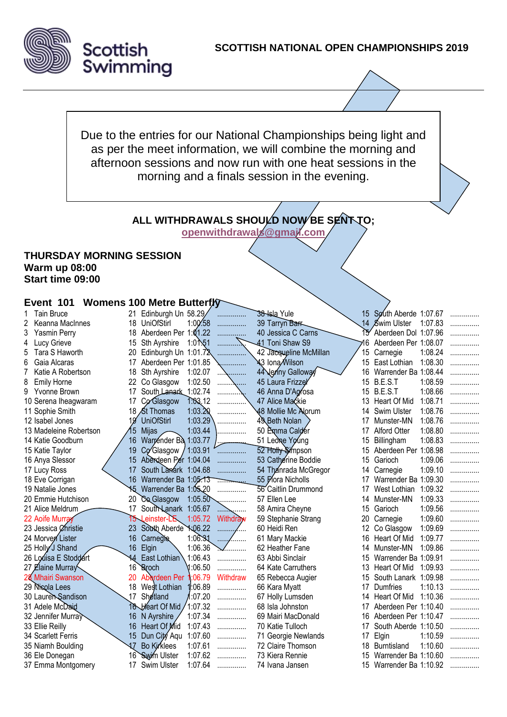

Due to the entries for our National Championships being light and as per the meet information, we will combine the morning and afternoon sessions and now run with one heat sessions in the morning and a finals session in the evening.

# **ALL WITHDRAWALS SHOULD NOW BE SENT TO;**

The Relays will be swim at the finals session of the finals sessions.

**[openwithdrawals@gmail.com](mailto:openwithdrawals@gmail.com)**

#### **THURSDAY MORNING SESSION Warm up 08:00 Start time 09:00**

#### **Event 101 Womens 100 Metre Butterfly**

|   | <b>Tain Bruce</b>      |     | 21 Edinburgh Un 58.29/ |                     | .        | 38-Isla Yule             |    | 15 South Aberde 1:07.67 |         |  |
|---|------------------------|-----|------------------------|---------------------|----------|--------------------------|----|-------------------------|---------|--|
| 2 | Keanna MacInnes        | 18  | UniOfStirl             | 1:00.58             | .        | 39 Tarryn Barr           | 14 | Swim Ulster             | 1:07.83 |  |
| 3 | <b>Yasmin Perry</b>    | 18  | Aberdeen Per 1:01.22   |                     |          | 40 Jessica C Carns       |    | Aberdeen Dol 1:07.96    |         |  |
| 4 | Lucy Grieve            | 15  | Sth Ayrshire           | 1:0 <sup>1</sup> 51 |          | 41 Toni Shaw S9          | 16 | Aberdeen Per 1:08.07    |         |  |
| 5 | Tara S Haworth         | 20  | Edinburgh Un 1:01.72   |                     |          | 42 Jacqueline McMillan   | 15 | Carnegie                | 1:08.24 |  |
| 6 | Gaia Alcaras           | 17  | Aberdeen Per 1:01.85   |                     |          | <b>่¥</b> 3 Iona ∕Wilson | 15 | East Lothian            | 1:08.30 |  |
| 7 | Katie A Robertson      | 18  | Sth Ayrshire           | 1:02.07             |          | 44 Jenny Galloway        | 16 | Warrender Ba 1:08.44    |         |  |
| 8 | <b>Emily Horne</b>     | 22  | Co Glasgow             | 1:02.50             |          | 45 Laura Frizzel         | 15 | B.E.S.T                 | 1:08.59 |  |
| 9 | Yvonne Brown           | 17  | South Lanark 1:02.74   |                     |          | 46 Anna D'Agrosa         | 15 | B.E.S.T                 | 1:08.66 |  |
|   | 10 Serena Iheagwaram   | 17  | Co Glasgow             | 1:03,12             |          | 47 Alice Mackie          | 13 | <b>Heart Of Mid</b>     | 1:08.71 |  |
|   | 11 Sophie Smith        |     | 18 St Thomas           | 1:03.20             |          | 48 Mollie Mc Alorum      | 14 | Swim Ulster             | 1:08.76 |  |
|   | 12 Isabel Jones        | 19  | <b>UniOfStirl</b>      | 1:03.29             | .        | 49 Beth Nolan            | 17 | Munster-MN              | 1:08.76 |  |
|   | 13 Madeleine Robertson | 15  | <b>Mijas</b>           | 1:03.44             | .        | 50 Emma Calder           | 17 | Alford Otter            | 1:08.80 |  |
|   | 14 Katie Goodburn      | 16  | Warrender Bà 1:03.77   |                     |          | 51 Leone Young           | 15 | Billingham              | 1:08.83 |  |
|   | 15 Katie Taylor        | 19  | Co Glasgow /           | 1:03.91             |          | 52 Holly Simpson         | 15 | Aberdeen Per 1:08.98    |         |  |
|   | 16 Anya Slessor        | 15  | Aberdeen Per 1:04.04   |                     | .        | 53 Catherine Boddie      | 15 | Garioch                 | 1:09.06 |  |
|   | 17 Lucy Ross           | 17  | South Lanark 1:04.68   |                     |          | 54 Thanrada McGregor     | 14 | Carnegie                | 1:09.10 |  |
|   | 18 Eve Corrigan        | 16  | Warrender Ba 1:05.13   |                     |          | 55 Flora Nicholls        | 17 | Warrender Ba 1:09.30    |         |  |
|   | 19 Natalie Jones       | 15  | Warrender Ba 1:05-20   |                     |          | 56 Caitlin Drummond      | 17 | West Lothian            | 1:09.32 |  |
|   | 20 Emmie Hutchison     | 20  | Co Glasgow             | 1:05.50             |          | 57 Ellen Lee             | 14 | Munster-MN              | 1:09.33 |  |
|   | 21 Alice Meldrum       | 17  | South Lanark 1:05.67   |                     |          | 58 Amira Cheyne          | 15 | Garioch                 | 1:09.56 |  |
|   | 22 Aoife Murray        | 15. | einster-LE             | 1:05.72             | Withdraw | 59 Stephanie Strang      | 20 | Carnegie                | 1:09.60 |  |
|   | 23 Jessica Øhristie    | 23  | South Aberde 1:06.22   |                     |          | 60 Heidi Ren             | 12 | Co Glasgow              | 1:09.69 |  |
|   | 24 Morver Lister       | 16  | Carnegie               | 1:06.31             |          | 61 Mary Mackie           | 16 | Heart Of Mid            | 1:09.77 |  |
|   | 25 Holly J Shand       | 16  | Elgin                  | 1:06.36             |          | 62 Heather Fane          | 14 | Munster-MN              | 1:09.86 |  |
|   | 26 Louisa E Stoddart   | 14  | East Lothian           | 1:06.43             | .        | 63 Abbi Sinclair         | 15 | Warrender Ba 1:09.91    |         |  |
|   | 27 Elaine Murray       | 16  | <b>Broch</b>           | 1:06.50             | .        | 64 Kate Carruthers       | 13 | Heart Of Mid            | 1:09.93 |  |
|   | 28 Mhairi Swanson      | 20  | Aberdeen Per           | :06.79              | Withdraw | 65 Rebecca Augier        | 15 | South Lanark 1:09.98    |         |  |
|   | 29 Nisola Lees         | 18  | West Lothian           | :06.89              | .        | 66 Kara Myatt            | 17 | Dumfries                | 1:10.13 |  |
|   | 30 Lauren Sandison     | 17  | Shetland               | 20.07 ا             | .        | 67 Holly Lumsden         | 14 | Heart Of Mid            | 1:10.36 |  |
|   | 31 Adele McDaid        |     | 16 Heart Of Mid        | 1:07.32             | .        | 68 Isla Johnston         | 17 | Aberdeen Per 1:10.40    |         |  |
|   | 32 Jennifer Murray     | 16  | N Ayrshire             | 1:07.34             | .        | 69 Mairi MacDonald       | 16 | Aberdeen Per 1:10.47    |         |  |
|   | 33 Ellie Reilly        | 16  | Heart Of Mid           | 1:07.43             | .        | 70 Katie Tulloch         | 17 | South Aberde 1:10.50    |         |  |
|   | 34 Scarlett Ferris     | 15  | Dun City Aqu           | 1:07.60             | .        | 71 Georgie Newlands      | 17 | Elgin                   | 1:10.59 |  |
|   | 35 Niamh Boulding      |     | Bo Kirklees            | 1:07.61             | .        | 72 Claire Thomson        | 18 | <b>Burntisland</b>      | 1:10.60 |  |
|   | 36 Ele Donegan         | 16  | <b>Swim Ulster</b>     | 1:07.62             | .        | 73 Kiera Rennie          | 15 | Warrender Ba 1:10.60    |         |  |
|   | 37 Emma Montgomery     | 17  | <b>Swim Ulster</b>     | 1:07.64             | .        | 74 Ivana Jansen          | 15 | Warrender Ba 1:10.92    |         |  |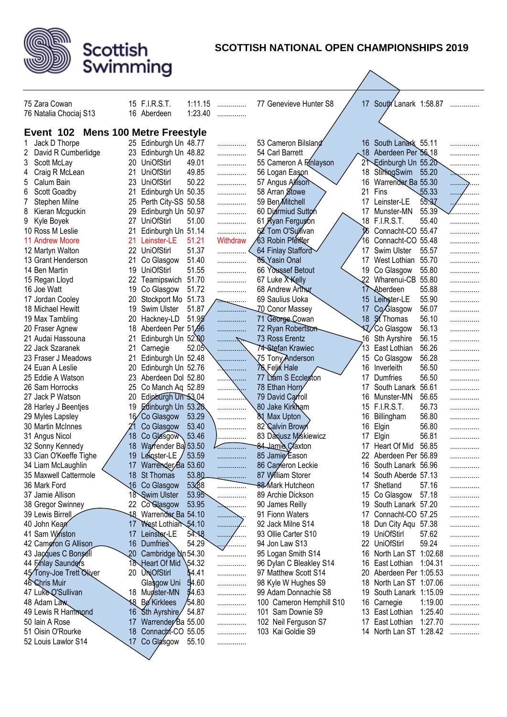

| 75 Zara Cowan            |                 | 15 F.I.R.S.T.                   | 1:11.15 | .              | 77 Genevieve Hunter S8   |                 | 17 South Lanark 1:58.87 |         | . |
|--------------------------|-----------------|---------------------------------|---------|----------------|--------------------------|-----------------|-------------------------|---------|---|
| 76 Natalia Chociaj S13   |                 | 16 Aberdeen                     | 1:23.40 | .              |                          |                 |                         |         |   |
|                          |                 |                                 |         |                |                          |                 |                         |         |   |
| Event 102                |                 | <b>Mens 100 Metre Freestyle</b> |         |                |                          |                 |                         |         |   |
| Jack D Thorpe            |                 | 25 Edinburgh Un 48.77           |         | .              | 53 Cameron Bilsland      |                 | 16 South Lanark 55.11   |         |   |
| David R Cumberlidge<br>2 |                 | 23 Edinburgh Un 48.82           |         | .              | 54 Carl Barrett          |                 | 18 Aberdeen Per 55 18   |         |   |
| 3<br>Scott McLay         | 20              | <b>UniOfStirl</b>               | 49.01   | .              | 55 Cameron A Finlayson   |                 | Edinburgh Un 55.20      |         |   |
| Craig R McLean<br>4      | 21              | <b>UniOfStirl</b>               | 49.85   | .              | 56 Logan Eason           | 18              | StirlingSwim 55.20      |         |   |
| Calum Bain<br>5          |                 | 23 UniOfStirl                   | 50.22   | .              | 57 Angus Allison         | 16              | Warrender Ba 55.30      |         | . |
| Scott Goadby<br>6        | 21              | Edinburgh Un 50.35              |         | .              | 58 Arran Stowe           | 21              | Fins                    | 55.33   | . |
| Stephen Milne            | 25              | Perth City-SS 50.58             |         | .              | 59 Ben Mitchell          | 17              | Leinster-LE             | 55.37   |   |
| 8<br>Kieran Mcguckin     | 29              | Edinburgh Un 50.97              |         | .              | 60 Diarmiud Sutton       | 17              | Munster-MN              | 55.39   |   |
| 9<br>Kyle Boyek          | 27              | <b>UniOfStirl</b>               | 51.00   | .              | 61 Kyan Ferguson         | 18              | <b>F.I.R.S.T.</b>       | 55.40   |   |
| 10 Ross M Leslie         | 21              | Edinburgh Un 51.14              |         | .              | 62 Tom O'Sulfivan        | 16              | Connacht-CO 55.47       |         |   |
| 11 Andrew Moore          | 21              | Leinster-LE                     | 51.21   | Withdraw       | 63 Robin Pfeiffer        | 16              | Connacht-CO 55.48       |         | . |
| 12 Martyn Walton         | 22.             | UniOfStirl                      | 51.37   |                | 64 Finlay Stafford       | 17              | Swim Ulster             | 55.57   |   |
| 13 Grant Henderson       | 21              | Co Glasgow                      | 51.40   | .              | 65 Yasin Onal            | 17              | West Lothian            | 55.70   | . |
| 14 Ben Martin            | 19              | UniOfStirl                      | 51.55   | .              | 66 Youssef Betout        |                 | 19 Co Glasgow           | 55.80   | . |
| 15 Regan Lloyd           | 22              | Teamipswich 51.70               |         |                | 67 Luke X Kelly          | 22              | Wharenui-CB 55.80       |         | . |
| 16 Joe Watt              | 19              | Co Glasgow                      | 51.72   | .              | 68 Andrew Arthur         |                 | 17 Aberdeen             | 55.88   | . |
| 17 Jordan Cooley         | 20              | Stockport Mo 51.73              |         | .              | 69 Saulius Uoka          | 15              | Leinster-LE             | 55.90   | . |
| 18 Michael Hewitt        | 19              | Swim Ulster                     | 51.87   |                | <b>ZO Conor Massey</b>   | 17              | Co.Glasgow              | 56.07   | . |
|                          | 20              | Hackney-LD                      | 51.95   | . <del>.</del> | 71 George Cowan          | 18 <sup>°</sup> | <b>St</b> Thomas        | 56.10   |   |
| 19 Max Tambling          | 18              | Aberdeen Per 51,96              |         | .              | 72 Ryan Robertson        |                 |                         | 56.13   | . |
| 20 Fraser Agnew          | 21              |                                 |         | .              | 73 Ross Erentz           | 16              | <b>KZ</b> /Co Glasgow   | 56.15   | . |
| 21 Audai Hassouna        |                 | Edinburgh Un 52.00              |         | .              |                          | 13              | Sth Ayrshire            | 56.26   | . |
| 22 Jack Szaranek         | 21              | Carnegie                        | 52.05   | .              | 74-Stefan Krawiec        |                 | East Lothian            |         | . |
| 23 Fraser J Meadows      | 21              | Edinburgh Un 52.48              |         | .              | 75 TonyAnderson          | 15              | Co Glasgow              | 56.28   | . |
| 24 Euan A Leslie         | 20              | Edinburgh Un 52.76              |         | .              | 76 Felix Hale            |                 | 16 Inverleith           | 56.50   |   |
| 25 Eddie A Watson        | 23              | Aberdeen Dol 52.80              |         |                | 77 Liám S Eccleston      | 17              | Dumfries                | 56.50   | . |
| 26 Sam Horrocks          | 25              | Co Manch Aq 52.89               |         | <b>.\</b>      | 78 Ethan Horry           | 17              | South Lanark            | 56.61   | . |
| 27 Jack P Watson         | 20              | Edinburgh Un 53.04              |         | .              | 79 David Carroll         | 16              | Munster-MN              | 56.65   | . |
| 28 Harley J Beentjes     | 19              | Edinburgh Un 53.20              |         | .              | 80 Jake Kirkham          | 15              | <b>F.I.R.S.T.</b>       | 56.73   | . |
| 29 Myles Lapsley         | 16⁄             | Co Glasgow                      | 53.29   | .              | 81 Max Upton             | 16              | Billingham              | 56.80   | . |
| 30 Martin McInnes        |                 | Co Glasgow                      | 53.40   |                | 82 Calvin Brown          | 16              | Elgin                   | 56.80   |   |
| 31 Angus Nicol           | 18              | Co Glasgow                      | 53.46   |                | 83 Daxjusz Miśkiewicz    | 17              | Elgin                   | 56.81   | . |
| 32 Sonny Kennedy         | 18              | Warrender Ba 53.50              |         |                | 84 Jamie Claxton         | 17              | Heart Of Mid            | 56.85   |   |
| 33 Cian O'Keeffe Tighe   | 19              | Leinster-LE                     | 53.59   |                | 85 Jamie Eason           |                 | Aberdeen Per 56.89      |         |   |
| 34 Liam McLaughlin       | 17              | Warrender/Ba 53.60              |         | .              | 86 Cameron Leckie        | 16              | South Lanark 56.96      |         | . |
| 35 Maxwell Cattermole    |                 | 18 St Thomas                    | 53.80   | .              | 87 William Storer        |                 | 14 South Aberde 57.13   |         | . |
| 36 Mark Ford             |                 | 16 Co Glasgow                   | 53 288  |                | 88 Mark Hutcheon         | 17              | Shetland                | 57.16   | . |
| 37 Jamie Allison         |                 | 18 Swim Ulster                  | 53.95   | .              | 89 Archie Dickson        | 15              | Co Glasgow              | 57.18   | . |
| 38 Gregor Swinney        |                 | 22 Co Glasgow                   | 53.95   | .              | 90 James Reilly          |                 | 19 South Lanark 57.20   |         | . |
| 39 Lewis Birrell         |                 | 18 Warrender Ba 54.10           |         | .              | 91 Fionn Waters          |                 | 17 Connacht-CO 57.25    |         | . |
| 40 John Kean             | 17              | West Lothian 54.10              |         | . 4<br>٠.,     | 92 Jack Milne S14        |                 | 18 Dun City Aqu 57.38   |         | . |
| 41 Sam Winston           | 17              | Leinster-LE                     | 54.18   | .<br>.         | 93 Ollie Carter S10      |                 | 19 UniOfStirl           | 57.62   | . |
| 42 Came fon G Allison    | 16              | Dumfries                        | 54.29   | .              | 94 Jon Law S13           |                 | 22 UniOfStirl           | 59.24   | . |
| 43 Jacques C Bonsell     | 20 <sub>2</sub> | Cambridge Un 54.30              |         | .              | 95 Logan Smith S14       | 16              | North Lan ST 1:02.68    |         | . |
| 44 Finlay Saunders       |                 | 18 Heart Of Mid                 | 54.32   | .              | 96 Dylan C Bleakley S14  | 16              | East Lothian            | 1:04.31 |   |
| 45 Tony-Joe Trett Oliver |                 | 20 UniOfStirl                   | 54.41   | .              | 97 Matthew Scott S14     | 20              | Aberdeen Per 1:05.53    |         | . |
| 46 Chris Muir            |                 | Glasgow Uni                     | 54.60   | .              | 98 Kyle W Hughes S9      | 18              | North Lan ST 1:07.06    |         | . |
| 47 Luke Q'Sullivan       |                 | 18 Munster-MN                   | 54.63   | .              | 99 Adam Donnachie S8     | 19              | South Lanark 1:15.09    |         | . |
| 48 Adam Law              |                 | <b>18</b> Bø Kirklees           | 54.80   | .              | 100 Cameron Hemphill S10 | 16              | Carnegie                | 1:19.00 | . |
| 49 Lewis R Hammond       |                 | 16 Sth Ayrshire/ 54.87          |         | .              | 101 Sam Downie S9        |                 | 13 East Lothian         | 1:25.40 | . |
| 50 Iain A Rose           | 17              | Warrender Ba 55.00              |         | .              | 102 Neil Ferguson S7     |                 | 17 East Lothian         | 1:27.70 | . |
| 51 Oisin O'Rourke        |                 | 18 Connacht-CO 55.05            |         | .              | 103 Kai Goldie S9        |                 | 14 North Lan ST 1:28.42 |         | . |
| 52 Louis Lawlor S14      | 17              | Co Glasgow                      | 55.10   | .              |                          |                 |                         |         |   |
|                          |                 |                                 |         |                |                          |                 |                         |         |   |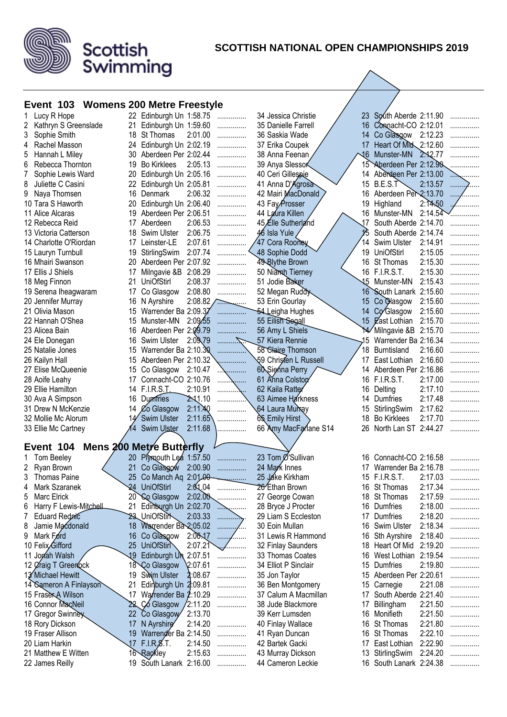

#### **SCOTTISH NATIONAL OPEN CHAMPIONSHIPS 2019**

 $\overline{\phantom{a}}$ 

#### **Event 103 Womens 200 Metre Freestyle**

Scottish<br>Swimming

| Lucy R Hope                 |                 | 22 Edinburgh Un 1:58.75            |                  | .      | 34 Jessica Christie   |            | 23 South Aberde 2:11.90 |         |   |
|-----------------------------|-----------------|------------------------------------|------------------|--------|-----------------------|------------|-------------------------|---------|---|
| Kathryn S Greenslade<br>2   | 21              | Edinburgh Un 1:59.60               |                  | .      | 35 Danielle Farrell   |            | 16 Connacht-CO 2:12.01  |         |   |
| Sophie Smith<br>3           | 18              | St Thomas                          | 2:01.00          | .      | 36 Saskia Wade        |            | 14 Co Glasgow 2:12.23   |         |   |
| Rachel Masson<br>4          | 24              | Edinburgh Un 2:02.19               |                  | .      | 37 Erika Coupek       |            | 17 Heart Of Mid 2:12.60 |         |   |
| 5<br>Hannah L Miley         | 30              | Aberdeen Per 2:02.44               |                  | .      | 38 Anna Feenan        | $\sqrt{6}$ | Munster-MN              | 2.12.77 |   |
| 6<br>Rebecca Thornton       | 19              | <b>Bo Kirklees</b>                 | 2:05.13          | .      | 39 Anya Slessor       |            | 15 Aberdeen Per 2:12.90 |         |   |
| 7<br>Sophie Lewis Ward      | 20              | Edinburgh Un 2:05.16               |                  |        | 40 Ceri Gillespie     |            | 14 Aberdeen Per 2:13.00 |         |   |
| 8<br>Juliette C Casini      | 22              |                                    |                  | .      | 41 Anna D'Agrosa      | 15         | B.E.S.T                 | 2:13.57 |   |
| 9                           |                 | Edinburgh Un 2:05.81<br>16 Denmark | 2:06.32          | .      |                       |            | 16 Aberdeen Per 2:13.70 |         |   |
| Naya Thomsen                |                 |                                    |                  | .      | 42 Mairi MacDonald    |            |                         | 2:14.50 |   |
| 10 Tara S Haworth           | 20              | Edinburgh Un 2:06.40               |                  | .      | 43 Fay Prosser        | 19         | Highland                | 2:14.54 |   |
| 11 Alice Alcaras            | 19.             | Aberdeen Per 2:06.51               |                  |        | 44 Laura Killen       |            | 16 Munster-MN           |         |   |
| 12 Rebecca Reid             | 17              | Aberdeen                           | 2:06.53          | .      | 45 Elle Sutherland    | 17         | South Aberde 2:14.70    |         |   |
| 13 Victoria Catterson       | 18              | Swim Ulster                        | 2:06.75          | .      | 46 Isla Yule          |            | South Aberde 2:14.74    |         |   |
| 14 Charlotte O'Riordan      | 17              | Leinster-LE                        | 2:07.61          |        | 47 Cora Rooney        | 14         | Swim Ulster             | 2:14.91 |   |
| 15 Lauryn Turnbull          | 19              | StirlingSwim                       | 2:07.74          |        | 48 Sophie Dodd        | 19         | <b>UniOfStirl</b>       | 2:15.05 |   |
| 16 Mhairi Swanson           | 20              | Aberdeen Per 2:07.92               |                  |        | 49-Blythe Brown       |            | 16 St Thomas            | 2:15.30 |   |
| 17 Ellis J Shiels           | 17              | Milngavie &B 2:08.29               |                  |        | 50 Niamph Tierney     |            | 16 F.I.R.S.T.           | 2:15.30 |   |
| 18 Meg Finnon               | 21              | UniOfStirl                         | 2:08.37          | .      | 51 Jodie Baker        |            | 15 Munster-MN           | 2:15.43 |   |
| 19 Serena Iheagwaram        | 17              | Co Glasgow                         | 2:08.80          | .      | 52 Megan Ruddy        |            | 16 South Lanark 2:15.60 |         |   |
| 20 Jennifer Murray          |                 | 16 N Ayrshire                      | $2:08.82$ $\sim$ |        | 53 Erin Gourlay       |            | 15 Co Glasgow           | 2:15.60 |   |
| 21 Olivia Mason             |                 | 15 Warrender Ba 2:09.37            |                  | .      | 54 Leigha Hughes      |            | 14 Co Glasgow           | 2:15.60 |   |
| 22 Hannah O'Shea            | 15.             | Munster-MN                         | 2:09.55          | .      | 55 Eilish Segall      |            | 15 East Lothian         | 2:15.70 |   |
| 23 Alicea Bain              | 16.             | Aberdeen Per 2:09.79               |                  |        | 56 Amy L Shiels       |            | Milngavie &B 2:15.70    |         |   |
| 24 Ele Donegan              | 16              | Swim Ulster                        | 2:09,79          |        | 57 Kiera Rennie       | .15        | Warrender Ba 2:16.34    |         |   |
| 25 Natalie Jones            | 15              | Warrender Ba 2:10.30               |                  |        | 58 Claire Thomson     | 18         | Burntisland             | 2:16.60 |   |
| 26 Kailyn Hall              | 15              | Aberdeen Per 2:10.32               |                  |        | 59 Christen L Russell | 17         | East Lothian            | 2:16.60 |   |
| 27 Elise McQueenie          | 15              | Co Glasgow                         | 2:10.47          |        | 60 Sienna Perry       |            | 14 Aberdeen Per 2:16.86 |         |   |
| 28 Aoife Leahy              | 17              | Connacht-CO 2:10.76                |                  |        | 61 Anna Colston       |            | 16 F.I.R.S.T.           | 2:17.00 |   |
| 29 Ellie Hamilton           | 14              | F.I.R.S.L                          | 2:10.91          | .      | 62 Kaila Ratter       | 16         | Delting                 | 2:17.10 |   |
|                             |                 |                                    |                  |        |                       |            |                         |         |   |
|                             |                 |                                    |                  |        |                       |            |                         |         |   |
| 30 Ava A Simpson            | 16              | <b>Dumfries</b>                    | 2.11.10          | .      | 63 Aimee Harkness     | 14         | Dumfries                | 2:17.48 |   |
| 31 Drew N McKenzie          |                 | 14 Co Glasgow                      | 2:11.40          |        | 64 Laura Murray       | 15         | StirlingSwim            | 2:17.62 |   |
| 32 Mollie Mc Alorum         |                 | <b>Swim Ulster</b>                 | 2:11.65          |        | 65 Emily Hirst        | 18         | <b>Bo Kirklees</b>      | 2:17.70 |   |
| 33 Ellie Mc Cartney         |                 | Swim Ulster                        | 2:11.68          |        | 66 Amy MacFarlane S14 | 26         | North Lan ST 2:44.27    |         |   |
|                             |                 |                                    |                  |        |                       |            |                         |         |   |
| Event 104                   |                 | <b>Mens 200 Metre Butterfly</b>    |                  |        |                       |            |                         |         |   |
| Tom Beeley                  | 20 <sub>2</sub> | Plymouth Lea 1:57.50               |                  | .      | 23 Tom Ø'Sullivan     |            | 16 Connacht-CO 2:16.58  |         |   |
| Ryan Brown<br>2             | 21              | Co Glasgow                         | 2:00.90          |        | 24 Mark Innes         | 17         | Warrender Ba 2:16.78    |         |   |
| Thomas Paine                |                 | Co Manch Aq 2:01.00                |                  |        | 25 Jake Kirkham       |            | 15 F.I.R.S.T.           | 2:17.03 |   |
| Mark Szaranek<br>4          | 24              | <b>UniOfStirl</b>                  | 2:01.04          | .      | 26 Ethan Brown        |            | 16 St Thomas            | 2:17.34 |   |
| Marc Elrick<br>5            |                 | 20 Co Glasgow                      | 2:02.00          | .      | 27 George Cowan       |            | 18 St Thomas            | 2:17.59 | . |
| Harry F Lewis-Mitchell<br>6 | 21              | Edinburgh Un 2:02.70               |                  | .      | 28 Bryce J Procter    | 16         | <b>Dumfries</b>         | 2:18.00 | . |
| Eduard Rednic<br>7          |                 | 23 UniOfStir                       | 2:03.33          | .      | 29 Liam S Eccleston   | 17         | Dumfries                | 2:18.20 | . |
| Jamie Macdonald<br>8        | 18              | Warrender Ba 2:05.02               |                  |        | 30 Eoin Mullan        |            | 16 Swim Ulster          | 2:18.34 | . |
| Mark Ford<br>9              | 16              | Co Glasgow                         | 2:06.17          | .<br>. | 31 Lewis R Hammond    | 16         | Sth Ayrshire            | 2:18.40 | . |
| 10 Felix Gifford            | 25              | UniOfStirl                         | 2:07.21          | .      | 32 Finlay Saunders    | 18.        | Heart Of Mid            | 2:19.20 | . |
| 11 Jonah Walsh              | 19              | Edinburgh Un                       | 2:07.51          |        | 33 Thomas Coates      | 16         | West Lothian 2:19.54    |         |   |
| 12 Øraig T Greenock         | 18              | Co Glasgow                         | 2:07.61          | .      | 34 Elliot P Sinclair  | 15         | Dumfries                | 2:19.80 |   |
| 13 Michael Hewitt           | 19              | Swim Ulster                        | 2:08.67          | .      | 35 Jon Taylor         | 15         | Aberdeen Per 2:20.61    |         |   |
| 14 Sameron A Finlayson      | 21              | Edinburgh Un 2:09.81               |                  | .      | 36 Ben Montgomery     |            | 15 Carnegie             | 2:21.08 |   |
| 15 Fraser A Wilson          | 17              | Warrender Ba 2:10.29               |                  | .      | 37 Calum A Macmillan  | 17         | South Aberde 2:21.40    |         | . |
| 16 Connor MacNeil           |                 | 22 Co Glasgow                      | 2:11.20          | .      | 38 Jude Blackmore     | 17         | Billingham              | 2:21.50 |   |
| 17 Gregor Swinney           |                 | 22 Co Glasgow                      | 2:13.70          |        | 39 Kerr Lumsden       | 16         | Monifieth               | 2:21.50 |   |
| 18 Rory Dickson             | 17              | N Ayrshirg                         | 2:14.20          | .      | 40 Finlay Wallace     | 16         | St Thomas               | 2:21.80 | . |
| 19 Fraser Allison           | 19              | Warrender Ba 2:14.50               |                  | .      | 41 Ryan Duncan        | 16.        | St Thomas               | 2:22.10 | . |
| 20 Liam Harkin              | .17             | $F.I.R.\cancel{S}.T.$              | 2:14.50          | .      | 42 Bartek Gacki       | 17         | East Lothian            | 2:22.90 | . |
| 21 Matthew E Witten         |                 | 16 Rackley                         | 2:15.63          | .      | 43 Murray Dickson     |            | 13 StirlingSwim         | 2:24.20 | . |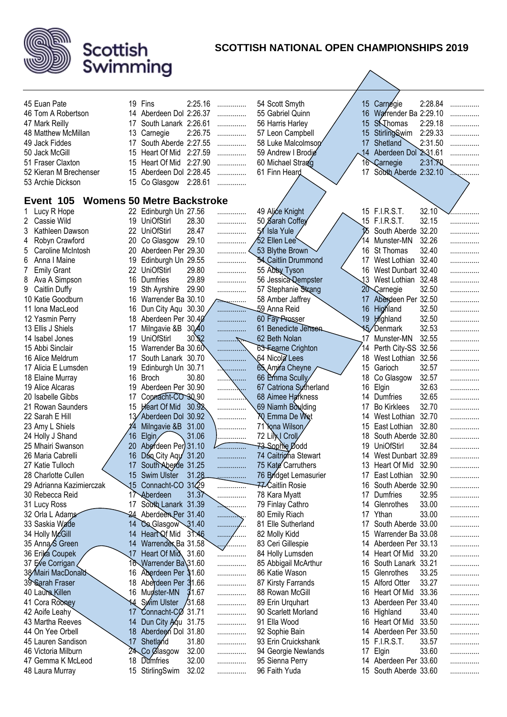

| 45 Euan Pate                  |          | 19 Fins                           | 2:25.16 |                               | 54 Scott Smyth                                |                | 15 Carnegie             | 2:28.84 |                |
|-------------------------------|----------|-----------------------------------|---------|-------------------------------|-----------------------------------------------|----------------|-------------------------|---------|----------------|
| 46 Tom A Robertson            |          | 14 Aberdeen Dol 2:26.37           |         | .                             | 55 Gabriel Quinn                              |                | 16 Warrender Ba 2:29.10 |         | .              |
| 47 Mark Reilly                | 17       | South Lanark 2:26.61              |         | .<br>.                        | 56 Harris Harley                              |                | 15 S <b>N</b> homas     | 2:29.18 | .<br>.         |
| 48 Matthew McMillan           | 13       | Carnegie                          | 2:26.75 | .                             | 57 Leon Campbell                              | $15\,$         | Stirling Swim           | 2:29.33 | .              |
| 49 Jack Fiddes                | 17       | South Aberde 2:27.55              |         | .                             | 58 Luke Malcolmson                            |                | 17 Shetland             | 2:31.50 | .              |
| 50 Jack McGill                | 15       | Heart Of Mid                      | 2:27.59 | .                             | 59 Andrew   Brodie                            | $\frac{14}{5}$ | Aberdeen Dol 2:31.61    |         |                |
| 51 Fraser Claxton             | 15       | Heart Of Mid                      | 2:27.90 | .                             | 60 Michael Strang                             |                | 16 Carnegie             | 2:31.70 | .              |
| 52 Kieran M Brechenser        | 15       | Aberdeen Dol 2:28.45              |         | .                             | 61 Finn Heard                                 | 17             | South Aberde 2:32.10    |         |                |
| 53 Archie Dickson             | 15       | Co Glasgow 2:28.61                |         | .                             |                                               |                |                         |         | . . <b>. .</b> |
|                               |          |                                   |         |                               |                                               |                |                         |         |                |
| Event 105                     |          | <b>Womens 50 Metre Backstroke</b> |         |                               |                                               |                |                         |         |                |
| 1 Lucy R Hope                 |          | 22 Edinburgh Un 27.56             |         | .                             | 49 Alice Knight                               |                | 15 F.I.R.S.T.           | 32.10   |                |
| 2 Cassie Wild                 |          | 19 UniOfStirl                     | 28.30   | .                             | 50 Sarah Coffey                               |                | 15 F.I.R.S.T.           | 32.15   |                |
| 3<br>Kathleen Dawson          |          | 22 UniOfStirl                     | 28.47   |                               | 51 Isla Yule                                  |                | South Aberde 32.20      |         | .              |
| Robyn Crawford<br>4           | 20       | Co Glasgow                        | 29.10   | .                             | 52 Ellen Lee                                  | 14             | Munster-MN              | 32.26   | .              |
| Caroline McIntosh             | 20       | Aberdeen Per 29.30                |         | .                             |                                               |                | 16 St Thomas            | 32.40   |                |
| 5                             |          | Edinburgh Un 29.55                |         |                               | 53 Blythe Brown<br><b>SA Caitlin Drummond</b> |                | 17 West Lothian 32.40   |         | .              |
| Anna I Maine<br>6             | 19<br>22 | <b>UniOfStirl</b>                 |         | .                             |                                               |                | 16 West Dunbart 32.40   |         |                |
| <b>Emily Grant</b><br>7       |          |                                   | 29.80   | .                             | 55 Abby Tyson                                 |                |                         |         |                |
| Ava A Simpson<br>8            | 16       | Dumfries                          | 29.89   | .                             | 56 Jessica Qempster                           |                | 13 West Lothian 32.48   |         | .              |
| 9<br>Caitlin Duffy            | 19       | Sth Ayrshire                      | 29.90   | .                             | 57 Stephanie Strang                           |                | 20 Carnegie             | 32.50   | .              |
| 10 Katie Goodburn             | 16       | Warrender Ba 30.10                |         | $\sum_{i=1}^{n}$              | 58 Amber Jaffrey                              |                | 17 Aberdeen Per 32.50   |         | .              |
| 11 Iona MacLeod               | 16       | Dun City Aqu 30.30                |         | .                             | 59 Anna Reid                                  |                | 16 Highland             | 32.50   | .              |
| 12 Yasmin Perry               | 18       | Aberdeen Per 30.40                |         | .                             | 60 Fay Prosser                                |                | 19 Highland             | 32.50   | .              |
| 13 Ellis J Shiels             | 17       | Milngavie &B 30.40                |         | .                             | 61 Benedicte Jensen                           |                | <b>15</b> /Denmark      | 32.53   | .              |
| 14 Isabel Jones               | 19       | <b>UniOfStirl</b>                 | 30.52   | .                             | 62 Beth Nolan                                 |                | 17 Munster-MN           | 32.55   | .              |
| 15 Abbi Sinclair              | 15       | Warrender Ba 30.60                |         |                               | <b>63-Fearne Crighton</b>                     |                | 14 Perth City-SS 32.56  |         | .              |
| 16 Alice Meldrum              | 17       | South Lanark 30.70                |         |                               | 64 Nicola Lees                                | 18             | West Lothian 32.56      |         | .              |
| 17 Alicia E Lumsden           | 19       | Edinburgh Un 30.71                |         | \                             | 65 Amira Cheyne                               |                | 15 Garioch              | 32.57   | .              |
| 18 Elaine Murray              | 16       | Broch                             | 30.80   | $\overline{\phantom{a}}$<br>. | 66 Emma Scully                                | 18             | Co Glasgow              | 32.57   | .              |
| 19 Alice Alcaras              | 19       | Aberdeen Per 30.90                |         | . <u>.</u>                    | 67 Catriona Sutherland                        | 16             | Elgin                   | 32.63   | .              |
| 20 Isabelle Gibbs             | 17       | Connacht-CO 30.90                 |         | .                             | 68 Aimee Harkness                             |                | 14 Dumfries             | 32.65   | .              |
| 21 Rowan Saunders             | 15       | Heart Of Mid 30.92                |         |                               | 69 Niamh Boulding                             | 17             | <b>Bo Kirklees</b>      | 32.70   | .              |
| 22 Sarah E Hill               |          | Aberdeen Dol 30.92                |         | .                             | YQ Emma De Wet                                |                | 14 West Lothian         | 32.70   | .              |
| 23 Amy L Shiels               |          | Milngavie &B 31.00                |         | .                             | 71 Yona Wilson                                | 15             | East Lothian            | 32.80   | .              |
| 24 Holly J Shand              | 16       | $E$ lgin                          | 31.06   | .                             | 72 Lillyl Croll                               | 18             | South Aberde 32.80      |         | .              |
| 25 Mhairi Swanson             | 20       | Aberdeen Per 31.10                |         | .                             | 73 Sophie Dodd                                | 19             | UniOfStirl              | 32.84   | .              |
| 26 Maria Cabrelli             | 16       | Dunn, City Agy 31.20              |         | .                             | 74 Caitrigha Stewart                          |                | 14 West Dunbart 32.89   |         | .              |
| 27 Katie Tulloch              | 17       | South Aberde 31.25                |         |                               | 75 Kate Carruthers                            | 13             | Heart Of Mid 32.90      |         |                |
| 28 Charlotte Cullen           |          | 15 Swim Ulster                    | 31.28   | .                             | 76 Bridget Lemasurier                         |                | 17 East Lothian         | 32.90   | .              |
| 29 Adrianna Kazimierczak      | 15       | Connacht-CO 3129                  |         | .                             | 77 Caitlin Rosie                              | 16             | South Aberde 32.90      |         | .              |
| 30 Rebecca Reid               | 17       | Aberdeen                          | 31.37   | .                             | 78 Kara Myatt                                 | 17             | Dumfries                | 32.95   | .              |
| 31 Lucy Ross                  | 17       | South Lanark 31.39                |         | <sub>.</sub>                  | 79 Finlay Cathro                              | 14             | Glenrothes              | 33.00   | .              |
| 32 Orla L Adams               |          | 24 Aberdeen Per 31.40             |         | .                             | 80 Emily Riach                                | 17             | Ythan                   | 33.00   | .              |
| 33 Saskia Wade                | 14       | Co Glasgow 31.40                  |         | .                             | 81 Elle Sutherland                            | 17             | South Aberde 33.00      |         | .              |
| 34 Holly McGill               | 14       | Heart Of Mid                      | 31.46   | .<br>.                        | 82 Molly Kidd                                 | 15             | Warrender Ba 33.08      |         | .              |
| 35 Anna S Green               | 14       | Warrender Ba 31.58                |         | <u></u> /                     | 83 Ceri Gillespie                             | 14             | Aberdeen Per 33.13      |         | .              |
| 36 Erika Coupek               | 17       | Heart Of Mid 31.60                |         | .                             | 84 Holly Lumsden                              | 14             | Heart Of Mid            | 33.20   | .              |
| 37 Eve Corrigan               | 16       | Warrender Ba\31.60                |         | .                             | 85 Abbigail McArthur                          | 16             | South Lanark 33.21      |         | .              |
| 38∕ Mairi MacDona <b>i∂</b> ∖ | 16       | Aberdeen Per 31.60                |         | .                             | 86 Katie Wason                                | 15             | Glenrothes              | 33.25   | .              |
| 39 Sarah Fraser               | 18       | Aberdeen Per 31.66                |         | .                             | 87 Kirsty Farrands                            | 15             | <b>Alford Otter</b>     | 33.27   | .              |
| 40 Laura Killen               | 16       | Munster-MN                        | 31.67   | .                             | 88 Rowan McGill                               | 16             | Heart Of Mid            | 33.36   | .              |
| 41 Cora Rooney                | 14       | Swim Ulster                       | /31.68  | .                             | 89 Erin Urquhart                              | 13             | Aberdeen Per 33.40      |         | .              |
| 42 Aoife Leahy                | 17       | Connacht-CØ 31.71                 |         | .                             | 90 Scarlett Morland                           | 16             | Highland                | 33.40   | .              |
| 43 Martha Reeves              | 14       | Dun City Agu 31.75                |         | .                             | 91 Ella Wood                                  | 16             | Heart Of Mid            | 33.50   | .              |
| 44 On Yee Orbell              | 18       | Aberdeen Dol 31.80                |         | .                             | 92 Sophie Bain                                |                | 14 Aberdeen Per 33.50   |         | .              |
| 45 Lauren Sandison            | 17       | Shetland                          | 31.80   | .                             | 93 Erin Cruickshank                           | 15             | <b>F.I.R.S.T.</b>       | 33.57   | .              |
| 46 Victoria Milburn           |          | 24 Co Clasgow                     | 32.00   | .                             | 94 Georgie Newlands                           | 17             | Elgin                   | 33.60   | .              |
| 47 Gemma K McLeod             | 18       | Dumfries                          | 32.00   | .                             | 95 Sienna Perry                               |                | 14 Aberdeen Per 33.60   |         | .              |
| 48 Laura Murray               |          | 15 StirlingSwim                   | 32.02   | .                             | 96 Faith Yuda                                 |                | 15 South Aberde 33.60   |         | .              |
|                               |          |                                   |         |                               |                                               |                |                         |         |                |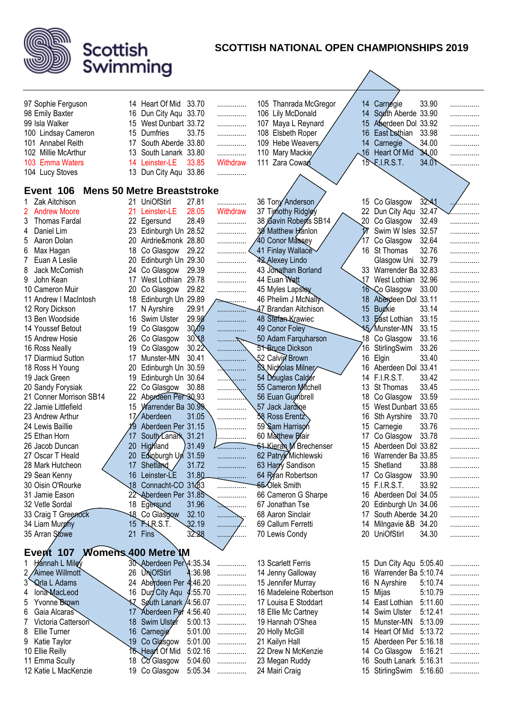

| 97 Sophie Ferguson                      |          | 14 Heart Of Mid                   | 33.70          | .             |     | 105 Thanrada McGregor                          |                      | 14 Carnegie                         | 33.90          |        |
|-----------------------------------------|----------|-----------------------------------|----------------|---------------|-----|------------------------------------------------|----------------------|-------------------------------------|----------------|--------|
| 98 Emily Baxter                         | 16.      | Dun City Aqu 33.70                |                | .             |     | 106 Lily McDonald                              | 14                   | South Aberde 33.90                  |                | .<br>. |
| 99 Isla Walker                          | 15       | West Dunbart 33.72                |                | .             | 107 | Maya L Reynard                                 | 15 <sub>2</sub>      | Aberdeen Dol 33.92                  |                | .      |
| 100 Lindsay Cameron                     |          | 15 Dumfries                       | 33.75          | .             | 108 | <b>Elsbeth Roper</b>                           | 16                   | East Dothian                        | 33.98          | .      |
| 101<br><b>Annabel Reith</b>             |          | 17 South Aberde 33.80             |                | .             | 109 | Hebe Weavers                                   | 14                   | Carnegie                            | 34.00          | .      |
| Millie McArthur<br>102                  | 13       | South Lanark 33.80                |                | .             | 110 | Mary Mackie                                    | $\sqrt{6}$           | Heart Of Mid                        | 34,00          | .      |
| 103<br><b>Emma Waters</b>               | 14       | Leinster-LE                       | 33.85          | Withdraw      | 111 | Zara Cowan                                     |                      | $15$ F.I.R.S.T.                     | 34.0           | .      |
| 104 Lucy Stoves                         |          | 13 Dun City Aqu 33.86             |                | .             |     |                                                |                      |                                     |                |        |
|                                         |          |                                   |                |               |     |                                                |                      |                                     |                |        |
| Event 106                               |          | <b>Mens 50 Metre Breaststroke</b> |                |               |     |                                                |                      |                                     |                |        |
| Zak Aitchison                           |          | 21 UniOfStirl                     | 27.81          | .             |     | 36 Tony Anderson                               |                      | 15 Co Glasgow                       | 32.A1          |        |
| <b>Andrew Moore</b><br>2                |          | 21 Leinster-LE                    | 28.05          | Withdraw      |     | 37 Timothy Ridgley                             | 22                   | Dun City Aqu 32.47                  |                |        |
| 3<br><b>Thomas Fardal</b>               |          | 22 Egersund                       | 28.49          | .             |     | 38 Gavin Robert's SB14                         | .20                  | Co Glasgow                          | 32.49          |        |
| Daniel Lim<br>4                         |          | 23 Edinburgh Un 28.52             |                | .             |     | 39 Matthew Hanlon                              | 17                   | Swim W Isles 32.57                  |                | .      |
| Aaron Dolan<br>5                        | 20       | Airdrie&monk 28.80                |                | .             |     | 40 Conor Massey                                |                      | Co Glasgow                          | 32.64          | .      |
| Max Hagan<br>6                          | 18       | Co Glasgow                        | 29.22          |               |     | 41 Finlay Wallace                              | 16                   | St Thomas                           | 32.76          | .      |
| Euan A Leslie                           | 20       | Edinburgh Un 29.30                |                | .             |     | <b>42 Alexey Lindo</b>                         |                      | Glasgow Uni                         | 32.79          | .      |
| Jack McComish<br>8                      |          | 24 Co Glasgow                     | 29.39          | .             |     | 43 Jonathan Borland                            |                      | 33 Warrender Ba 32.83               |                | .      |
| 9<br>John Kean                          | 17       | West Lothian                      | 29.78          | .             |     | 44 Euan Watt                                   | 17                   | West Lothian 32.96                  |                | .      |
| 10 Cameron Muir                         | 20       | Co Glasgow                        | 29.82          | .             |     | 45 Myles Lapsley                               |                      | 16 Co Glasgow                       | 33.00          | .      |
| 11 Andrew I MacIntosh                   | 18       | Edinburgh Un 29.89                |                | $\frac{1}{2}$ |     | 46 Phelim J McNally                            | 18                   | Aberdeen Dol 33.11<br><b>Bugkie</b> | 33.14          | .      |
| 12 Rory Dickson                         | 17       | N Ayrshire                        | 29.91<br>29.98 |               |     | 47 Brandan Aitchison                           | 15                   |                                     | 33.15          | .      |
| 13 Ben Woodside                         |          | 16 Swim Ulster                    |                | .             |     | 48 Stefan Krawiec                              |                      | 13 East Lothian                     |                | .      |
| 14 Youssef Betout                       | 19       | Co Glasgow                        | 30.09<br>30.18 | .             |     | 49 Conor Foley                                 |                      | 15/Munster-MN<br>Co Glasgow         | 33.15<br>33.16 | .      |
| 15 Andrew Hosie                         | 26<br>19 | Co Glasgow<br>Co Glasgow          | 30.22          |               |     | 50 Adam Farquharson<br><b>51 Bruce Dickson</b> | 18<br>$^{\prime}$ 16 | StirlingSwim                        | 33.26          | .      |
| 16 Ross Neally<br>17 Diarmiud Sutton    | 17       | Munster-MN                        | 30.41          |               |     | 52 Calvin Brown                                | 16                   | Elgin                               | 33.40          | .      |
| 18 Ross H Young                         | 20       | Edinburgh Un 30.59                |                |               |     | 53 Nicholas Milner                             |                      | 16 Aberdeen Dol 33.41               |                | .      |
| 19 Jack Green                           | 19       | Edinburgh Un 30.64                |                | \             |     | 54 Douglas Calder                              |                      | 14 F.I.R.S.T.                       | 33.42          | .      |
| 20 Sandy Forysiak                       | 22       | Co Glasgow                        | 30.88          | . <u>.</u>    |     | 55 Cameron Mitchell                            | 13                   | St Thomas                           | 33.45          | .      |
| 21 Conner Morrison SB14                 | 22       | Aberdeen Per 30.93                |                | .<br>.        |     | 56 Euan Gumbrell                               | 18                   | Co Glasgow                          | 33.59          | .      |
| 22 Jamie Littlefield                    | 15       | Warrender Ba 30.99                |                | .             |     | 57 Jack Jardine                                | 15                   | West Dunbart 33.65                  |                | .<br>. |
| 23 Andrew Arthur                        | 17/      | Aberdeen                          | 31.05          | .             |     | <b>58 Ross Erentz</b>                          | 16                   | Sth Ayrshire                        | 33.70          | .      |
| 24 Lewis Baillie                        |          | Aberdeen Per 31.15                |                | .             |     | 59 Sam Harrison                                | 15                   | Carnegie                            | 33.76          | .      |
| 25 Ethan Horn                           | 17       | South Lanark 31.21                |                | .             |     | 60 Matthew Blair                               | 17                   | Co Glasgow                          | 33.78          | .      |
| 26 Jacob Duncan                         | 20       | Highland                          | 31.49          |               |     | 61 Kieran M Brechenser                         | 15                   | Aberdeen Dol 33.82                  |                |        |
| 27 Oscar T Heald                        | 20       | Edipburgh Un                      | 31.59          | .             |     | 62 Patryk Michlewski                           | 16                   | Warrender Ba 33.85                  |                | .      |
| 28 Mark Hutcheon                        | 17       | Shetland                          | 31.72          |               |     | 63 Harry Sandison                              | 15 <sup>15</sup>     | Shetland                            | 33.88          |        |
| 29 Sean Kenny                           |          | 16 Leinster-LE                    | 31.80          | .             |     | 64 Ryan Robertson                              |                      | 17 Co Glasgow                       | 33.90          | .      |
| 30 Oisin O'Rourke                       |          | 18 Connacht-CO 31483              |                | .             |     | 65 Olek Smith                                  |                      | 15 F.I.R.S.T.                       | 33.92          | .      |
| 31 Jamie Eason                          |          | 22 Aberdeen Per 31.85             |                | .             |     | 66 Cameron G Sharpe                            |                      | 16 Aberdeen Dol 34.05               |                | .      |
| 32 Vetle Sordal                         |          | 18 Egersund                       | 31.96          | <sub>.</sub>  |     | 67 Jonathan Tse                                |                      | 20 Edinburgh Un 34.06               |                | .      |
| 33 Craig T Greenock                     |          | 18 Co Glasgow                     | 32.10          | .             |     | 68 Aaron Sinclair                              |                      | 17 South Aberde 34.20               |                | .      |
| 34 Liam Murphy                          |          | 15 P. R.S.T.                      | 32.19          | ٠<br>.        |     | 69 Callum Ferretti                             |                      | 14 Milngavie &B 34.20               |                | .      |
| 35 Arran Stowe                          |          | 21 Fins                           | 32.28          |               |     | 70 Lewis Condy                                 |                      | 20 UniOfStirl                       | 34.30          | .      |
|                                         |          |                                   |                |               |     |                                                |                      |                                     |                |        |
| <b>Womens 400 Metre \M</b><br>Event 107 |          |                                   |                |               |     |                                                |                      |                                     |                |        |
| Hannah L Miley                          |          | 30 Aberdeen Per 4:35.34           |                | .             |     | 13 Scarlett Ferris                             |                      | 15 Dun City Aqu 5:05.40             |                |        |
| 2 Aimee Willmott                        |          | 26 UniOfStirl                     | :36.98         | .             |     | 14 Jenny Galloway                              |                      | 16 Warrender Ba 5:10.74             |                |        |
| <b>Qrla L Adams</b><br>3                |          | 24 Aberdeen Per 4:46.20           |                | .             |     | 15 Jennifer Murray                             |                      | 16 N Ayrshire                       | 5:10.74        | .      |
| <b>Iona MacLeod</b><br>4                |          | 16 Dun City Aqu 4:55.70           |                | .             |     | 16 Madeleine Robertson                         |                      | 15 Mijas                            | 5:10.79        | .      |
| Yvonne Brown<br>5                       |          | 17 South Lanark / 4:56.07         |                | .             |     | 17 Louisa E Stoddart                           |                      | 14 East Lothian                     | 5:11.60        | .      |
| Gaia Alcaras<br>6                       |          | 17 Aberdeen Per 4:56.40           |                | .             |     | 18 Ellie Mc Cartney                            |                      | 14 Swim Ulster                      | 5:12.41        |        |
| Victoria Catterson                      |          | 18 Swim Ulster                    | 5:00.13        | .             |     | 19 Hannah O'Shea                               |                      | 15 Munster-MN                       | 5:13.09        | .      |
| 8<br>Ellie Turner                       |          | 16 Carnegie                       | 5:01.00        | .             |     | 20 Holly McGill                                |                      | 14 Heart Of Mid 5:13.72             |                | .      |
| Katie Taylor<br>9                       |          | 19 Co Glasgow                     | 5:01.00        | .             |     | 21 Kailyn Hall                                 |                      | 15 Aberdeen Per 5:16.18             |                | .      |
| 10 Ellie Reilly                         |          | 16 Heart Of Mid                   | 5:02.16        | .             |     | 22 Drew N McKenzie                             |                      | 14 Co Glasgow                       | 5:16.21        | .      |
| 11 Emma Scully                          |          | 18 Co Glasgow                     | 5:04.60        | .             |     | 23 Megan Ruddy                                 |                      | 16 South Lanark 5:16.31             |                | .      |
| 12 Katie L MacKenzie                    |          | 19 Co Glasgow                     | 5:05.34        | .             |     | 24 Mairi Craig                                 |                      | 15 StirlingSwim 5:16.60             |                | .      |
|                                         |          |                                   |                |               |     |                                                |                      |                                     |                |        |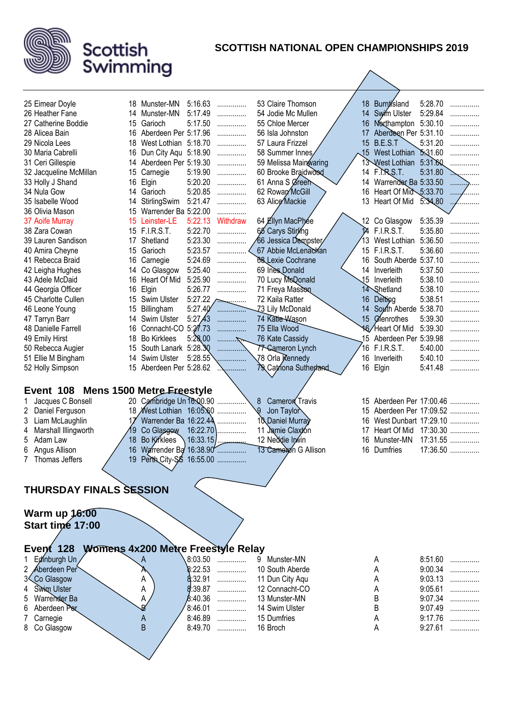

| 25 Eimear Doyle                | 18 Munster-MN                    | 5:16.63<br>.                            | 53 Claire Thomson        |                | 18 Burntisland                 | 5:28.70            |   |
|--------------------------------|----------------------------------|-----------------------------------------|--------------------------|----------------|--------------------------------|--------------------|---|
| 26 Heather Fane                | 14<br>Munster-MN                 | 5:17.49<br>.                            | 54 Jodie Mc Mullen       | 14             | Swim Ulster                    | 5:29.84            |   |
| 27 Catherine Boddie            | 15<br>Garioch                    | 5:17.50<br>.                            | 55 Chloe Mercer          | 16             | Northampton 5:30.10            |                    |   |
| 28 Alicea Bain                 | 16<br>Aberdeen Per 5:17.96       | .                                       | 56 Isla Johnston         | 17             | Aberdeen Per 5:31.10           |                    | . |
| 29 Nicola Lees                 | 18<br>West Lothian 5:18.70       | .                                       | 57 Laura Frizzel         |                | 15 B.E.S.T                     | 5:31.20            | . |
| 30 Maria Cabrelli              | 16<br>Dun City Aqu 5:18.90       | .                                       | 58 Summer Innes          |                | 15 West Lothian                | 5.31.60            |   |
| 31 Ceri Gillespie              | Aberdeen Per 5:19.30<br>14       | .                                       | 59 Melissa Mainwaring    |                | 13 West Lothian                | 5:31.60            |   |
| 32 Jacqueline McMillan         | Carnegie<br>15.                  | 5:19.90<br>.                            | 60 Brooke Braidwood      |                | 14 F. R.S.T.                   | 5:31.80            |   |
| 33 Holly J Shand               | 16<br>Elgin                      | 5:20.20<br>.                            | 61 Anna S Øreen          | 14             | Warrender Ba 5:33.50           |                    | . |
| 34 Nula Gow                    | Garioch<br>14                    | 5:20.85<br>.                            | 62 Rowan McGill          | 16             | Heart Of Mid $\lesssim$ :33.70 |                    |   |
| 35 Isabelle Wood               | StirlingSwim<br>14               | 5:21.47<br>.                            | 63 Alice Mackie          | 13             | Heart Of Mid                   | 5.34.80            |   |
| 36 Olivia Mason                | Warrender Ba 5:22.00<br>15       | .                                       |                          |                |                                |                    |   |
| 37 Aoife Murray                | 15<br>Leinster-LE                | 5:22.13<br>Withdraw                     | 64 Ellyn MacPhee         |                | 12 Co Glasgow                  | 5:35.39            | . |
| 38 Zara Cowan                  | 15 F.I.R.S.T.                    | 5:22.70<br>.                            | 68 Carys Stirling        | $\overline{M}$ | <b>F.I.R.S.T.</b>              | 5:35.80            | . |
| 39 Lauren Sandison             | Shetland<br>17                   | 5:23.30<br>.                            | 66 Jessica Dempster      | 13             | West Lothian                   | 5:36.50            | . |
| 40 Amira Cheyne                | 15<br>Garioch                    | 5:23.57<br>.                            | 67 Abbie McLenachan      |                | 15 F.I.R.S.T.                  | 5:36.60            | . |
| 41 Rebecca Braid               | 16<br>Carnegie                   | 5:24.69<br>.                            | <b>88 Lexie Cochrane</b> |                | 16 South Aberde 5:37.10        |                    | . |
| 42 Leigha Hughes               | Co Glasgow<br>14                 | 5:25.40<br>.                            | 69 Ines Donald           |                | 14 Inverleith                  | 5:37.50            | . |
| 43 Adele McDaid                | Heart Of Mid<br>16               | 5:25.90<br>.                            | 70 Lucy McQonald         |                | 15 Inverleith                  | 5:38.10            | . |
| 44 Georgia Officer             | 16<br>Elgin                      | 5:26.77<br>.                            | 71 Freya Masson          |                | 14 Shetland                    | 5:38.10            |   |
| 45 Charlotte Cullen            | Swim Ulster<br>15                | 5:27.22                                 | 72 Kaila Ratter          | 16             | Delting                        | 5:38.51            |   |
| 46 Leone Young                 | 15<br>Billingham                 | 5:27.40<br>.                            | Z3 Lily McDonald         | 14             | South Aberde 5:38.70           |                    | . |
| 47 Tarryn Barr                 | Swim Ulster<br>14                | 5:27,43                                 | 74 Katie-Wason           | 15             | Cenrothes                      | 5:39.30            |   |
| 48 Danielle Farrell            | Connacht-CO 5:27.73<br>16        |                                         | 75 Ella Wood             |                | 16/Heart Of Mid                | 5:39.30            | . |
| 49 Emily Hirst                 | 18<br><b>Bo Kirklees</b>         | 5:28.00<br>. 7                          | 76 Kate Cassidy          |                | 15 Aberdeen Per 5:39.98        |                    | . |
| 50 Rebecca Augier              | South Lanark 5:28.30<br>15       |                                         | 77 Cameron Lynch         | 16             | <b>F.I.R.S.T.</b>              | 5:40.00            | . |
| 51 Ellie M Bingham             | Swim Ulster<br>14                | 5:28.55                                 | 78 Orla Kennedy          | 16             | Inverleith                     | 5:40.10            | . |
| 52 Holly Simpson               | Aberdeen Per 5:28.62<br>15       |                                         | 79 Catriona Sutherland   |                | 16 Elgin                       | 5:41.48            |   |
|                                |                                  |                                         |                          |                |                                |                    |   |
| Event 108                      | <b>Mens 1500 Metre Ereestyle</b> |                                         |                          |                |                                |                    |   |
| Jacques C Bonsell              | Cambridge Un 16:00.90<br>20      |                                         | 8<br>Cameron Travis      |                | 15 Aberdeen Per 17:00.46       |                    |   |
| Daniel Ferguson<br>2           | West Lothian 16:05.60<br>18      |                                         | Jon Taylor               | 15             | Aberdeen Per 17:09.52          |                    |   |
| Liam McLaughlin<br>3           | Warrender Ba 16:22.44            |                                         | 10 Daniel Murray         | 16             | West Dunbart 17:29.10          |                    |   |
| Marshall Illingworth<br>4      | Co Glasgow<br>19                 | 16:22.70                                | 11 Jamie Claxton         | 17             | Heart Of Mid 17:30.30          |                    |   |
| Adam Law<br>5                  | <b>Bo Kirklees</b><br>18         | 16:33.15                                | 12 Neddie Invin          | 16             | Munster-MN                     | 17:31.55           |   |
| 6<br>Angus Allison             | 16                               | Warrender Ba 16:38.90                   | 13 Camelyon G Allison    | 16             | Dumfries                       | 17:36.50           |   |
| Thomas Jeffers<br>7            | 19<br>Perth City-SS 16:55.00     | .                                       |                          |                |                                |                    |   |
|                                |                                  |                                         |                          |                |                                |                    |   |
|                                |                                  |                                         |                          |                |                                |                    |   |
|                                |                                  |                                         |                          |                |                                |                    |   |
|                                |                                  |                                         |                          |                |                                |                    |   |
| <b>THURSDAY FINALS SESSION</b> |                                  |                                         |                          |                |                                |                    |   |
|                                |                                  |                                         |                          |                |                                |                    |   |
| Warm up 16:00                  |                                  |                                         |                          |                |                                |                    |   |
| Start time 17:00               |                                  |                                         |                          |                |                                |                    |   |
|                                |                                  |                                         |                          |                |                                |                    |   |
|                                |                                  |                                         |                          |                |                                |                    |   |
| Event $128$                    |                                  | Womens 4x200 Metre Freestyle Relay<br>. | Munster-MN<br>9          |                | A                              |                    | . |
| Edinburgh Un                   | A                                | 8:03.50<br>.                            |                          |                |                                | 8:51.60            |   |
| Aberdeen Per<br>2              |                                  | 8:22.53<br>.                            | 10 South Aberde          |                | А                              | 9:00.34            |   |
| 3 Co Glasgow                   | Α                                | 8:32.91                                 | 11 Dun City Aqu          |                | Α                              | 9:03.13            | . |
| Swim Ulster                    | A                                | 8:39.87<br>.                            | 12 Connacht-CO           |                | А                              | 9:05.61            |   |
| Warrender Ba<br>5<br>6         | А                                | 8:40.36<br>.<br>.                       | 13 Munster-MN            |                | B                              | 9:07.34            |   |
| Aberdeen Per                   | B                                | 8:46.01<br>.                            | 14 Swim Ulster           |                | B                              | 9:07.49            |   |
| Carnegie<br>8.                 | A<br>B                           | 8:46.89<br>.                            | 15 Dumfries<br>16 Broch  |                | Α<br>Α                         | 9:17.76<br>9:27.61 | . |
| Co Glasgow                     |                                  | 8:49.70                                 |                          |                |                                |                    |   |
|                                |                                  |                                         |                          |                |                                |                    |   |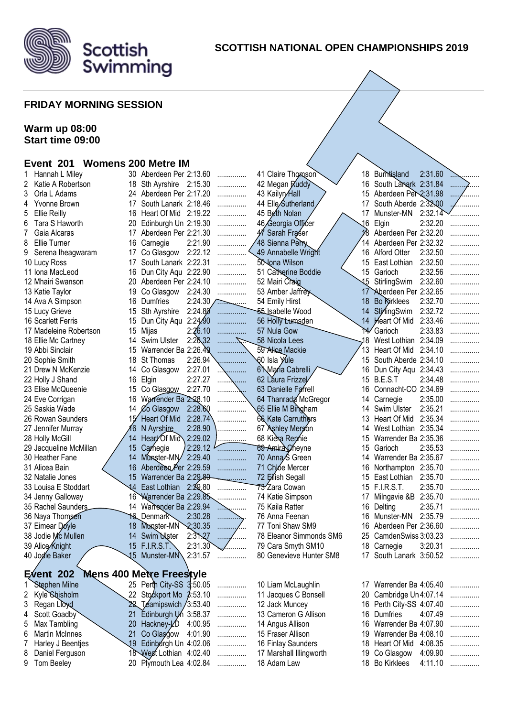

#### **SCOTTISH NATIONAL OPEN CHAMPIONSHIPS 2019**

#### **FRIDAY MORNING SESSION**

#### **Warm up 08:00 Start time 09:00**

#### **Event 201 Womens 200 Metre IM**

|   | Hannah L Miley         | 30.             | Aberdeen Per 2:13.60            |                  | .       | 41 Claire Thomson               | 18  | Burntisland              | 2:31.60 | $\sim$ |
|---|------------------------|-----------------|---------------------------------|------------------|---------|---------------------------------|-----|--------------------------|---------|--------|
| 2 | Katie A Robertson      | 18              | Sth Ayrshire 2:15.30            |                  | .       | 42 Megan Ruddy                  | 16  | South Lanark 2:31.84     |         |        |
| 3 | Orla L Adams           | 24              | Aberdeen Per 2:17.20            |                  | .       | 43 Kailyn/Hall                  | 15  | Aberdeen Per 2:31.98     |         |        |
| 4 | Yvonne Brown           | 17              | South Lanark 2:18.46            |                  | .       | 44 Elle Sutherland              | 17  | South Aberde 2:32-Q0     |         |        |
| 5 | <b>Ellie Reilly</b>    | 16              | Heart Of Mid 2:19.22            |                  | .       | 45 Beth Nolan                   | 17  | Munster-MN               | 2:32.14 |        |
| 6 | Tara S Haworth         | 20              | Edinburgh Un 2:19.30            |                  |         | 46 Georgia Officer              | 16  | Elgin                    | 2:32.20 |        |
| 7 | Gaia Alcaras           | 17              | Aberdeen Per 2:21.30            |                  |         | 47 Sarah Fraser                 |     | Aberdeen Per 2:32.20     |         |        |
| 8 | Ellie Turner           | 16              | Carnegie                        | 2:21.90          |         | 48 Sienna Perry                 | 14  | Aberdeen Per 2:32.32     |         |        |
|   | 9 Serena Iheagwaram    | 17              | Co Glasgow                      | 2:22.12          |         | 49 Annabelle Wright             | 16. | Alford Otter             | 2:32.50 |        |
|   | 10 Lucy Ross           | 17              | South Lanark 2:22.31            |                  |         | 50 Jona Wilson                  | 15  | East Lothian             | 2:32.50 |        |
|   | 11 Iona MacLeod        | 16              | Dun City Aqu 2:22.90            |                  | .       | 51 Catherine Boddie             | 15  | Garioch                  | 2:32.56 |        |
|   | 12 Mhairi Swanson      | 20              | Aberdeen Per 2:24.10            |                  | .       | 52 Mairi Craig                  | 15  | StirlingSwim             | 2:32.60 |        |
|   | 13 Katie Taylor        | 19              | Co Glasgow                      | 2:24.30          | .       | 53 Amber Jaffrey                | 17  | Aberdeen Per 2:32.65     |         |        |
|   | 14 Ava A Simpson       | 16              | Dumfries                        | $2:24.30$ $\sim$ |         | 54 Emily Hirst                  | 18  | <b>Bo Ricklees</b>       | 2:32.70 |        |
|   | 15 Lucy Grieve         | 15              | Sth Ayrshire                    | 2:24.80          | .       | − <del>5</del> 5 _ sabelle Wood | 14  | StirlingSwim             | 2:32.72 |        |
|   | 16 Scarlett Ferris     | 15              | Dun City Aqu                    | 2:24.90          |         | 56 Holly Lumsden                |     | 14 Heart Of Mid          | 2:33.46 |        |
|   | 17 Madeleine Robertson | 15              | Mijas                           | 2:26.10          | .       | 57 Nula Gow                     | ۱4  | Garioch                  | 2:33.83 |        |
|   | 18 Ellie Mc Cartney    | 14              | Swim Ulster                     | 2:26,32          |         | 58 Nicola Lees                  | ,18 | West Lothian             | 2:34.09 |        |
|   | 19 Abbi Sinclair       | 15              | Warrender Ba 2:26.49            |                  |         | 59 Alice Mackie                 | 13  | Heart Of Mid             | 2:34.10 |        |
|   |                        | 18              | St Thomas                       | 2:26.94          |         | √60 Isla Yule                   | 15  | South Aberde 2:34.10     |         |        |
|   | 20 Sophie Smith        |                 |                                 | 2:27.01          | .       |                                 |     |                          |         |        |
|   | 21 Drew N McKenzie     | 14              | Co Glasgow                      |                  | .       | 6 Maria Cabrelli                |     | 16 Dun City Aqu 2:34.43  |         |        |
|   | 22 Holly J Shand       | 16              | Elgin                           | 2:27.27          |         | 62 Láura Frizzel                | 15  | B.E.S.T                  | 2:34.48 |        |
|   | 23 Elise McQueenie     | 15              | Co Glasgow                      | 2:27.70          |         | 63 Danielle Farrell             | 16  | Connacht-CO 2:34.69      |         |        |
|   | 24 Eve Corrigan        | 16              | Warrender Ba 2:28.10            |                  |         | 64 Thanrada McGregor            | 14  | Carnegie                 | 2:35.00 |        |
|   | 25 Saskia Wade         | 14              | Co Glasgow                      | 2:28.60          |         | 65 Ellie M Bingham              | 14  | Swim Ulster              | 2:35.21 |        |
|   | 26 Rowan Saunders      |                 | Heart Of Mid                    | 2:28.74          |         | 66 Kate Carruthers              | 13  | Heart Of Mid             | 2:35.34 |        |
|   | 27 Jennifer Murray     | 16              | N Ayrshire                      | 2:28.90          |         | 67 Ashley Mergon                | 14  | West Lothian 2:35.34     |         |        |
|   | 28 Holly McGill        | 14              | Heart Of Mid                    | 2:29.02          |         | 68 Kiera Rennie                 | 15  | Warrender Ba 2:35.36     |         |        |
|   | 29 Jacqueline McMillan | 15              | Carnegie                        | 2:29.12          |         | 69 Amira Cheyne                 | 15  | Garioch                  | 2:35.53 |        |
|   | 30 Heather Fane        | 14              | Munster-MIV                     | 2:29.40          |         | 70 Anna <sub>S</sub> Green      | 14  | Warrender Ba 2:35.67     |         |        |
|   | 31 Alicea Bain         | 16              | Aberdeen Per 2:29.59            |                  |         | 71 Chlóe Mercer                 | 16  | Northampton 2:35.70      |         |        |
|   | 32 Natalie Jones       | 15              | Warrender Ba 2:29.80            |                  |         | 72 Eilish Segall                | 15  | East Lothian             | 2:35.70 |        |
|   | 33 Louisa E Stoddart   | 14              | East Lothian 2:29.80            |                  |         | 73 <sup>-</sup> Zara Cowan      |     | 15 F.I.R.S.T.            | 2:35.70 |        |
|   | 34 Jenny Galloway      | 16 <sup>°</sup> | Warrender Ba 2:29.85            |                  |         | 74 Katie Simpson                | 17  | Milngavie &B 2:35.70     |         |        |
|   | 35 Rachel Saunders     | 14              | Warrender Ba 2:29.94            |                  | .<br>.  | 75 Kaila Ratter                 | 16  | Delting                  | 2:35.71 |        |
|   | 36 Naya Thomsen        | 16.             | DenmarR                         | 2:30.28          | .       | 76 Anna Feenan                  | 16  | Munster-MN               | 2:35.79 |        |
|   | 37 Eimear Doyle        | 18              | Munster-MN                      | 2:30.35          | .<br>.  | 77 Toni Shaw SM9                | 16  | Aberdeen Per 2:36.60     |         |        |
|   | 38 Jodie Mc Mullen     | 14              | Swim Uster                      | 2:31,27          |         | 78 Eleanor Simmonds SM6         | 25  | CamdenSwiss 3:03.23      |         |        |
|   | 39 Alice Knight        |                 | 15 F.I.R.S.T.                   | 2:31.30          | .       | 79 Cara Smyth SM10              |     | 18 Carnegie              | 3:20.31 |        |
|   | 40 Joglie Baker        | ২১              | Munster-MN\                     |                  | 2:31.57 | 80 Genevieve Hunter SM8         | 17  | South Lanark 3:50.52     |         |        |
|   |                        |                 |                                 |                  |         |                                 |     |                          |         |        |
|   | Event $202$            |                 | <b>Mens 400 Metre Freestyle</b> |                  |         |                                 |     |                          |         |        |
|   | Stephen Milne          |                 | 25 Perth City-SS 3:50.05        |                  | .       | 10 Liam McLaughlin              |     | 17 Warrender Ba 4:05.40  |         | .      |
| 2 | Kyle Shisholm          |                 | 22 Stockport Mo 3:53.10         |                  | .       | 11 Jacques C Bonsell            |     | 20 Cambridge Un 4:07.14  |         |        |
| 3 | Regan Lloyd            |                 | 22 Teamipswich / 3:53.40        |                  | .       | 12 Jack Muncey                  |     | 16 Perth City-SS 4:07.40 |         | .      |
| 4 | Scott Goadby           | 21              | Edinburgh Un 3:58.37            |                  | .       | 13 Cameron G Allison            | 16  | Dumfries                 | 4:07.49 | .      |
| 5 | Max Tambling           | 20              | Hackney- $\n  L0 4:00.95\n$     |                  | .       | 14 Angus Allison                | 16  | Warrender Ba 4:07.90     |         | .      |
| 6 | <b>Martin McInnes</b>  | 21              | Co Glasgow 4:01.90              |                  | .       | 15 Fraser Allison               | 19  | Warrender Ba 4:08.10     |         | .      |
| 7 | Harley J Beentjes      | .19             | Edinburgh Un 4:02.06            |                  | .       | 16 Finlay Saunders              |     | 18 Heart Of Mid 4:08.35  |         | .      |
| 8 | Daniel Ferguson        |                 | 18 West Lothian 4:02.40         |                  | .       | 17 Marshall Illingworth         |     | 19 Co Glasgow            | 4:09.90 | .      |
| 9 | Tom Beeley             |                 | 20 Plymouth Lea 4:02.84         |                  | .       | 18 Adam Law                     |     | 18 Bo Kirklees           | 4:11.10 | .      |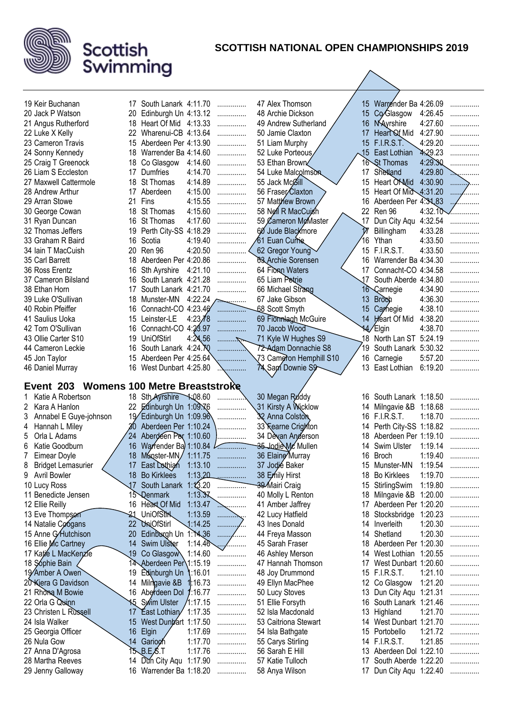

| 19 Keir Buchanan                              |     | 17 South Lanark 4:11.70                         |          | .      | 47 Alex Thomson                    |          | 15 Warrender Ba 4:26.09                      |         | .   |
|-----------------------------------------------|-----|-------------------------------------------------|----------|--------|------------------------------------|----------|----------------------------------------------|---------|-----|
| 20 Jack P Watson                              | 20  | Edinburgh Un 4:13.12                            |          | .      | 48 Archie Dickson                  |          | 15 Co/Glasgow                                | 4:26.45 |     |
| 21 Angus Rutherford                           | 18  | Heart Of Mid 4:13.33                            |          | .      | 49 Andrew Sutherland               | 16       | NAyrshire                                    | 4:27.60 | .   |
| 22 Luke X Kelly                               | 22  | Wharenui-CB 4:13.64                             |          | .      | 50 Jamie Claxton                   | 17       | Heart Of Mid                                 | 4:27.90 | .   |
| 23 Cameron Travis                             | 15  | Aberdeen Per 4:13.90                            |          | .      | 51 Liam Murphy                     |          | 15 F.I.R.S.T.                                | 4:29.20 | .   |
| 24 Sonny Kennedy                              |     | 18 Warrender Ba 4:14.60                         |          | .      | 52 Luke Porteous                   |          | 15 East Lothian                              | 4:29.23 | .   |
| 25 Craig T Greenock                           | 18  | Co Glasgow                                      | 4:14.60  | .      | 53 Ethan Brown                     | 16       | <b>St Thomas</b>                             | 4:29.30 |     |
| 26 Liam S Eccleston                           | 17  | Dumfries                                        | 4:14.70  |        | 54 Luke Malcolmson                 | 17       | Shetland                                     | 4:29.80 |     |
| 27 Maxwell Cattermole                         | 18  | St Thomas                                       | 4:14.89  | .<br>. | 55 Jack McGill                     | 15       | Heart Of Mid                                 | 4:30.90 |     |
| 28 Andrew Arthur                              | 17  | Aberdeen                                        | 4:15.00  |        | 56 Fraser/Claxton                  | 15       | Heart Of Mid $\leftarrow$ 4:31.20            |         | . 7 |
| 29 Arran Stowe                                | 21  | Fins                                            | 4:15.55  | .      | 57 Matthew Brown                   | 16       | Aberdeen Per 4:31,83                         |         | .   |
|                                               |     | St Thomas                                       | 4:15.60  | .      |                                    | 22       | Ren 96                                       | 4:32.10 |     |
| 30 George Cowan                               | 18  |                                                 |          | .      | 58 Ngil R MacCuish                 |          |                                              |         |     |
| 31 Ryan Duncan                                | 16  | St Thomas                                       | 4:17.60  | .      | 59 Cameron McMaster                | 17       | Dun City Aqu 4:32.54                         |         |     |
| 32 Thomas Jeffers                             | 19  | Perth City-SS 4:18.29                           |          | .      | 60 Jude Blackmore                  |          | Billingham                                   | 4:33.28 |     |
| 33 Graham R Baird                             | 16  | Scotia                                          | 4:19.40  | .      | 61 Euan Currie                     | 16       | Ythan                                        | 4:33.50 | .   |
| 34 Iain T MacCuish                            | 20  | Ren 96                                          | 4:20.50  | .      | 62 Gregor Young                    |          | 15 F.I.R.S.T.                                | 4:33.50 | .   |
| 35 Carl Barrett                               | 18  | Aberdeen Per 4:20.86                            |          | .      | <b>63 Archie Sorensen</b>          |          | 16 Warrender Ba 4:34.30                      |         | .   |
| 36 Ross Erentz                                | 16  | Sth Ayrshire                                    | 4:21.10  | .      | 64 Florin Waters                   |          | 17 Connacht-CO 4:34.58                       |         | .   |
| 37 Cameron Bilsland                           | 16. | South Lanark 4:21.28                            |          | .      | 65 Liam Petrie                     | 17       | South Aberde 4:34.80                         |         |     |
| 38 Ethan Horn                                 | 17  | South Lanark 4:21.70                            |          | .      | 66 Michael Strang                  | 16`      | Carnegie                                     | 4:34.90 |     |
| 39 Luke O'Sullivan                            | 18  | Munster-MN                                      | 4:22.24  | .      | 67 Jake Gibson                     | 13       | <b>Broch</b>                                 | 4:36.30 |     |
| 40 Robin Pfeiffer                             | 16  | Connacht-CO 4:23.46                             |          |        | 68 Scott Smyth                     | 15       | Carnegie                                     | 4:38.10 |     |
| 41 Saulius Uoka                               | 15  | Leinster-LE                                     | 4:23/8   | .      | 69 Flormlagh McGuire               |          | 14 Heart Of Mid                              | 4:38.20 | .   |
| 42 Tom O'Sullivan                             | 16  | Connacht-CO 4:23.97                             |          | .      | 70 Jacob Wood                      |          | 14/Elgin                                     | 4:38.70 | .   |
| 43 Ollie Carter S10                           | 19  | UniOfStirl                                      | 4:24.56  | . 75   | 71 Kyle W Hughes S9                | 18       | North Lan ST 5:24.19                         |         |     |
| 44 Cameron Leckie                             | 16  | South Lanark 4:24.70                            |          |        | 72-Adam Donnachie S8               | 19       | South Lanark 5:30.32                         |         |     |
| 45 Jon Taylor                                 | 15  | Aberdeen Per 4:25.64                            |          | .      | 73 Cameron Hemphill S10            |          | 16 Carnegie                                  | 5:57.20 | .   |
| 46 Daniel Murray                              | 16  | West Dunbart 4:25.80                            |          |        | 74 Sam Downie S9                   |          | 13 East Lothian                              | 6:19.20 |     |
|                                               |     |                                                 |          |        |                                    |          |                                              |         |     |
|                                               |     |                                                 |          |        |                                    |          |                                              |         |     |
| Event 203 Womens 100 Metre Breaststroke       |     |                                                 |          |        |                                    |          |                                              |         |     |
| Katie A Robertson                             |     | 18 Sth Avrshire 1:08.60                         |          |        | 30 Megan Ruddy                     |          | 16 South Lanark 1:18.50                      |         |     |
| 2<br>Kara A Hanlon                            |     | 22 Edinburgh Un 1:09.76                         |          |        | 31 Kirsty A Wicklow                |          | 14 Milngavie &B 1:18.68                      |         |     |
| 3                                             |     |                                                 |          |        | 32 Anna Colston                    |          | 16 F.I.R.S.T.                                | 1:18.70 |     |
| Annabel E Guye-johnson<br>Hannah L Miley<br>4 | 30  | 19 Edinburgh Un 1:09.96<br>Aberdeen Per 1:10.24 |          |        |                                    |          | 14 Perth City-SS 1:18.82                     |         |     |
| Orla L Adams<br>5                             | 24. |                                                 |          | .      | 33 Fearne Crighton                 | 18       |                                              |         |     |
| 6                                             |     | Aberdeen Per 1:10.60                            |          | .      | 34 Devan Anderson                  | 14       | Aberdeen Per 1:19.10                         |         |     |
| Katie Goodburn                                | 18  | 16 Warrender Ba 1:10.84                         |          |        | 35 Jodie Mc Mullen                 | 16       | Swim Ulster                                  | 1:19.14 |     |
| Eimear Doyle<br>8                             | 17  | Munster-MN/                                     | 1:11.75  |        | 36 Elaine Murray                   |          | <b>Broch</b>                                 | 1:19.40 |     |
| <b>Bridget Lemasurier</b>                     |     | East Lothigh 1:13.10                            |          |        | 37 Jodié Baker                     |          | 15 Munster-MN                                | 1:19.54 |     |
| <b>Avril Bowler</b><br>9                      | 18  | <b>Bo Kirklees</b>                              | 1:13.20  | .      | 38 Emily Hirst                     | 18       | <b>Bo Kirklees</b>                           | 1:19.70 | .   |
| 10 Lucy Ross                                  | 17  | South Lanark 1:13.20                            |          | .      | 39 Mairi Craig                     | 15       | StirlingSwim                                 | 1:19.80 | .   |
| 11 Benedicte Jensen                           |     | 15 <b>Qenmark</b>                               | 1:13.37  | .      | 40 Molly L Renton                  | 18       | Milngavie &B                                 | 1:20.00 | .   |
| 12 Ellie Reilly                               |     | 16 Heart Of Mid                                 | 1:13.47  | .      | 41 Amber Jaffrey                   |          | 17 Aberdeen Per 1:20.20                      |         | .   |
| 13 Eve Thompson                               | 21  | <b>UniOfSthl</b>                                | 1:13.59  | .      | 42 Lucy Hatfield                   |          | 18 Stocksbridge                              | 1:20.23 |     |
| 14 Natalie Coógans                            | 22  | <b>UniOfStirl</b>                               | 1:14.25  |        | 43 Ines Donald                     | 14       | Inverleith                                   | 1:20.30 | .   |
| 15 Anne G/Hutchison                           | 20  | Edinburgh Un 1:14,36                            |          | .      | 44 Freya Masson                    | 14       | Shetland                                     | 1:20.30 | .   |
| 16 Ellie Mc Cartney                           | 14  | Swim Ulster                                     | 1:14.46  | .      | 45 Sarah Fraser                    | 18       | Aberdeen Per 1:20.30                         |         | .   |
| 17 Katie L MacKenzie                          | 19  | Co Glasgow                                      | 1:14.60  | .      | 46 Ashley Merson                   | 14       | West Lothian 1:20.55                         |         | .   |
| 18 Sóphie Bain                                |     | 14 Aberdeen Per 1:15.19                         |          | .      | 47 Hannah Thomson                  | 17       | West Dunbart 1:20.60                         |         | .   |
| 19 Amber A Owen                               | 19  | Edinburgh Un                                    | 1:16.01  | .      | 48 Joy Drummond                    |          | 15 F.I.R.S.T.                                | 1:21.10 | .   |
| 20 Kiera G Davidson                           | 14  | Milngavie &B                                    | 1:16.73  | .      | 49 Ellyn MacPhee                   |          | 12 Co Glasgow                                | 1:21.20 | .   |
| 21 Rhona M Bowie                              |     | 16 Aberdeen Dol                                 | 1:16.77  | .      | 50 Lucy Stoves                     |          | 13 Dun City Aqu 1:21.31                      |         | .   |
| 22 Orla G Quinn                               |     | 15 Swim Ulster                                  | /1:17.15 | .      | 51 Ellie Forsyth                   | 16       | South Lanark 1:21.46                         |         | .   |
| 23 Christen L Russell                         | 17  | East Lothian 1:17.35                            |          | .      | 52 Isla Macdonald                  | 13       | Highland                                     | 1:21.70 | .   |
| 24 Isla Walker                                | 15  | West Dungart 1:17.50                            |          | .      | 53 Caitriona Stewart               |          | 14 West Dunbart 1:21.70                      |         | .   |
| 25 Georgia Officer                            | 16  | Elgin                                           | 1:17.69  | .      | 54 Isla Bathgate                   |          | 15 Portobello                                | 1:21.72 |     |
| 26 Nula Gow                                   |     | 14 Gariogh                                      | 1:17.70  | .      | 55 Carys Stirling                  |          | 14 F.I.R.S.T.                                | 1:21.85 | .   |
| 27 Anna D'Agrosa                              |     | $15$ B.E.S.T                                    | 1:17.76  | .      | 56 Sarah E Hill                    |          | 13 Aberdeen Dol 1:22.10                      |         | .   |
| 28 Martha Reeves<br>29 Jenny Galloway         | 14  | Dun City Aqu 1:17.90<br>16 Warrender Ba 1:18.20 |          | .      | 57 Katie Tulloch<br>58 Anya Wilson | 17<br>17 | South Aberde 1:22.20<br>Dun City Aqu 1:22.40 |         | .   |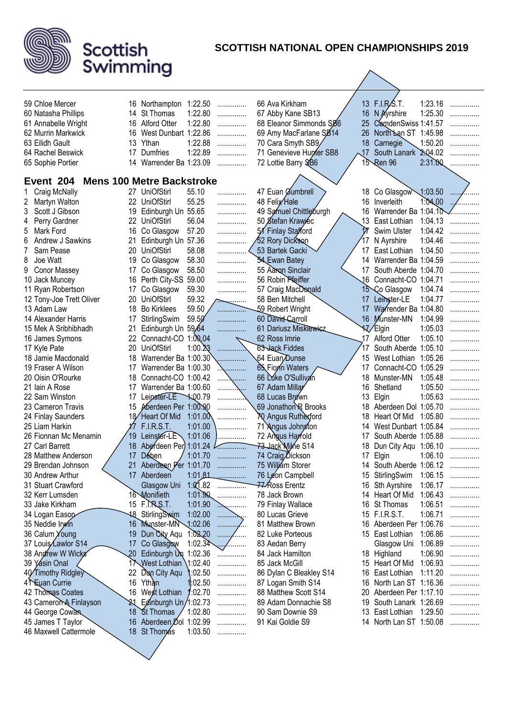

| 59 Chloe Mercer            |    | 16 Northampton 1:22.50           |                    | .        | 66 Ava Kirkham           |     | 13 F.I.R.S.T.                     | 1:23.16 |          |
|----------------------------|----|----------------------------------|--------------------|----------|--------------------------|-----|-----------------------------------|---------|----------|
| 60 Natasha Phillips        |    | 14 St Thomas                     | 1:22.80            | .        | 67 Abby Kane SB13        | 16  | N Ayrshire                        | 1:25.30 | .<br>.   |
| 61 Annabelle Wright        |    | 16 Alford Otter                  | 1:22.80            | .        | 68 Eleanor Simmonds SB6  | 25  | CamdenSwiss 1:41.57               |         | .        |
| 62 Murrin Markwick         |    | 16 West Dunbart 1:22.86          |                    | .        | 69 Amy MacFarlane SB14   | 26  | North Lan ST 1:45.98              |         |          |
| 63 Eilidh Gault            |    | 13 Ythan                         | 1:22.88            | .        | 70 Cara Smyth SB9/       | 18  | Carnegie                          | 1:50.20 | .        |
| 64 Rachel Beswick          | 17 | Dumfries                         | 1:22.89            | .        | 71 Genevieve Hunter SB8  | .17 | South Lanark                      | 2.04.02 | .        |
| 65 Sophie Portier          |    | 14 Warrender Ba 1:23.09          |                    | .        | 72 Lottie Barry SB6      | 15  | Ren 96                            | 2:31.00 |          |
|                            |    |                                  |                    |          |                          |     |                                   |         |          |
| Event 204                  |    | <b>Mens 100 Metre Backstroke</b> |                    |          |                          |     |                                   |         |          |
| Craig McNally              |    | 27 UniOfStirl                    | 55.10              | .        | 47 Euan Gumbrell         |     | 18 Co Glasgow                     | 1:03.50 | $\cdots$ |
| 2<br>Martyn Walton         |    | 22 UniOfStirl                    | 55.25              | .        | 48 Felix Hale            | 16  | Inverleith                        | 1:04,00 | .        |
| Scott J Gibson<br>3        | 19 | Edinburgh Un 55.65               |                    | .        | 49 Samuel Chittleburgh   | 16  | Warrender Ba $1:04.10\rightarrow$ |         |          |
| Perry Gardner<br>4         | 22 | <b>UniOfStirl</b>                | 56.04              | .        | 50 Stefan Krawiec        |     | 13 East Lothian                   | 1:04.13 | .        |
| Mark Ford<br>5             | 16 | Co Glasgow                       | 57.20              | .        | 51 Finlay Stafford       |     | Swim Ulster                       | 1:04.42 | .        |
| Andrew J Sawkins<br>6      | 21 | Edinburgh Un 57.36               |                    | .        | 52 Rory Dickson          |     | N Ayrshire                        | 1:04.46 |          |
| Sam Pease                  | 20 | <b>UniOfStirl</b>                | 58.08              |          | 53 Bartek Gacki          |     | 17 East Lothian                   | 1:04.50 |          |
| 8<br>Joe Watt              | 19 | Co Glasgow                       | 58.30              | .        | <b>SA Ewan Batey</b>     | 14  | Warrender Ba 1:04.59              |         | .        |
| 9<br>Conor Massey          | 17 | Co Glasgow                       | 58.50              | .        | 55 Aaron Sinclair        | 17  | South Aberde 1:04.70              |         |          |
| 10 Jack Muncey             | 16 | Perth City-SS 59.00              |                    | .        | 56 Robin Pfeiffer        |     | 16 Connacht-CO 1:04.71            |         | .        |
| 11 Ryan Robertson          | 17 | Co Glasgow                       | 59.30              | .        | 57 Craig MacDonald       |     | 15 Co Glasgow                     | 1:04.74 | .        |
| 12 Tony-Joe Trett Oliver   | 20 | <b>UniOfStirl</b>                | 59.32              |          | 58 Ben Mitchell          | 17  | Leinster-LE                       | 1:04.77 | .        |
| 13 Adam Law                | 18 | <b>Bo Kirklees</b>               | 59.50              | .        | 59 Robert Wright         |     | 17 Warrender Ba 1:04.80           |         | .        |
| 14 Alexander Harris        | 17 | StirlingSwim                     | 59.50              | .        | 60 David Carroll         |     | 16 Munster-MN                     | 1:04.99 | .        |
| 15 Mek A Sribhibhadh       | 21 | Edinburgh Un 59.64               |                    | .        | 61 Dariusz Miskiewisz    |     | 17/Elgin                          | 1:05.03 | .        |
| 16 James Symons            | 22 | Connacht-CO 1:00.04              |                    |          | 62 Ross Imrie            |     | 17 Alford Otter                   | 1:05.10 | .        |
| 17 Kyle Pate               | 20 | <b>UniOfStirl</b>                | 1:00.23            | .        | 63 Jack Fiddes           |     | South Aberde 1:05.10              |         | .        |
| 18 Jamie Macdonald         | 18 | Warrender Ba 1:00.30             |                    |          | 64 Euan Dunse            | 15  | West Lothian 1:05.26              |         |          |
| 19 Fraser A Wilson         | 17 | Warrender Ba 1:00.30             |                    |          | 65 Fiorin Waters         | 17  | Connacht-CO 1:05.29               |         | .        |
| 20 Oisin O'Rourke          | 18 | Connacht-CO 1:00.42              |                    |          | 66 Luke O'Sullivan       | 18  | Munster-MN                        | 1:05.48 | .        |
| 21 Iain A Rose             | 17 | Warrender Ba 1:00.60             |                    |          | 67 Adam Millar           | 16  | Shetland                          | 1:05.50 | .        |
| 22 Sam Winston             | 17 | Leipster-LE 4:00.79              |                    | .        | 68 Lucas Brøwn           | 13  | Elgin                             | 1:05.63 | .        |
| 23 Cameron Travis          | 15 | Aberdeen Per 1:00.90             |                    | .        | 69 Jonathon R Brooks     |     | 18 Aberdeen Dol 1:05.70           |         | .        |
| 24 Finlay Saunders         |    | 18 Heart Of Mid                  | 1:01.00            |          | YQ Angus Rutherford      | 18  | Heart Of Mid                      | 1:05.80 |          |
| 25 Liam Harkin             |    | <b>F.I.R.S.T.</b>                | 1:01.00            | .        | 71 Angus Johnston        | 14  | West Dunbart 1:05.84              |         | .        |
| 26 Fionnan Mc Menamin      | 19 | Leinster-LE                      | 1:01.06            | .        | 72 Angus Harfold         | 17  | South Aberde 1:05.88              |         | .        |
| 27 Carl Barrett            | 18 | Aberdeen Per 1:01.24             |                    |          | <b>73 Jack Milne S14</b> | 18  | Dun City Aqu 1:06.10              |         |          |
| 28 Matthew Anderson        | 17 | <b>Dében</b>                     | 1:01.70            | .        | 74 Craig Dickson         | 17  | Elgin                             | 1:06.10 | .        |
| 29 Brendan Johnson         | 21 | Aberdeen Per 1:01.70             |                    |          | 75 Williám Storer        |     | 14 South Aberde 1:06.12           |         |          |
| 30 Andrew Arthur           |    | 17 Aberdeen                      | 1:01.81            | .        | 76 Leon Campbell         |     | 15 StirlingSwim                   | 1:06.15 | .        |
| 31 Stuart Crawford         |    | Glasgow Uni                      | 1:001.82           | .        | 77 Ross Erentz           |     | 16 Sth Ayrshire                   | 1:06.17 | .        |
| 32 Kerr Lumsden            |    | 16 Monifieth                     | 1:01.90            | .        | 78 Jack Brown            | 14  | Heart Of Mid                      | 1:06.43 | .        |
| 33 Jake Kirkham            |    | 15 F.I.R.S.T.                    | 1:01.90            | .        | 79 Finlay Wallace        | 16  | St Thomas                         | 1:06.51 | .        |
| 34 Logan Easop∕            |    | 18 StirlingSwim                  | 1:02.00            | .        | 80 Lucas Grieve          |     | 15 F.I.R.S.T.                     | 1:06.71 | .        |
| 35 Neddie Irwin            |    | 16 Munster-MN                    | 1:02.06            | .        | 81 Matthew Brown         | 16  | Aberdeen Per 1:06.76              |         |          |
| 36 Calum Young             | 19 | Dun City Aqu                     | 1:02,20            | $\cdots$ | 82 Luke Porteous         |     | 15 East Lothian                   | 1:06.86 | .        |
| 37 Louis Lawlor S14        | 17 | Co Glasgow                       | 1:02.34            | .        | 83 Aedan Berry           |     | Glasgow Uni                       | 1:06.89 | .        |
| 38 Andrew W Wicks          | 20 | Edinburgh Un 1:02.36             |                    | .        | 84 Jack Hamilton         |     | 18 Highland                       | 1:06.90 | .        |
| 39 Yasin Onal              |    | West Lothian                     | 1:02.40            | .        | 85 Jack McGill           |     | 15 Heart Of Mid                   | 1:06.93 | .        |
| 40∕Timothy Ridgleyे        | 22 | Dan City Aqu                     | :02.50             | .        | 86 Dylan C Bleakley S14  | 16. | East Lothian                      | 1:11.20 | .        |
| 4 <sup>1</sup> Euan Currie | 16 | Ythan                            | $\parallel$ :02.50 | .        | 87 Logan Smith S14       | 16  | North Lan ST 1:16.36              |         |          |
| 42 Thomas Coates           | 16 | West Lothian                     | :02.70             | .        | 88 Matthew Scott S14     | 20  | Aberdeen Per 1:17.10              |         | .        |
| 43 Cameron A Finlayson     |    | Edinburgh Un/1:02.73             |                    | .        | 89 Adam Donnachie S8     | 19  | South Lanark 1:26.69              |         | .        |
| 44 George Cowan            | 18 | St Thomas                        | 1:02.80            |          | 90 Sam Downie S9         | 13  | East Lothian                      | 1:29.50 |          |
| 45 James T Taylor          | 16 | Aberdeen Dol 1:02.99             |                    | .        | 91 Kai Goldie S9         | 14  | North Lan ST 1:50.08              |         | .        |
| 46 Maxwell Cattermole      |    | 18 St Thomas                     | 1:03.50            | .        |                          |     |                                   |         |          |
|                            |    |                                  |                    |          |                          |     |                                   |         |          |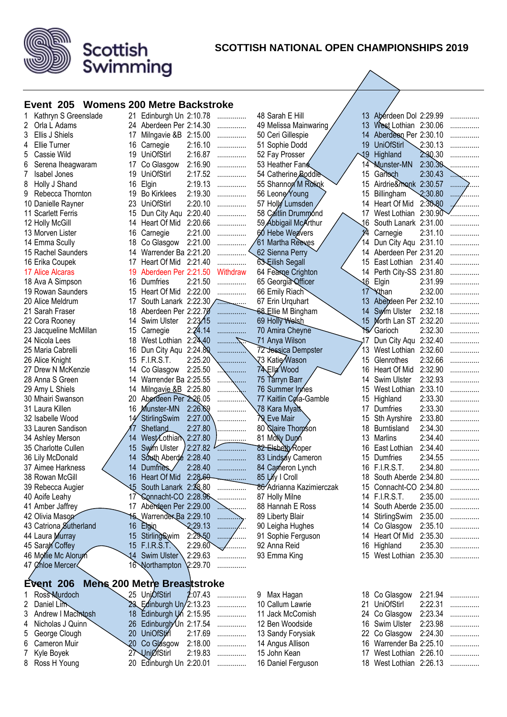

#### **SCOTTISH NATIONAL OPEN CHAMPIONSHIPS 2019**

 $\overline{\phantom{a}}$ 

#### **Event 205 Womens 200 Metre Backstroke**

Scottish<br>Swimming

| Kathryn S Greenslade<br>1           |                               | 21 Edinburgh Un 2:10.78            | .           | 48 Sarah E Hill          |                 | 13 Aberdeen Dol 2:29.99  |         | . |
|-------------------------------------|-------------------------------|------------------------------------|-------------|--------------------------|-----------------|--------------------------|---------|---|
| 2<br>Orla L Adams                   | 24                            | Aberdeen Per 2:14.30               | .           | 49 Melissa Mainwaring    | 13 <sup>2</sup> | West Lothian 2:30.06     |         |   |
| 3<br>Ellis J Shiels                 | 17                            | Milngavie &B 2:15.00               | .           | 50 Ceri Gillespie        | 14              | Aberdeen Per 2:30.10     |         |   |
| Ellie Turner<br>4                   | Carnegie<br>16                | 2:16.10                            | .           | 51 Sophie Dodd           | 19              | <b>UniOfStirl</b>        | 2:30.13 |   |
| 5<br>Cassie Wild                    | <b>UniOfStirl</b><br>19       | 2:16.87                            | .           | 52 Fay Prosser           | 19              | Highland                 | 2.30.30 |   |
| Serena Iheagwaram<br>6              | Co Glasgow<br>17              | 2:16.90                            | .           | 53 Heather Fane          | 14              | <b>Munster-MN</b>        | 2:30.30 |   |
| Isabel Jones<br>7                   | <b>UniOfStirl</b><br>19       | 2:17.52                            | .           | 54 Catherine Boddle      | 15              | Garloch                  | 2:30.43 |   |
| Holly J Shand<br>8                  | 16<br>Elgin                   | 2:19.13                            | .           | 55 Shannon M Rolingk     | 15              | Airdrie&monk 2:30.57     |         | . |
| 9<br>Rebecca Thornton               | 19<br><b>Bo Kirklees</b>      | 2:19.30                            | .           | 56 Leone Young           | 15              | Billingham               | 2:30.80 |   |
| 10 Danielle Rayner                  | 23<br><b>UniOfStirl</b>       | 2:20.10                            | .           | 57 Holly Lumsden         | 14              | Heart Of Mid             | 2:30.80 |   |
| 11 Scarlett Ferris                  | 15<br>Dun City Aqu            | 2:20.40                            | .           | 58 Caitlin Drummond      | 17              | West Lothian             | 2:30.90 |   |
| 12 Holly McGill                     | Heart Of Mid<br>14            | 2:20.66                            | .           | 59 Abbigail McArthur     | .16             | South Lanark 2:31.00     |         |   |
| 13 Morven Lister                    | Carnegie<br>16                | 2:21.00                            | .           | 60 Hebe Weavers          | 14              | Carnegie                 | 2:31.10 |   |
| 14 Emma Scully                      | Co Glasgow<br>18              | 2:21.00                            |             | 61 Martha Reeves         | 14.             | Dun City Aqu 2:31.10     |         |   |
| 15 Rachel Saunders                  | 14                            | Warrender Ba 2:21.20               |             | 62 Sienna Perry          |                 | 14 Aberdeen Per 2:31.20  |         |   |
| 16 Erika Coupek                     | 17                            | Heart Of Mid 2:21.40               |             | 63 Eilish Segall         | 15.             | East Lothian 2:31.40     |         |   |
| 17 Alice Alcaras                    | 19                            | Aberdeen Per 2:21.50               | Withdraw    | 64 Fearne Crighton       |                 | 14 Perth City-SS 2:31.80 |         |   |
| 18 Ava A Simpson                    | Dumfries<br>16                | 2:21.50                            | .           | 65 Georgia Officer       | 16              | Elgin                    | 2:31.99 |   |
| 19 Rowan Saunders                   | Heart Of Mid<br>15            | 2:22.00                            | .           | 66 Emily Riach           | 17              | <b>Xthan</b>             | 2:32.00 |   |
| 20 Alice Meldrum                    | 17                            | South Lanark 2:22.30               |             | 67 Erin Urquhart         | 13              | Abeideen Per 2:32.10     |         |   |
| 21 Sarah Fraser                     | 18                            | Aberdeen Per 2:22.70               | .           | 68 Ellie M Bingham       | 14              | Swim Ulster              | 2:32.18 |   |
| 22 Cora Rooney                      | Swim Ulster<br>14             | 2:23/15                            | .           | 69 Holly Welsh           |                 | 15 Morth Lan ST 2:32.20  |         |   |
| 23 Jacqueline McMillan              | 15<br>Carnegie                | 2:24.14                            | .           | 70 Amira Cheyne          | 15              | Garioch                  | 2:32.30 | . |
| 24 Nicola Lees                      | 18<br>West Lothian            | 2:24,40                            |             | 71 Anya Wilson           | ,17             | Dun City Aqu 2:32.40     |         |   |
| 25 Maria Cabrelli                   | Dun City Aqu<br>16            | 2:24.80                            |             | 72 Jessica Dempster      |                 | West Lothian 2:32.60     |         |   |
| 26 Alice Knight                     | <b>F.I.R.S.T.</b><br>15       | 2:25.20                            |             | √73 Katie⁄Wason          | 15              | Glenrothes               | 2:32.66 |   |
| 27 Drew N McKenzie                  | Co Glasgow<br>14              | 2:25.50                            |             | 74 Ella Wood             | 16              | Heart Of Mid             | 2:32.90 |   |
| 28 Anna S Green                     | 14                            | Warrender Ba 2:25.55               |             | 75 Tarryn Barr           | 14              | Swim Ulster              | 2:32.93 |   |
| 29 Amy L Shiels                     | 14                            | Milngavie &B 2:25.80               |             | 76 Summer Innes          | 15              | West Lothian             | 2:33.10 |   |
| 30 Mhairi Swanson                   | 20                            | Aberdeen Per 2:26.05               |             | 77 Kaitlin Cola-Gamble   | 15              | Highland                 | 2:33.30 |   |
| 31 Laura Killen                     | 16<br>Munster-MN              | 2:26.69                            |             | 78 Kara Myatt            | 17              | Dumfries                 | 2:33.30 |   |
| 32 Isabelle Wood                    | StirlingSwim                  | 2:27.00                            |             | <b>29</b> Eve Mair       | 15              | Sth Ayrshire             | 2:33.80 |   |
| 33 Lauren Sandison                  | Shetland                      | 2:27.80                            |             | 80 Slaire Thomson        | 18              | <b>Burntisland</b>       | 2:34.30 |   |
| 34 Ashley Merson                    | WestZothiam<br>14             | 2:27.80                            |             | 81 Molly Dunn            | 13              | Marlins                  | 2:34.40 |   |
| 35 Charlotte Cullen                 | Swim Ulster<br>15             | 2:27.82                            | .           | 82 Elsbelty Roper        | 16              | East Lothian             | 2:34.40 | . |
| 36 Lily McDonald                    | 14                            | South Aberde 2:28.40               | .           | 83 Lindsay Cameron       | 15              | Dumfries                 | 2:34.55 |   |
| 37 Aimee Harkness                   | Dumfries.<br>14               | 2:28.40                            | .           | 84 Cameron Lynch         | 16              | <b>F.I.R.S.T.</b>        | 2:34.80 |   |
| 38 Rowan McGill                     | Heart Of Mid<br>16            | 2:28,60                            |             | 85 Lify I Croll          | 18              | South Aberde 2:34.80     |         |   |
|                                     | 15<br>South Lanark            | 2:28.80                            |             | 86 Adrianna Kazimierczak |                 | Connacht-CO 2:34.80      |         |   |
| 39 Rebecca Augier<br>40 Aoife Leahy |                               | 17 Connacht-CO 2:28.96             |             | 87 Holly Milne           | 15              | 14 F.I.R.S.T.            | 2:35.00 |   |
|                                     |                               | 17 Aberdeen Per 2:29.00            | .           | 88 Hannah E Ross         |                 | 14 South Aberde 2:35.00  |         | . |
| 41 Amber Jaffrey                    |                               | 15 Warrender Ba 2:29.10            |             |                          |                 |                          |         | . |
| 42 Olivia Mason                     |                               | 2:29.13                            | .           | 89 Liberty Blair         |                 | 14 StirlingSwim          | 2:35.00 | . |
| 43 Catriona Sutherland              | Elgin<br>16                   |                                    | .<br>.<br>. | 90 Leigha Hughes         |                 | 14 Co Glasgow            | 2:35.10 | . |
| 44 Laura Murray                     | StirlingSwim<br>15            | 2:29.50<br>2:29.60                 |             | 91 Sophie Ferguson       |                 | 14 Heart Of Mid          | 2:35.30 | . |
| 45 Saran Coffey                     | 15<br>F.I.R.S.T.              |                                    | .           | 92 Anna Reid             |                 | 16 Highland              | 2:35.30 | . |
| 46 Mollie Mc Alorum                 | 14<br>Swim Ulster             | 2:29.63                            | .           | 93 Emma King             |                 | 15 West Lothian 2:35.30  |         | . |
| 47 Chloe Mercer                     | 16 Northampton                | 2:29.70                            |             |                          |                 |                          |         |   |
| Event 206                           |                               | <b>Mens 200 Metre Breaststroke</b> |             |                          |                 |                          |         |   |
| Ross Murdoch                        | 25 UnjOfStirl                 | 2:07.43                            | .           | Max Hagan<br>9           |                 | 18 Co Glasgow            | 2:21.94 |   |
| 2<br>Daniel Lim                     |                               | 23 Edinburgh Un/2:13.23            | .           | 10 Callum Lawrie         | 21              | <b>UniOfStirl</b>        | 2:22.31 | . |
| Andrew I Macintosh<br>3             |                               | Edinburgh Un 2:15.95               | .           | 11 Jack McComish         |                 | 24 Co Glasgow            | 2:23.34 |   |
| Nicholas J Quinn<br>4               | 26                            | Edinburgh Un 2:17.54               | .           | 12 Ben Woodside          | 16              | Swim Ulster              | 2:23.98 | . |
| George Clough<br>5                  | 20<br>UniOfStirl              | 2:17.69                            | .           | 13 Sandy Forysiak        |                 | 22 Co Glasgow            | 2:24.30 | . |
| Cameron Muir<br>6                   | 20 <sub>2</sub><br>Co Glasgow | 2:18.00                            | .           | 14 Angus Allison         |                 | 16 Warrender Ba 2:25.10  |         | . |
| Kyle Boyek<br>7                     | 27 UniØfStirl                 | 2:19.83                            | .           | 15 John Kean             | 17              | West Lothian 2:26.10     |         | . |
| Ross H Young<br>8                   |                               | 20 Edinburgh Un 2:20.01            | .           | 16 Daniel Ferguson       |                 | 18 West Lothian 2:26.13  |         | . |
|                                     |                               |                                    |             |                          |                 |                          |         |   |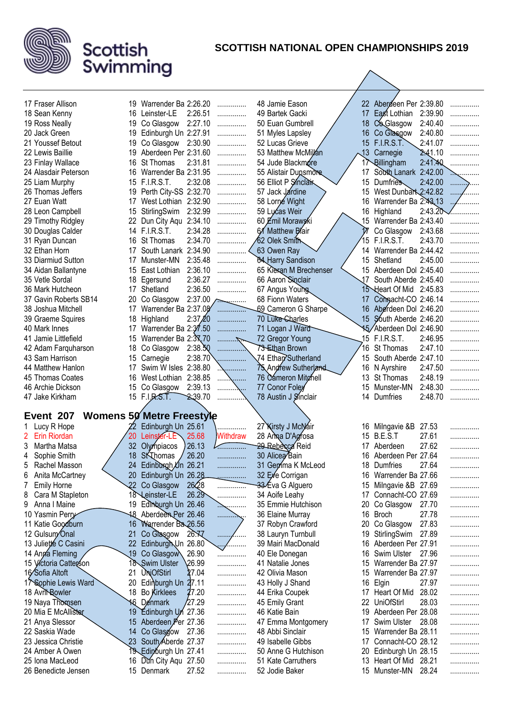

| 17 Fraser Allison                      |                  | 19 Warrender Ba 2:26.20             |         | .          | 48 Jamie Eason                       |            | 22 Abergeen Per 2:39.80             |         |   |
|----------------------------------------|------------------|-------------------------------------|---------|------------|--------------------------------------|------------|-------------------------------------|---------|---|
| 18 Sean Kenny                          | 16               | Leinster-LE                         | 2:26.51 | .          | 49 Bartek Gacki                      | 17         | East Lothian                        | 2:39.90 | . |
| 19 Ross Neally                         | 19               | Co Glasgow                          | 2:27.10 | .          | 50 Euan Gumbrell                     | 18         | Co Glasgow                          | 2:40.40 | . |
| 20 Jack Green                          | 19               | Edinburgh Un 2:27.91                |         | .          | 51 Myles Lapsley                     | 16         | Co Glasgow                          | 2:40.80 | . |
| 21 Youssef Betout                      | 19               | Co Glasgow                          | 2:30.90 |            | 52 Lucas Grieve                      | 15         | <b>F.I.R.S.T.</b>                   | 2:41.07 |   |
|                                        |                  |                                     |         | .          |                                      |            |                                     |         | . |
| 22 Lewis Baillie                       | 19               | Aberdeen Per 2:31.60                |         | .          | 53 Matthew McMillan                  | $\sqrt{3}$ | Carnegie                            | 2.41.10 | . |
| 23 Finlay Wallace                      | 16               | St Thomas                           | 2:31.81 | .          | 54 Jude Blackmore                    |            | 17 Billingham                       | 2:41.40 |   |
| 24 Alasdair Peterson                   | 16.              | Warrender Ba 2:31.95                |         | .          | 55 Alistair Dunsmore                 | 17         | South Lanark                        | 2:42.00 |   |
| 25 Liam Murphy                         |                  | 15 F.I.R.S.T.                       | 2:32.08 | .          | 56 Elliot P Sinclair                 | 15         | Dumfries                            | 2:42.00 | . |
| 26 Thomas Jeffers                      | 19               | Perth City-SS 2:32.70               |         | .          | 57 Jack Jardine                      | 15         | West Dunbart 2:42.82                |         |   |
| 27 Euan Watt                           | 17               | West Lothian 2:32.90                |         | .          | 58 Lorné Wight                       | 16         | Warrender Ba 2:43.13                |         |   |
| 28 Leon Campbell                       | 15               | StirlingSwim                        | 2:32.99 | .          | 59 Lucas Weir                        | 16         | Highland                            | 2:43.20 |   |
| 29 Timothy Ridgley                     | 22               | Dun City Aqu 2:34.10                |         | .          | 60 Emil Morawski                     | 15         | Warrender Ba 2:43.40                |         | . |
| 30 Douglas Calder                      |                  | 14 F.I.R.S.T.                       | 2:34.28 | .          | 61 Matthew Blair                     |            | Co Glasgow                          | 2:43.68 |   |
| 31 Ryan Duncan                         | 16               | St Thomas                           | 2:34.70 |            | ∕62 Olek Smith                       | 15         | <b>F.I.R.S.T.</b>                   | 2:43.70 |   |
| 32 Ethan Horn                          | 17               | South Lanark 2:34.90                |         |            | 63 Owen Ray                          | 14         | Warrender Ba 2:44.42                |         |   |
| 33 Diarmiud Sutton                     | 17               | Munster-MN                          | 2:35.48 | .          | <b>84 Harry Sandison</b>             | 15         | Shetland                            | 2:45.00 | . |
| 34 Aidan Ballantyne                    | 15               | East Lothian                        | 2:36.10 | .          | 65 Kieran M Brechenser               |            | 15 Aberdeen Dol 2:45.40             |         |   |
| 35 Vetle Sordal                        | 18               | Egersund                            | 2:36.27 | .          | 66 Aaron Sinclair                    | 17         | South Aberde 2:45.40                |         | . |
| 36 Mark Hutcheon                       | 17               | Shetland                            | 2:36.50 |            |                                      |            | 15 Heart Of Mid 2:45.83             |         |   |
|                                        |                  |                                     |         | .          | 67 Angus Young                       |            |                                     |         |   |
| 37 Gavin Roberts SB14                  | 20               | Co Glasgow                          | 2:37.00 |            | 68 Fionn Waters                      | 17         | Compacht-CO 2:46.14                 |         |   |
| 38 Joshua Mitchell                     | 17               | Warrender Ba 2:37.08                |         |            | 69 Cameron G Sharpe                  | 16         | Aberdeen Dol 2:46.20                |         |   |
| 39 Graeme Squires                      | 18               | Highland                            | 2:37/20 |            | 70 Luke-Charles                      |            | 15 South Aberde 2:46.20             |         |   |
| 40 Mark Innes                          | 17               | Warrender Ba 2:37.50                |         |            | 71 Logan J Ward                      |            | 15 Aberdeen Dol 2:46.90             |         |   |
| 41 Jamie Littlefield                   | 15               | Warrender Ba 2:37,70                |         | . 7        | 72 Gregor Young                      |            | 15 F.I.R.S.T.                       | 2:46.95 | . |
| 42 Adam Farquharson                    | 18               | Co Glasgow                          | 2:38.50 | .          | 73 Ethan Brown                       | 16         | St Thomas                           | 2:47.10 | . |
| 43 Sam Harrison                        | 15               | Carnegie                            | 2:38.70 |            | 74 Ethan Sutherland                  | 15         | South Aberde 2:47.10                |         | . |
| 44 Matthew Hanlon                      | 17               | Swim W Isles 2:38.80                |         | .          | 75 Andrew Sutherland                 | 16         | N Ayrshire                          | 2:47.50 | . |
| 45 Thomas Coates                       | 16               | West Lothian                        | 2:38.85 | .<br>.     | 76 Cameron Mitchell                  | 13         | St Thomas                           | 2:48.19 | . |
| 46 Archie Dickson                      | 15               | Co Glasgow                          | 2:39.13 | .          | 77 Conor Foley                       | 15         | Munster-MN                          | 2:48.30 | . |
|                                        |                  |                                     |         |            |                                      |            |                                     |         |   |
|                                        |                  |                                     |         |            |                                      | 14         | Dumfries                            | 2:48.70 | . |
| 47 Jake Kirkham                        |                  | 15 F.I.R.S.T.                       | 2.39.70 |            | 78 Austin J Sinclair                 |            |                                     |         |   |
|                                        |                  |                                     |         |            |                                      |            |                                     |         |   |
| Event 207                              |                  | <b>Womens 50 Metre Freestyle</b>    |         |            |                                      |            |                                     |         |   |
| Lucy R Hope                            |                  | Edinburgh Un 25.61                  |         |            | 27 Kirsty J McNair                   | 16         | Milngavie &B                        | 27.53   | . |
| $\mathbf{2}^{\circ}$<br>Erin Riordan   | 20               | Leinster-LE                         | 25.68   | Withdraw   | 28 Ama D'Agrosa                      | 15         | B.E.S.T                             | 27.61   |   |
| Martha Matsa<br>3                      | 32               | Olympiacos                          | 26.13   |            | 29 Rebecca Reid                      |            | 17 Aberdeen                         | 27.62   | . |
| Sophie Smith<br>4                      | 18               | St Thomas                           | 26.20   | .          | 30 Alicea Bain                       | 16         | Aberdeen Per 27.64                  |         | . |
| 5<br>Rachel Masson                     | 24               | Edinburgh Un 26.21                  |         | .          | 31 Gemma K McLeod                    | 18         | Dumfries                            | 27.64   | . |
| Anita McCartney<br>6                   |                  | 20 Edinburgh Un 26.28               |         | .          | 32 Eye Corrigan                      |            | 16 Warrender Ba 27.66               |         | . |
| <b>Emily Horne</b>                     | 22 <sub>2</sub>  | Co Glasgow                          | 2628    |            | 33 Eva G Alguero                     | 15         | Milngavie &B 27.69                  |         | . |
| Cara M Stapleton<br>8                  |                  | 18 Leinster-LE                      | 26.29   | .          | 34 Aoife Leahy                       |            | 17 Connacht-CO 27.69                |         | . |
| Anna I Maine<br>9                      |                  | 19 Edinburgh Un 26.46               |         | . <b>.</b> | 35 Emmie Hutchison                   | 20         | Co Glasgow                          | 27.70   | . |
| 10 Yasmin Perry                        |                  | 18 Aberdeen Per 26.46               |         | .          | 36 Elaine Murray                     | 16         | Broch                               | 27.78   | . |
| 11 Katie Goodburn                      | 16               | Warrender Ba 26.56                  |         |            | 37 Robyn Crawford                    | 20         | Co Glasgow                          | 27.83   | . |
|                                        | 21               |                                     | 26.77   | .<br>.     | 38 Lauryn Turnbull                   | 19         | StirlingSwim                        | 27.89   | . |
| 12 Gulsum Onal                         |                  | Co Glasgow                          |         | .          | 39 Mairi MacDonald                   | 16         | Aberdeen Per 27.91                  |         | . |
| 13 Julietté C Casini                   | 22               | Edinburgh Un 26.80                  |         | wγ         |                                      | 16         |                                     |         |   |
| 14 Anga Fleming                        | $\overline{.19}$ | Co Glasgow                          | 26.90   | .          | 40 Ele Donegan                       |            | Swim Ulster                         | 27.96   | . |
| 15 Víctoria Catterson                  |                  | 18 Swim Ulster                      | 26.99   | .          | 41 Natalie Jones                     | 15         | Warrender Ba 27.97                  |         | . |
| 16 Sofia Altoft                        | 21               | <b>UniOfStirl</b>                   | 27.04   | .          | 42 Olivia Mason                      | 15         | Warrender Ba 27.97                  |         | . |
| 17 Sophie Lewis Ward                   | 20               | Edinburgh Un 27.11                  |         | .          | 43 Holly J Shand                     | 16         | Elgin                               | 27.97   | . |
| 18 Avrit Rowler                        |                  | 18 Bo Kirklees                      | 27.20   | .          | 44 Erika Coupek                      |            | 17 Heart Of Mid                     | 28.02   | . |
| 19 Naya Thomsen                        |                  | 16 Denmark                          | 27.29   | .          | 45 Emily Grant                       | 22         | UniOfStirl                          | 28.03   | . |
| 20 Mia E McAllister                    |                  | 19 Edinburgh Un 27.36               |         | .          | 46 Katie Bain                        |            | 19 Aberdeen Per 28.08               |         | . |
| 21 Anya Slessor                        |                  | 15 Aberdeen Per 27.36               |         | .          | 47 Emma Montgomery                   |            | 17 Swim Ulster                      | 28.08   | . |
| 22 Saskia Wade                         |                  | 14 Co Glasgow 27.36                 |         | .          | 48 Abbi Sinclair                     | 15         | Warrender Ba 28.11                  |         | . |
| 23 Jessica Christie                    |                  | 23 South Aberde 27.37               |         | .          | 49 Isabelle Gibbs                    | 17         | Connacht-CO 28.12                   |         | . |
| 24 Amber A Owen                        |                  | 19 Edinburgh Un 27.41               |         | .          | 50 Anne G Hutchison                  | 20         | Edinburgh Un 28.15                  |         | . |
| 25 Iona MacLeod<br>26 Benedicte Jensen |                  | 16 Dun City Aqu 27.50<br>15 Denmark | 27.52   | .          | 51 Kate Carruthers<br>52 Jodie Baker | 13         | Heart Of Mid 28.21<br>15 Munster-MN | 28.24   | . |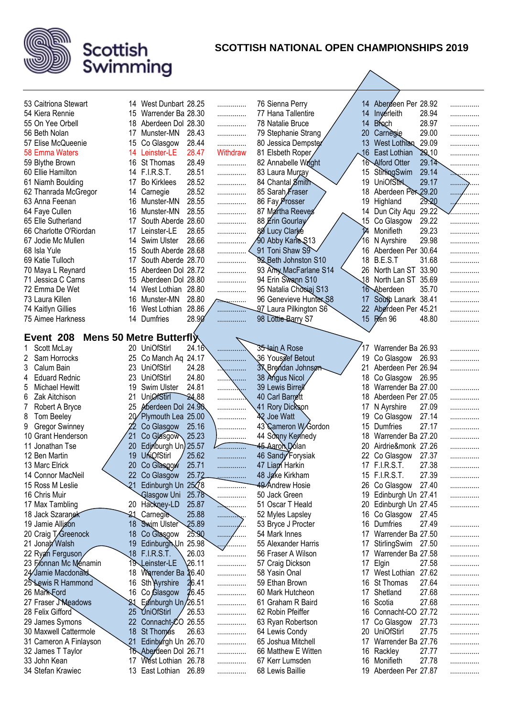

| 53 Caitriona Stewart                             |     | 14 West Dunbart 28.25             |                | .            | 76 Sienna Perry                    |                  | 14 Abergeen Per 28.92          |                |        |
|--------------------------------------------------|-----|-----------------------------------|----------------|--------------|------------------------------------|------------------|--------------------------------|----------------|--------|
| 54 Kiera Rennie                                  | 15  | Warrender Ba 28.30                |                | .            | 77 Hana Tallentire                 | 14               | Inverleith                     | 28.94          | .<br>. |
| 55 On Yee Orbell                                 | 18  | Aberdeen Dol 28.30                |                | .            | 78 Natalie Bruce                   | 14               | <b>Broch</b>                   | 28.97          | .      |
| 56 Beth Nolan                                    | 17  | Munster-MN                        | 28.43          | .            | 79 Stephanie Strang                | 20               | Carnegie                       | 29.00          | .      |
| 57 Elise McQueenie                               | 15  | Co Glasgow                        | 28.44          | .            | 80 Jessica Dempster                | 13               | West Lothian                   | 29.09          | .      |
| 58 Emma Waters                                   | 14  | Leinster-LE                       | 28.47          | Withdraw     | 81 Elsbeth Roper                   | .16              | East Lothian                   | 29.10          | .      |
| 59 Blythe Brown                                  | 16  | St Thomas                         | 28.49          | .            | 82 Annabelle Wright                |                  | 16 Alford Otter                | 29.14          | .      |
| 60 Ellie Hamilton                                | 14  | <b>F.I.R.S.T.</b>                 | 28.51          | .            | 83 Laura Murray                    | 15 <sup>15</sup> | StirlingSwim                   | 29.14          | .      |
| 61 Niamh Boulding                                | 17  | <b>Bo Kirklees</b>                | 28.52          | .            | 84 Chantal Smith                   | 19               | <b>UniOfStrk</b>               | 29.17          |        |
| 62 Thanrada McGregor                             | 14  | Carnegie                          | 28.52          | .            | 85 Sarah Fraser                    | 18               | Aberdeen Per 29.20             |                | .      |
| 63 Anna Feenan                                   | 16  | Munster-MN                        | 28.55          | .            | 86 Fay Prosser                     | 19               | Highland                       | 29.20          | .      |
| 64 Faye Cullen                                   | 16  | Munster-MN                        | 28.55          | .            | 87 Martha Reeves                   |                  | 14 Dun City Aqu                | 29.22          | .      |
| 65 Elle Sutherland                               | 17  | South Aberde 28.60                |                | .            | 88 Erin Gourlay                    | 15               | Co Glasgow                     | 29.22          | .      |
| 66 Charlotte O'Riordan                           | 17  | Leinster-LE                       | 28.65          | .            | 80 Lucy Clarke                     | 14               | Monifieth                      | 29.23          |        |
| 67 Jodie Mc Mullen                               | 14  | <b>Swim Ulster</b>                | 28.66          | .            | 90 Abby Kane \$13                  | 16               | N Ayrshire                     | 29.98          | .      |
| 68 Isla Yule                                     | 15  | South Aberde 28.68                |                |              | 91 Toni Shaw S9                    | 16               | Aberdeen Per 30.64             |                | .      |
| 69 Katie Tulloch                                 | 17  | South Aberde 28.70                |                | .            | 92 Beth Johnston S10               |                  | 18 B.E.S.T                     | 31.68          | .      |
| 70 Maya L Reynard                                | 15  | Aberdeen Dol 28.72                |                | .            | 93 Amy MacFarlane S14              | 26               | North Lan ST 33.90             |                | .      |
| 71 Jessica C Carns                               | 15  | Aberdeen Dol 28.80                |                | .            | 94 Erin Swann S10                  |                  | 18 North Lan ST 35.69          |                | .      |
| 72 Emma De Wet                                   | 14  | West Lothian                      | 28.80          | .            | 95 Natalia Chooiaj S13             |                  | 16 Aberdeen                    | 35.70          | .      |
| 73 Laura Killen                                  | 16  | Munster-MN                        | 28.80          |              | 96 Genevieve Hunter S8             | 17               | South Lanark 38.41             |                | .      |
| 74 Kaitlyn Gillies                               | 16  | West Lothian                      | 28.86          |              | 97 Laura Pilkington S6             |                  | 22 Aberdeen Per 45.21          |                | .      |
| 75 Aimee Harkness                                | 14  | Dumfries                          | 28.90          | .            | 98 Lottie-Barry S7                 |                  | 15 Ren 96                      | 48.80          | .      |
|                                                  |     |                                   |                |              |                                    |                  |                                |                |        |
| Event 208                                        |     | Mens 50 Metre Butterfly           |                |              |                                    |                  |                                |                |        |
| Scott McLay                                      |     | 20 UniOfStirl                     | 24.16          |              | 35 lain A Rose                     | 17               | Warrender Ba 26.93             |                |        |
| Sam Horrocks<br>2                                |     | 25 Co Manch Aq 24.17              |                |              | 36 Yous gef Betout                 | 19               | Co Glasgow                     | 26.93          | .      |
| 3<br>Calum Bain                                  | 23  | UniOfStirl                        | 24.28          | .            | <b>3</b> Brendan Johnson           | 21               | Aberdeen Per 26.94             |                | .      |
| <b>Eduard Rednic</b><br>4                        | 23  | <b>UniOfStirl</b>                 | 24.80          | .<br>.       | 38 Angus Nicol                     | 18               | Co Glasgow                     | 26.95          |        |
| 5<br>Michael Hewitt                              | 19  | <b>Swim Ulster</b>                | 24.81          | . 7          | 39 Lewis Birrell                   | 18               | Warrender Ba 27.00             |                | .      |
| 6<br>Zak Aitchison                               | 21  | <b>UnjØfStirl</b>                 | 24.88          |              | 40 Carl Barrett                    | 18               | Aberdeen Per 27.05             |                | .      |
| 7<br>Robert A Bryce                              | 25  | Aberdeen Dol                      | 24.90          | .            | 41 Rory Dickson                    | 17               | N Ayrshire                     | 27.09          | .      |
| 8<br>Tom Beeley                                  | 20⁄ | Plymouth Lea 25.00                |                | .            | 42 Joe Watt<br>43 Cameron W/Gordon | 19               | Co Glasgow                     | 27.14<br>27.17 | .      |
| <b>Gregor Swinney</b><br>9<br>10 Grant Henderson | 21  | Co Glasgow                        | 25.16<br>25.23 | .            | 44 Sonny Kennedy                   | 15<br>18         | Dumfries<br>Warrender Ba 27.20 |                | .      |
| 11 Jonathan Tse                                  | 20  | Co Glasgow<br>Edinburgh Un) 25.57 |                | .            | 45 Aaron Dólan                     | 20               | Airdrie&monk 27.26             |                | .      |
| 12 Ben Martin                                    | 19  | <b>UNQfStirl</b>                  | 25.62          |              | 46 Sandy Forysiak                  | 22               | Co Glasgow                     | 27.37          | .      |
| 13 Marc Elrick                                   | 20  | Co Glasgow                        | 25.71          | .            | 47 Liam Harkin                     | 17               | <b>F.I.R.S.T.</b>              | 27.38          | .      |
| 14 Connor MacNeil                                | 22  | - 7<br>Co Glasgow                 | 25.72          |              | 48 Jake Kirkham                    |                  | 15 F.I.R.S.T.                  | 27.39          |        |
| 15 Ross M Leslie                                 | 21  | Edinburgh Un 25 28                |                | .            | 49 Andrew Hosie                    | 26               | Co Glasgow                     | 27.40          | .      |
| 16 Chris Muir                                    |     | Glasgow Uni                       | 25.78          | .<br>.       | 50 Jack Green                      | 19               | Edinburgh Un 27.41             |                | .      |
| 17 Max Tambling                                  |     | 20 Hackney-LD                     | 25.87          | .            | 51 Oscar T Heald                   | 20               | Edinburgh Un 27.45             |                | .<br>. |
| 18 Jack Szaranek                                 | 21  | Carnegie                          | 25.88          | .            | 52 Myles Lapsley                   | 16               | Co Glasgow                     | 27.45          |        |
| 19 Jamie Allison                                 | 18  | <b>Swim Ulster</b>                | 25.89          | ٠<br>.       | 53 Bryce J Procter                 | 16               | Dumfries                       | 27.49          | .      |
| 20 Craig T/Greenock                              | 18  | Co Glasgow                        | 25.90          | . <i>. .</i> | 54 Mark Innes                      | 17               | Warrender Ba 27.50             |                | .      |
| 21 Jonah Walsh                                   | 19  | Edinburgh Un 25.98                |                | <u></u> /    | 55 Alexander Harris                | 17               | StirlingSwim                   | 27.50          | .      |
| 22 Ryan Ferguson                                 | 18  | <b>F.I.R.S.T.</b>                 | 26.03          | .            | 56 Fraser A Wilson                 | 17               | Warrender Ba 27.58             |                | .      |
| 23 Fionnan Mc Ménamin                            |     | 19 Leinster-LE                    | 26.11          | .            | 57 Craig Dickson                   | 17               | Elgin                          | 27.58          | .      |
| 24 Jamie Macdonald                               | 18  | Warrender Ba 26.40                |                | .            | 58 Yasin Onal                      | 17               | West Lothian 27.62             |                | .      |
| 25 Lewis R Hammond                               | 16  | Sth Ayrshire                      | 26.41          | .            | 59 Ethan Brown                     | 16               | St Thomas                      | 27.64          | .      |
| 26 Mark Ford                                     | 16  | Co Glasgow                        | 26.45          | .            | 60 Mark Hutcheon                   | 17               | Shetland                       | 27.68          | .      |
| 27 Fraser Meadows                                |     | Edinburgh Un/26.51                |                | .            | 61 Graham R Baird                  | 16               | Scotia                         | 27.68          | .      |
| 28 Felix Gifford                                 | 25  | UniOfStirl                        | 26.53          | .            | 62 Robin Pfeiffer                  | 16               | Connacht-CO 27.72              |                | .      |
| 29 James Symons                                  | 22  | Connacht-CO 26.55                 |                | .            | 63 Ryan Robertson                  | 17               | Co Glasgow                     | 27.73          | .      |
| 30 Maxwell Cattermole                            | 18  | St Thomas                         | 26.63          | .            | 64 Lewis Condy                     | 20               | <b>UniOfStirl</b>              | 27.75          | .      |
| 31 Cameron A Finlayson                           | 21  | Edinburgh Un 26.70                |                | .            | 65 Joshua Mitchell                 | 17               | Warrender Ba 27.76             |                | .      |
| 32 James T Taylor                                |     | 16 Aberdeen Dol 26.71             |                | .            | 66 Matthew E Witten                | 16               | Rackley                        | 27.77          | .      |
| 33 John Kean                                     | 17  | West Lothian 26.78                |                | .            | 67 Kerr Lumsden                    | 16               | Monifieth                      | 27.78          | .      |
| 34 Stefan Krawiec                                |     | 13 East Lothian                   | 26.89          | .            | 68 Lewis Baillie                   |                  | 19 Aberdeen Per 27.87          |                | .      |
|                                                  |     |                                   |                |              |                                    |                  |                                |                |        |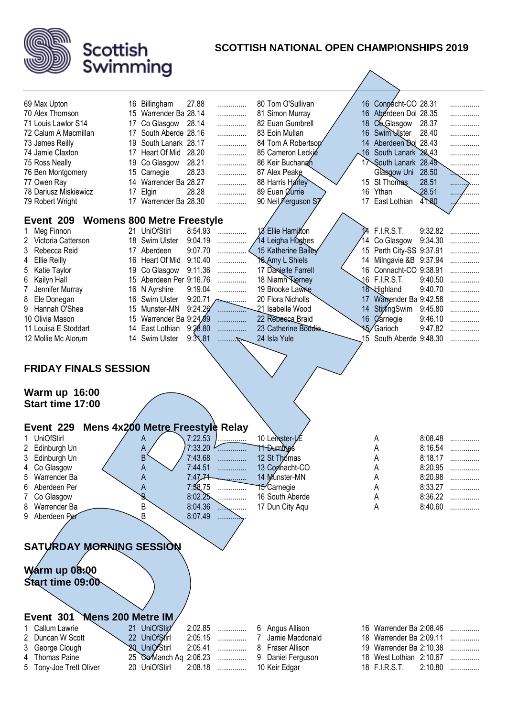

| 69 Max Upton                                                                                                                                                                                                                                                               |    | 16 Billingham                                                                 | 27.88                                                                                           | .                          | 80 Tom O'Sullivan                                                                                                                                        |                    | 16 Connacht-CO 28.31                     |                                                                                      |                            |
|----------------------------------------------------------------------------------------------------------------------------------------------------------------------------------------------------------------------------------------------------------------------------|----|-------------------------------------------------------------------------------|-------------------------------------------------------------------------------------------------|----------------------------|----------------------------------------------------------------------------------------------------------------------------------------------------------|--------------------|------------------------------------------|--------------------------------------------------------------------------------------|----------------------------|
| 70 Alex Thomson                                                                                                                                                                                                                                                            |    | 15 Warrender Ba 28.14                                                         |                                                                                                 | .                          | 81 Simon Murray                                                                                                                                          |                    | 16 Aberdeen Dol 28.35                    |                                                                                      | .                          |
| 71 Louis Lawlor S14                                                                                                                                                                                                                                                        | 17 | Co Glasgow                                                                    | 28.14                                                                                           | .                          | 82 Euan Gumbrell                                                                                                                                         |                    | 18 Co Glasgow                            | 28.37                                                                                | .                          |
| 72 Calum A Macmillan                                                                                                                                                                                                                                                       | 17 | South Aberde 28.16                                                            |                                                                                                 | .                          | 83 Eoin Mullan                                                                                                                                           |                    | 16 Swim Ulster                           | 28.40                                                                                | .                          |
| 73 James Reilly                                                                                                                                                                                                                                                            | 19 | South Lanark 28.17                                                            |                                                                                                 | .                          | 84 Tom A Robertson                                                                                                                                       |                    | 14 Aberdeen Dol 28.43                    |                                                                                      |                            |
| 74 Jamie Claxton                                                                                                                                                                                                                                                           |    | 17 Heart Of Mid                                                               | 28.20                                                                                           | .                          | 85 Cameron Leckie                                                                                                                                        |                    | 16 South Lanark 28.43                    |                                                                                      |                            |
| 75 Ross Neally                                                                                                                                                                                                                                                             |    | 19 Co Glasgow                                                                 | 28.21                                                                                           | .                          | 86 Keir Buchanan                                                                                                                                         |                    | 17 South Lanark 28.49                    |                                                                                      | .                          |
| 76 Ben Montgomery                                                                                                                                                                                                                                                          |    | 15 Carnegie                                                                   | 28.23                                                                                           | .                          | 87 Alex Peake                                                                                                                                            |                    | Glasgow Uni 28.50                        |                                                                                      | <sub>.</sub>               |
| 77 Owen Ray                                                                                                                                                                                                                                                                |    | 14 Warrender Ba 28.27                                                         |                                                                                                 | .                          | 88 Harris Harley                                                                                                                                         |                    | 15 St Thomas                             | 28.51                                                                                |                            |
| 78 Dariusz Miskiewicz                                                                                                                                                                                                                                                      | 17 | Elgin                                                                         | 28.28                                                                                           | .                          | 89 Euan <i>Currie</i>                                                                                                                                    |                    | 16 Ythan                                 | 28.51                                                                                | .                          |
| 79 Robert Wright                                                                                                                                                                                                                                                           |    | 17 Warrender Ba 28.30                                                         |                                                                                                 | .                          | 90 Neil Ferguson S                                                                                                                                       |                    | 17 East Lothian                          | 41.80                                                                                | .                          |
|                                                                                                                                                                                                                                                                            |    |                                                                               |                                                                                                 |                            |                                                                                                                                                          |                    |                                          |                                                                                      |                            |
| Event 209                                                                                                                                                                                                                                                                  |    | <b>Womens 800 Metre Freestyle</b>                                             |                                                                                                 |                            |                                                                                                                                                          |                    |                                          |                                                                                      |                            |
| Meg Finnon                                                                                                                                                                                                                                                                 |    | 21 UniOfStirl                                                                 | 8:54.93                                                                                         | .                          | 18 Ellie Hamilfon                                                                                                                                        | $\mathbf{\hat{a}}$ | <b>F.I.R.S.T.</b>                        | 9:32.82                                                                              | .                          |
| Victoria Catterson<br>2                                                                                                                                                                                                                                                    |    | 18 Swim Ulster                                                                | 9:04.19                                                                                         | .                          | 14 Leigha Hùghes                                                                                                                                         |                    | 14 Co Glasgow                            | 9:34.30                                                                              | .                          |
| 3<br>Rebecca Reid                                                                                                                                                                                                                                                          |    | 17 Aberdeen                                                                   | 9:07.70                                                                                         | .                          | 15 Katherine Bailey                                                                                                                                      |                    | 15 Perth City-SS 9:37.91                 |                                                                                      |                            |
| <b>Ellie Reilly</b><br>4                                                                                                                                                                                                                                                   |    | 16 Heart Of Mid                                                               | 9:10.40                                                                                         | .                          | Yo Amy L Shiels                                                                                                                                          |                    | 14 Milngavie &B 9:37.94                  |                                                                                      |                            |
| Katie Taylor<br>5                                                                                                                                                                                                                                                          |    | 19 Co Glasgow                                                                 | 9:11.36                                                                                         | .                          | 17 Danielle Farrell                                                                                                                                      |                    | 16 Connacht-CO 9:38.91                   |                                                                                      |                            |
| Kailyn Hall<br>6                                                                                                                                                                                                                                                           |    | 15 Aberdeen Per 9:16.76                                                       |                                                                                                 | .                          | 18 Niamh <b>Kierney</b>                                                                                                                                  |                    | 16 F.I.R.S.T.                            | 9:40.50                                                                              | .                          |
| Jennifer Murray<br>7                                                                                                                                                                                                                                                       |    | 16 N Ayrshire                                                                 | 9:19.04                                                                                         | .                          | 19 Brooke Lawrie                                                                                                                                         |                    | 18 Highland                              | 9:40.70                                                                              | .                          |
| Ele Donegan<br>8                                                                                                                                                                                                                                                           |    | 16 Swim Ulster                                                                | 9:20.71                                                                                         | .                          | 20 Flora Nicholls                                                                                                                                        | 17                 | Warrender Ba 9:42.58                     |                                                                                      | .                          |
| Hannah O'Shea<br>9                                                                                                                                                                                                                                                         | 15 | Munster-MN                                                                    | 9:24.26                                                                                         | . <del>.</del>             | 21 Isabelle Wood                                                                                                                                         | 14                 | StiplingSwim                             | 9:45.80                                                                              |                            |
| 10 Olivia Mason                                                                                                                                                                                                                                                            |    | 15 Warrender Ba 9:24,99                                                       |                                                                                                 |                            | 22 Rebesca Braid                                                                                                                                         |                    | 16 <i>Carnegie</i>                       | 9:46.10                                                                              |                            |
| 11 Louisa E Stoddart                                                                                                                                                                                                                                                       |    | 14 East Lothian                                                               | 9:28.80                                                                                         | .                          | 23 Catherine Boddie                                                                                                                                      |                    | 15/Garioch                               | 9:47.82                                                                              |                            |
| 12 Mollie Mc Alorum                                                                                                                                                                                                                                                        |    | 14 Swim Ulster                                                                | 9:31.81                                                                                         |                            | 24 Isla Yule                                                                                                                                             |                    | 15 South Aberde 9:48.30                  |                                                                                      |                            |
|                                                                                                                                                                                                                                                                            |    |                                                                               |                                                                                                 |                            |                                                                                                                                                          |                    |                                          |                                                                                      |                            |
| <b>FRIDAY FINALS SESSION</b><br><b>Warm up 16:00</b><br>Start time 17:00<br>Event 229<br><b>UniOfStirl</b><br>1.<br>Edinburgh Un<br>2<br>3<br>Edinburgh Un<br>Co Glasgow<br>Warrender Ba<br>5<br>Aberdeen Per<br>6<br>Co Glasgow<br>Warrender Ba<br>8<br>Aberdeen Per<br>9 |    | Mens 4x200 Metre Freestyle Relay<br>A<br>А<br>B<br>A<br>Α<br>Α<br>B<br>B<br>B | 7:22.53<br>7:33.20<br>7:43.68<br>7:44.51<br>7:47,74<br>7:58.75<br>8:02.25<br>8:04.36<br>8:07.49 | .<br>.<br>.<br>.<br>.<br>. | 10 Leinster-LE<br><b>TT Dumines</b><br>12 St Thomas<br>13 Connacht-CO<br>14 Munster-MN<br>15 <sup>-</sup> Carnegie<br>16 South Aberde<br>17 Dun City Aqu |                    | Α<br>A<br>А<br>Α<br>А<br>A<br>Α<br>А     | 8:08.48<br>8:16.54<br>8:18.17<br>8:20.95<br>8:20.98<br>8:33.27<br>8:36.22<br>8:40.60 | .<br>.<br>.<br>.<br>.<br>. |
| SATURDAY MORNING SESSION<br><b>Warm up 08:00</b><br>Start time 09:00                                                                                                                                                                                                       |    |                                                                               |                                                                                                 |                            |                                                                                                                                                          |                    |                                          |                                                                                      |                            |
| Mens 200 Metre IM<br>Event 301                                                                                                                                                                                                                                             |    |                                                                               |                                                                                                 |                            |                                                                                                                                                          |                    |                                          |                                                                                      |                            |
| Callum Lawrie                                                                                                                                                                                                                                                              |    | 21 UniOfStirl                                                                 | 2:02.85                                                                                         | .                          | 6 Angus Allison                                                                                                                                          |                    | 16 Warrender Ba 2:08.46                  |                                                                                      |                            |
| Duncan W Scott<br>2                                                                                                                                                                                                                                                        |    | 22 UniOfStirl                                                                 | 2:05.15                                                                                         | .                          | 7<br>Jamie Macdonald                                                                                                                                     |                    | 18 Warrender Ba 2:09.11                  |                                                                                      | .                          |
| George Clough<br>3                                                                                                                                                                                                                                                         |    | 20 UniOfStirl                                                                 | 2:05.41                                                                                         | .                          | 8<br>Fraser Allison                                                                                                                                      |                    | 19 Warrender Ba 2:10.38                  |                                                                                      | .                          |
| <b>Thomas Paine</b><br>4<br>Tony-Joe Trett Oliver<br>5                                                                                                                                                                                                                     |    | 25 Go Manch Aq 2:06.23<br>20 UniOfStirl                                       | 2:08.18                                                                                         | .<br>.                     | Daniel Ferguson<br>9<br>10 Keir Edgar                                                                                                                    |                    | 18 West Lothian 2:10.67<br>18 F.I.R.S.T. | 2:10.80                                                                              | .                          |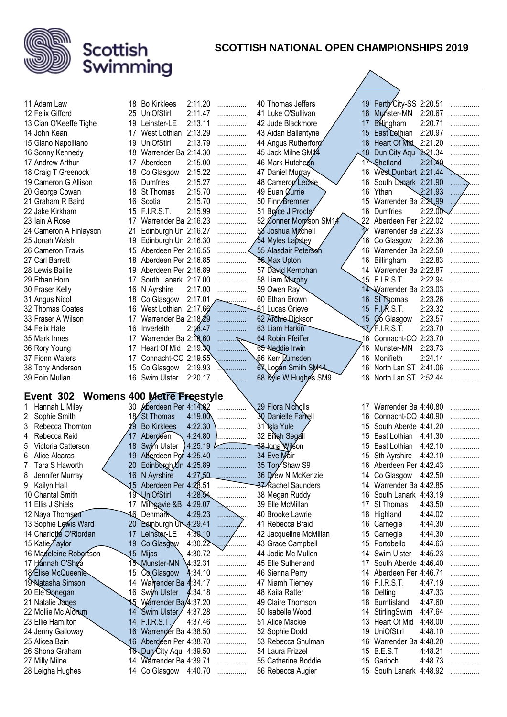

| 11 Adam Law                                    |                 | 18 Bo Kirklees               | 2:11.20               | .            | 40 Thomas Jeffers       |    | 19 Perth City-SS 2:20.51    |         | .          |
|------------------------------------------------|-----------------|------------------------------|-----------------------|--------------|-------------------------|----|-----------------------------|---------|------------|
| 12 Felix Gifford                               |                 | 25 UniOfStirl                | 2:11.47               | .            | 41 Luke O'Sullivan      | 18 | Munster-MN                  | 2:20.67 | .          |
| 13 Cian O'Keeffe Tighe                         |                 | 19 Leinster-LE               | 2:13.11               | .            | 42 Jude Blackmore       | 17 | <b>B</b> ilingham           | 2:20.71 | .          |
| 14 John Kean                                   |                 | 17 West Lothian 2:13.29      |                       | .            | 43 Aidan Ballantyne     | 15 | East Dothian                | 2:20.97 |            |
| 15 Giano Napolitano                            |                 | 19 UniOfStirl                | 2:13.79               | .            | 44 Angus Rutherford     | 18 | Heart Of Mid. 2:21.20       |         | .          |
|                                                |                 | 18 Warrender Ba 2:14.30      |                       |              | 45 Jack Milne SM1/4     | 18 | Dun City Aqu 2:21.34        |         | .          |
| 16 Sonny Kennedy<br>17 Andrew Arthur           |                 |                              | 2:15.00               | .            | 46 Mark Hutcheon        | 17 | Shetland                    | 2:21.40 | .          |
|                                                |                 | 17 Aberdeen                  | 2:15.22               | .            | 47 Daniel Murray        |    | 16 West Dunbart 2:21.44     |         |            |
| 18 Craig T Greenock                            |                 | 18 Co Glasgow<br>16 Dumfries | 2:15.27               | .            |                         |    | 16                          |         | ∽          |
| 19 Cameron G Allison                           |                 |                              |                       | .            | 48 Cameron Leckie       |    | South Lanark 2:21.90        | 2:21.93 | .          |
| 20 George Cowan                                |                 | 18 St Thomas                 | 2:15.70               | .            | 49 Euan <i>Currie</i>   | 16 | Ythan                       |         | $\sim 100$ |
| 21 Graham R Baird                              | 16 Scotia       |                              | 2:15.70               | .            | 50 Finn Bremner         | 15 | Warrender Ba 2:24,99        |         |            |
| 22 Jake Kirkham                                |                 | 15 F.I.R.S.T.                | 2:15.99               | .            | 51 Bryce J Procter      | 16 | Dumfries                    | 2:22.00 |            |
| 23 Iain A Rose                                 | 17              | Warrender Ba 2:16.23         |                       | .            | 52 Conner Morrison SM14 |    | Aberdeen Per 2:22.02        |         |            |
| 24 Cameron A Finlayson                         | 21              | Edinburgh Un 2:16.27         |                       | .            | 58 Joshua Mitchell      |    | Warrender Ba 2:22.33        |         |            |
| 25 Jonah Walsh                                 | 19              | Edinburgh Un 2:16.30         |                       |              | 54 Myles Lapsley        |    | Co Glasgow 2:22.36          |         |            |
| 26 Cameron Travis                              |                 | 15 Aberdeen Per 2:16.55      |                       |              | 55 Alasdair Peterson    | 16 | Warrender Ba 2:22.50        |         |            |
| 27 Carl Barrett                                |                 | 18 Aberdeen Per 2:16.85      |                       | .            | 56 Max Upton            |    | 16 Billingham               | 2:22.83 | .          |
| 28 Lewis Baillie                               |                 | 19 Aberdeen Per 2:16.89      |                       | .            | 57 David Kernohan       |    | 14 Warrender Ba 2:22.87     |         |            |
| 29 Ethan Horn                                  | 17              | South Lanark 2:17.00         |                       | .            | 58 Liam Murphy          |    | 15 F.I.R.S.T.               | 2:22.94 |            |
| 30 Fraser Kelly                                |                 | 16 N Ayrshire                | 2:17.00               | .            | 59 Owen Ray             |    | 14 Warrender Ba 2:23.03     |         | .          |
| 31 Angus Nicol                                 |                 | 18 Co Glasgow                | $2:17.01 \rightarrow$ |              | 60 Ethan Brown          | 16 | St Thomas                   | 2:23.26 | .          |
| 32 Thomas Coates                               |                 | 16 West Lothian 2:17.66      |                       |              | 61 Lucas Grieve         | 15 | F.I.R.S.T.                  | 2:23.32 | .          |
| 33 Fraser A Wilson                             | 17              | Warrender Ba 2:18.29         |                       | .            | 62 Archie-Dickson       |    | 15 Co Glasgow               | 2:23.57 | .          |
| 34 Felix Hale                                  | 16              | Inverleith                   | 2:18.47               |              | 63 Liam Harkin          |    | $\sqrt{x}$ F.I.R.S.T.       | 2:23.70 |            |
| 35 Mark Innes                                  | 17              | Warrender Ba 2:18.60         |                       | . 7          | 64 Robin Pfeiffer       |    | 16 Connacht-CO 2:23.70      |         | .          |
| 36 Rory Young                                  | 17              | Heart Of Mid                 | 2:19.30               |              | 65 Neddie Irwin         | 16 | Munster-MN                  | 2:23.73 | .          |
| 37 Fionn Waters                                | 17              | Connacht-CO 2:19.55          |                       |              | 66 Kerr Dumsden         | 16 | Monifieth                   | 2:24.14 | .          |
| 38 Tony Anderson                               | 15              | Co Glasgow                   | 2:19.93               | .            | 67 Logan Smith SM14     |    | North Lan ST 2:41.06<br>16. |         | .          |
| 39 Eoin Mullan                                 |                 | 16 Swim Ulster               | 2:20.17               | .            | 68 Ryle W Hughes SM9    |    | 18 North Lan ST 2:52.44     |         | .          |
|                                                |                 |                              |                       |              |                         |    |                             |         |            |
| <b>Womens 400 Metre Freestyle</b><br>Event 302 |                 |                              |                       |              |                         |    |                             |         |            |
| Hannah L Miley<br>1.                           |                 | 30 Aberdeen Per 4:14.82      |                       |              | 29 Flora Nicholls       | 17 | Warrender Ba 4:40.80        |         | .          |
| Sophie Smith<br>$\mathbf{2}$                   |                 | 18 St Thomas                 | 4:19.00               |              | 30 Danielle Farrell     | 16 | Connacht-CO 4:40.90         |         | .          |
| Rebecca Thornton<br>3                          | 19              | <b>Bo Kirklees</b>           | 4:22.30               | .            | 31 Sala Yule            | 15 | South Aberde 4:41.20        |         | .          |
| Rebecca Reid<br>4                              | 17              | Aberdeen                     | 4:24.80               |              | 32 Eilish Segall        | 15 | East Lothian                | 4:41.30 |            |
| Victoria Catterson                             | 18 <sup>°</sup> | Swim Ulster                  | 4:25.19               |              | 33 Jona Wilson          | 15 | East Lothian                | 4:42.10 |            |
| 6<br>Alice Alcaras                             | 19              | Aberdeen Per 4:25.40         |                       |              | 34 Eve Mair             | 15 | Sth Ayrshire                | 4:42.10 | .          |
| Tara S Haworth                                 | 20              | Edinburgh Un 4:25.89         |                       |              | 35 Ton Shaw S9          | 16 | Aberdeen Per 4:42.43        |         |            |
| Jennifer Murray<br>8                           |                 | 16 N Ayrshire                | 4:27.50               | .            | 36 Drew N McKenzie      |    | 14 Co Glasgow 4:42.50       |         | .          |
| Kailyn Hall<br>9                               |                 | 15 Aberdeen Per 4:28.51      |                       | .            | 37 Rachel Saunders      |    | 14 Warrender Ba 4:42.85     |         | .          |
| 10 Chantal Smith                               |                 | 19 UniOfStirl                | 4:28.54               | .            | 38 Megan Ruddy          | 16 | South Lanark 4:43.19        |         |            |
| 11 Ellis J Shiels                              | 17              | Milhgavie &B 4:29.07         |                       | . <u>.</u>   | 39 Elle McMillan        | 17 | St Thomas                   | 4:43.50 | .          |
| 12 Naya Thomsen                                |                 | 46 Denmark                   | 4:29.23               |              | 40 Brooke Lawrie        | 18 | Highland                    | 4:44.02 | .          |
| 13 Sophie Lewis Ward                           | 20              | Edinburgh Un 4:29.41         |                       | .            | 41 Rebecca Braid        | 16 | Carnegie                    | 4:44.30 | .          |
| 14 Charlotte O'Riordan                         | 17              | Leinster-LE                  | 4:30,10               | 1.1.1.1<br>. | 42 Jacqueline McMillan  | 15 | Carnegie                    | 4:44.30 | .          |
| 15 Katie Taylor                                | 19              | Co Glasgow                   | 4:30.22               | .            | 43 Grace Campbell       |    | 15<br>Portobello            | 4:44.63 | .          |
| 16 Madeleine Robertson                         | 15 Mijas        |                              | 4:30.72               |              | 44 Jodie Mc Mullen      | 14 | Swim Ulster                 | 4:45.23 | .          |
| 17 Hannah O'Shea                               |                 | 15 Munster-MN                | 4:32.31               | .            | 45 Elle Sutherland      | 17 | South Aberde 4:46.40        |         | .          |
| 18 Elise McQueenle                             | 15              | Co Glasgow                   | 4:34.10               | .            | 46 Sienna Perry         | 14 | Aberdeen Per 4:46.71        |         |            |
| 19 Natasha Simson                              | 14              | Warrender Ba 4:34.17         |                       |              | 47 Niamh Tierney        | 16 | <b>F.I.R.S.T.</b>           | 4:47.19 | .          |
| 20 Ele Donegan                                 |                 | 16 Swim Ulster               | :34.18                | .            | 48 Kaila Ratter         | 16 | Delting                     | 4:47.33 | .          |
| 21 Natalie Jones                               |                 | 15 Warrender Ba/4:37.20      |                       | .            | 49 Claire Thomson       | 18 | Burntisland                 | 4:47.60 | .          |
| 22 Mollie Mc Alorum                            |                 | 14 Swim Ulster               | 4:37.28               | .            | 50 Isabelle Wood        | 14 | StirlingSwim                | 4:47.64 | .          |
| 23 Ellie Hamilton                              |                 | 14 F.I.R.S.T.                | 4:37.46               | .            | 51 Alice Mackie         | 13 | Heart Of Mid                | 4:48.00 | .          |
| 24 Jenny Galloway                              |                 | 16 Warrender Ba 4:38.50      |                       | .            | 52 Sophie Dodd          | 19 | <b>UniOfStirl</b>           | 4:48.10 | .          |
| 25 Alicea Bain                                 |                 | 16 Aberdeen Per 4:38.70      |                       | .            | 53 Rebecca Shulman      | 16 | Warrender Ba 4:48.20        |         | .          |
| 26 Shona Graham                                |                 | 16 Dun/City Aqu 4:39.50      |                       | .            | 54 Laura Frizzel        |    | 15 B.E.S.T                  | 4:48.21 | .          |
| 27 Milly Milne                                 |                 | 14 Warrender Ba 4:39.71      |                       | .            | 55 Catherine Boddie     |    | 15 Garioch                  | 4:48.73 | .          |
| 28 Leigha Hughes                               |                 | 14 Co Glasgow 4:40.70        |                       | .            | 56 Rebecca Augier       |    | 15 South Lanark 4:48.92     |         |            |
|                                                |                 |                              |                       |              |                         |    |                             |         |            |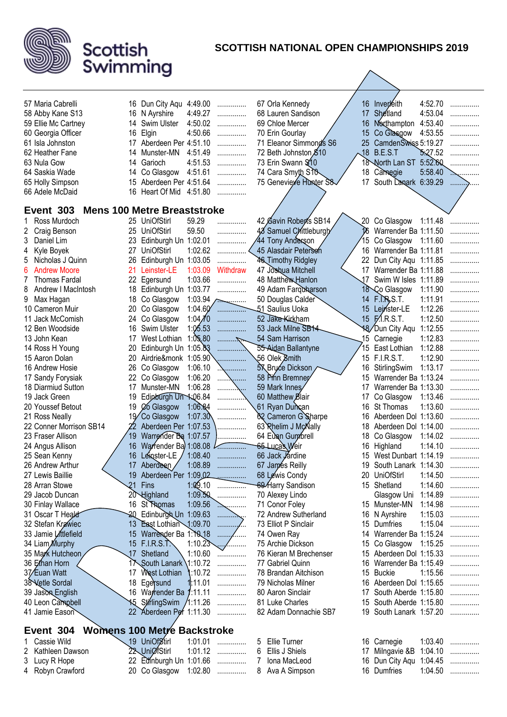

|                                       |     |                                          |         |                  |                |                                          |            |                                            | 4:52.70 |        |
|---------------------------------------|-----|------------------------------------------|---------|------------------|----------------|------------------------------------------|------------|--------------------------------------------|---------|--------|
| 57 Maria Cabrelli<br>58 Abby Kane S13 |     | 16 Dun City Aqu 4:49.00<br>16 N Ayrshire | 4:49.27 | .                |                | 67 Orla Kennedy<br>68 Lauren Sandison    | 17         | 16 Inverleith<br>Shetland                  | 4:53.04 | .      |
| 59 Ellie Mc Cartney                   |     | 14 Swim Ulster                           | 4:50.02 | .<br>.           |                | 69 Chloe Mercer                          | 16         | Northampton                                | 4:53.40 | .<br>. |
| 60 Georgia Officer                    | 16  | Elgin                                    | 4:50.66 | .                |                | 70 Erin Gourlay                          | 15         | Co Glasgow                                 | 4:53.55 | .      |
| 61 Isla Johnston                      |     | 17 Aberdeen Per 4:51.10                  |         | .                |                | 71 Eleanor Simmonds S6                   | 25         | CamdenSwiss 5:19.27                        |         |        |
| 62 Heather Fane                       |     | 14 Munster-MN                            | 4:51.49 | .                |                | 72 Beth Johnston \$10                    | $\sqrt{8}$ | B.E.S.T                                    | 5.27.52 | .      |
| 63 Nula Gow                           |     | 14 Garioch                               | 4:51.53 | .                |                | 73 Erin Swann \$10                       |            | 18 North Lan ST                            | 5:52.60 |        |
| 64 Saskia Wade                        |     | 14 Co Glasgow                            | 4:51.61 | .                |                | 74 Cara Smyth S10                        | 18         | Camegie                                    | 5:58.40 |        |
| 65 Holly Simpson                      |     | 15 Aberdeen Per 4:51.64                  |         | .                |                | 75 Genevieve Hunter S8                   | 17         | South Lanark 6:39.29                       |         | .      |
| 66 Adele McDaid                       |     | 16 Heart Of Mid 4:51.80                  |         |                  |                |                                          |            |                                            |         |        |
| Event 303                             |     | <b>Mens 100 Metre Breaststroke</b>       |         |                  |                |                                          |            |                                            |         |        |
|                                       |     |                                          |         |                  |                |                                          |            |                                            |         |        |
| Ross Murdoch<br>1.                    |     | 25 UniOfStirl                            | 59.29   | .                |                | 42 Gavin Roberts SB14                    |            | 20 Co Glasgow                              | 1:11.48 | .      |
| Craig Benson<br>2<br>3<br>Daniel Lim  |     | 25 UniOfStirl<br>23 Edinburgh Un 1:02.01 | 59.50   | .                |                | 48 Samuel Chittleburgh                   |            | Warrender Ba 1:11.50<br>Co Glasgow 1:11.60 |         | .      |
| Kyle Boyek<br>4                       | 27  | <b>UniOfStirl</b>                        | 1:02.62 | .                |                | 44 Tony Anderson<br>45 Alasdair Peterson |            | 16 Warrender Ba 1:11.81                    |         | .      |
| Nicholas J Quinn                      | 26  | Edinburgh Un 1:03.05                     |         | .                |                | 46 Timothy Ridgley                       | 22         | Dun City Aqu 1:11.85                       |         | .      |
| <b>Andrew Moore</b><br>6              | 21  | Leinster-LE                              | 1:03.09 | .<br>Withdraw    |                | 47 Joshua Mitchell                       |            | 17 Warrender Ba 1:11.88                    |         |        |
| <b>Thomas Fardal</b>                  |     | 22 Egersund                              | 1:03.66 | .                |                | 48 Matthew Hanlon                        | 17         | Swim W Isles 1:11.89                       |         |        |
| Andrew I MacIntosh<br>8               |     | 18 Edinburgh Un 1:03.77                  |         | .                |                | 49 Adam Farquharson                      |            | 18 Co Glasgow                              | 1:11.90 | .      |
| Max Hagan<br>9                        |     | 18 Co Glasgow                            |         | $1:03.94$ ~      |                | 50 Douglas Calder                        | 14         | F.R.S.T.                                   | 1:11.91 | .      |
| 10 Cameron Muir                       | 20  | Co Glasgow                               | 1:04.60 |                  |                | 51 Saulius Uoka                          |            | 15 Leinster-LE                             | 1:12.26 | .      |
| 11 Jack McComish                      | 24  | Co Glasgow                               | 1:04/10 | .                |                | 52 Jake Kirkham                          |            | 15 F.I.R.S.T.                              | 1:12.50 | .      |
| 12 Ben Woodside                       | 16  | Swim Ulster                              | 1:05.53 | .                |                | 53 Jack Milne SB14                       |            | 18/Dun City Agu                            | 1:12.55 | .      |
| 13 John Kean                          | 17  | West Lothian                             | 1:05.80 |                  |                | 54 Sam Harrison                          |            | 15 Carnegie                                | 1:12.83 | .      |
| 14 Ross H Young                       | 20  | Edinburgh Un 1:05.83                     |         |                  |                | 55 Aidan Ballantyne                      | 15         | East Lothian                               | 1:12.88 | .      |
| 15 Aaron Dolan                        | 20. | Airdrie&monk 1:05.90                     |         |                  |                | 56 Olek Smith                            |            | 15 F.I.R.S.T.                              | 1:12.90 | .      |
| 16 Andrew Hosie                       | 26  | Co Glasgow                               | 1:06.10 |                  |                | <b>5X</b> Bryce Dickson                  | 16         | StirlingSwim                               | 1:13.17 | .      |
| 17 Sandy Forysiak                     | 22  | Co Glasgow                               | 1:06.20 |                  |                | 58 Prin Bremner                          | 15         | Warrender Ba 1:13.24                       |         | .      |
| 18 Diarmiud Sutton                    | 17  | Munster-MN                               | 1:06.28 |                  |                | 59 Mark Innes                            | 17         | Warrender Ba 1:13.30                       |         | .      |
| 19 Jack Green                         | 19  | Edinburgh Un 1:06.84                     |         |                  |                | 60 Matthew Blair                         | 17         | Co Glasgow                                 | 1:13.46 | .      |
| 20 Youssef Betout                     | 19  | Co Glasgow                               | 1:06.84 | .                |                | 61 Ryan Duncan                           | 16         | <b>St Thomas</b>                           | 1:13.60 | .      |
| 21 Ross Neally                        |     | 19 Co Glasgow                            | 1:07.30 |                  |                | 62 Cameron G Sharpe                      | 16         | Aberdeen Dol 1:13.60                       |         | .      |
| 22 Conner Morrison SB14               |     | Aberdeen Per 1:07.53                     |         |                  |                | 63 Rhelim J McNally                      | 18         | Aberdeen Dol 1:14.00                       |         | .      |
| 23 Fraser Allison                     | 19  | Warrender Ba 1:07.57                     |         | .                |                | 64 Eugn Gumbrell                         | 18         | Co Glasgow                                 | 1:14.02 | .      |
| 24 Angus Allison                      | 16  | Warrender Ba 1:08.08                     |         |                  |                | 65 Lucas Weir                            | 16         | Highland                                   | 1:14.10 |        |
| 25 Sean Kenny                         | 16  | Leinster-LE                              | 1:08.40 | .                |                | 66 Jack Jardine                          | 15         | West Dunbart 1:14.19                       |         | .      |
| 26 Andrew Arthur                      |     | 17 Aberdeen                              | 1:08.89 |                  |                | 67 James Reilly                          | 19         | South Lanark 1:14.30                       |         |        |
| 27 Lewis Baillie                      |     | 19 Aberdeen Per 1:09,02                  |         |                  |                | 68 Lewis Condy                           |            | 20 UniOfStirl                              | 1:14.50 | .      |
| 28 Arran Stowe                        |     | 21 Fins                                  | 1:09.10 | . <del>. .</del> |                | 69 Harry Sandison                        |            | 15 Shetland                                | 1:14.60 | .      |
| 29 Jacob Duncan                       |     | 20 Highland                              | 1:09.50 | .                |                | 70 Alexey Lindo                          |            | Glasgow Uni                                | 1:14.89 | .      |
| 30 Finlay Wallace                     |     | 16 St Thomas                             | 1:09.56 | .                |                | 71 Conor Foley                           |            | 15 Munster-MN                              | 1:14.98 | .      |
| 31 Oscar T Heald                      |     | 20 Edinburgh Un 1:09.63                  |         | .                |                | 72 Andrew Sutherland                     |            | 16 N Ayrshire                              | 1:15.03 | .      |
| 32 Stefan Krawiec                     |     | 13 East Lothian 1:09.70                  |         | .<br>٠.,         |                | 73 Elliot P Sinclair                     |            | 15 Dumfries                                | 1:15.04 | .      |
| 33 Jamie Littlefield                  |     | 15 Warrender Ba 1:10 18                  |         | 1.1.1.1.1        |                | 74 Owen Ray                              |            | 14 Warrender Ba 1:15.24                    |         |        |
| 34 Liam Murphy                        |     | 15 F.I.R.S.T.                            | 1:10.23 | .                |                | 75 Archie Dickson                        | 15         | Co Glasgow $1:15.25$                       |         | .      |
| 35 Mark Hutcheon                      |     | 17 Shetland                              | 1:10.60 | .                |                | 76 Kieran M Brechenser                   |            | 15 Aberdeen Dol 1:15.33                    |         | .      |
| 36 Ethan Horn                         |     | 17 South Lanark 1:10.72                  |         | .                |                | 77 Gabriel Quinn                         |            | 16 Warrender Ba 1:15.49                    |         | .      |
| 37/Euan Watt                          |     | 17 West Lothian                          | :10.72  | .                |                | 78 Brandan Aitchison                     |            | 15 Buckie                                  | 1:15.56 | .      |
| 38 Vetle Sordal                       |     | 18 Egersund                              | 1:11.01 | .                |                | 79 Nicholas Milner                       |            | 16 Aberdeen Dol 1:15.65                    |         | .      |
| 39 Jason English                      |     | 16 Warrender Ba 1:11.11                  |         | .                |                | 80 Aaron Sinclair                        |            | 17 South Aberde 1:15.80                    |         | .      |
| 40 Leon Campbell                      |     | 15 StirlingSwim /1:11.26                 |         | .                |                | 81 Luke Charles                          |            | 15 South Aberde 1:15.80                    |         | .      |
| 41 Jamie Eason                        |     | 22 Aberdeen Per 1:11.30                  |         | .                |                | 82 Adam Donnachie SB7                    | 19         | South Lanark 1:57.20                       |         |        |
| Event 304                             |     | <b>Womens 100 Metre Backstroke</b>       |         |                  |                |                                          |            |                                            |         |        |
| Cassie Wild                           |     | 19 UniOfStirl                            | 1:01.01 | .                | 5              | Ellie Turner                             |            | 16 Carnegie                                | 1:03.40 | .      |
| 2<br>Kathleen Dawson                  |     | 22 UniØfStirl                            | 1:01.12 | .                | 6              | Ellis J Shiels                           |            | 17 Milngavie &B                            | 1:04.10 | .      |
| Lucy R Hope<br>3                      |     | 22 Edinburgh Un 1:01.66                  |         | .                | 7 <sup>1</sup> | Iona MacLeod                             |            | 16 Dun City Agu 1:04.45                    |         | .      |
| 4 Robyn Crawford                      |     | 20 Co Glasgow 1:02.80                    |         |                  |                | 8 Ava A Simpson                          |            | 16 Dumfries                                | 1:04.50 | .      |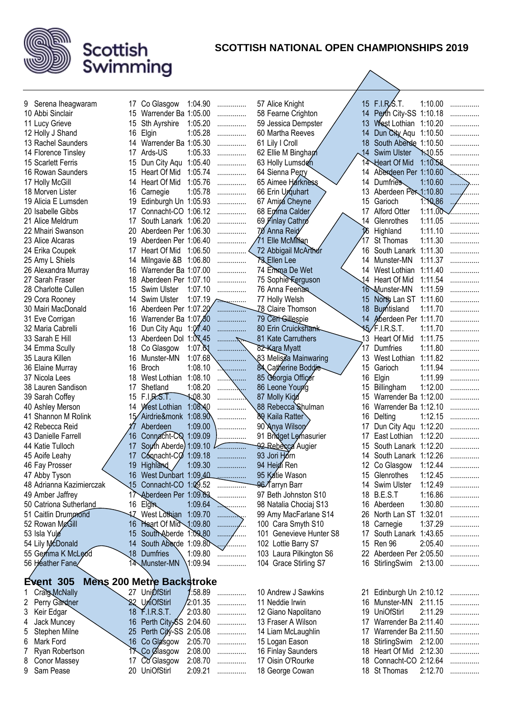

| 9 Serena Iheagwaram      |     | 17 Co Glasgow                    | 1:04.90              | .                  | 57 Alice Knight         |                | 15 F.I.R.S.T.                            | 1:10.00 | .        |
|--------------------------|-----|----------------------------------|----------------------|--------------------|-------------------------|----------------|------------------------------------------|---------|----------|
| 10 Abbi Sinclair         |     | 15 Warrender Ba 1:05.00          |                      | .                  | 58 Fearne Crighton      | 14             | Perth City-SS 1:10.18                    |         | .        |
| 11 Lucy Grieve           | 15  | <b>Sth Ayrshire</b>              | 1:05.20              | .                  | 59 Jessica Dempster     | 13             | West Lothian 1:10.20                     |         | .        |
| 12 Holly J Shand         |     | 16 Elgin                         | 1:05.28              | .                  | 60 Martha Reeves        | 14             | Dun City Aqu 1:10.50                     |         | .        |
| 13 Rachel Saunders       |     | 14 Warrender Ba 1:05.30          |                      | .                  | 61 Lily I Croll         | 18             | South Aberde 1:10.50                     |         | .        |
| 14 Florence Tinsley      |     | 17 Ards-US                       | 1:05.33              | .                  | 62 Ellie M Bingham      | $\frac{14}{5}$ | <b>Swim Ulster</b>                       | 1:10.55 | .        |
| 15 Scarlett Ferris       | 15  | Dun City Aqu 1:05.40             |                      | .                  | 63 Holly Lumsden        |                | 14 Heart Of Mid                          | 1:10.58 |          |
| 16 Rowan Saunders        | 15  | Heart Of Mid                     | 1:05.74              | .                  | 64 Sienna Perry         | 14             | Aberdeen Per 1:10.60                     |         |          |
| 17 Holly McGill          | 14  | Heart Of Mid                     | 1:05.76              | .                  | 65 Aimee Harkness       | 14             | <b>Dumfries</b>                          | 1:10.60 | .        |
| 18 Morven Lister         | 16  | Carnegie                         | 1:05.78              | .                  | 66 Erin Urquhart        | 13             | Aberdeen Per 1:10.80                     |         | $\ldots$ |
| 19 Alicia E Lumsden      | 19  | Edinburgh Un 1:05.93             |                      | .                  | 67 Amirá Cheyne         | 15             | Garioch                                  | 1.10.86 | .        |
| 20 Isabelle Gibbs        | 17  | Connacht-CO 1:06.12              |                      | .                  | 68 Emma Calder          | 17             | <b>Alford Otter</b>                      |         | 1:11.00  |
| 21 Alice Meldrum         | 17  | South Lanark 1:06.20             |                      | .                  | 69 Finlay Cathro        | 14             | Glenrothes                               | 1:11.05 | .        |
| 22 Mhairi Swanson        | 20  | Aberdeen Per 1:06.30             |                      | .                  | 70 Anna Reid            | 16             | Highland                                 | 1:11.10 |          |
| 23 Alice Alcaras         | 19  | Aberdeen Per 1:06.40             |                      | .                  | 71 Elle McMillan        |                | St Thomas                                | 1:11.30 |          |
| 24 Erika Coupek          | 17  | Heart Of Mid                     | 1:06.50              |                    | 72 Abbigail McArthur    | 16             | South Lanark                             | 1:11.30 |          |
| 25 Amy L Shiels          | 14  | Milngavie &B 1:06.80             |                      | .                  | <b>73 Ellen Lee</b>     | 14             | Munster-MN                               | 1:11.37 | .        |
| 26 Alexandra Murray      |     | 16 Warrender Ba 1:07.00          |                      | .                  | 74 Emma De Wet          |                | 14 West Lothian                          | 1:11.40 | .        |
| 27 Sarah Fraser          | 18  | Aberdeen Per 1:07.10             |                      | .                  | 75 Sophie Ferguson      |                | 14 Heart Of Mid                          | 1:11.54 |          |
| 28 Charlotte Cullen      | 15  | Swim Ulster                      | 1:07.10              | .                  | 76 Anna Feenan          |                | 16 Munster-MN                            | 1:11.59 | .        |
| 29 Cora Rooney           | 14  | Swim Ulster                      |                      | $1:07.19$ $\ldots$ | 77 Holly Welsh          | 15             | North Lan ST 1:11.60                     |         | .        |
| 30 Mairi MacDonald       |     | 16 Aberdeen Per 1:07.20          |                      | .                  | Z8 Claire Thomson       | 18             | <b>Burntisland</b>                       | 1:11.70 |          |
| 31 Eve Corrigan          | 16. | Warrender Ba 1:07,80             |                      | .                  | 79 Cert Gillespie       |                | 14 Aberdeen Per 1:11.70                  |         | .        |
| 32 Maria Cabrelli        | 16  | Dun City Aqu 1:07.40             |                      | .                  | 80 Erin Cruickshamk     |                | 15/F.I.R.S.T.                            | 1:11.70 | .        |
| 33 Sarah E Hill          |     | 13 Aberdeen Dol 1:0 X.45         |                      |                    | 81 Kate Carruthers      |                | 13 Heart Of Mid                          | 1:11.75 |          |
| 34 Emma Scully           | 18  | Co Glasgow                       | 1:07. $\delta$ 1     |                    | 82-Kara Myatt           | 17             | Dumfries                                 | 1:11.80 | .        |
| 35 Laura Killen          | 16. | Munster-MN                       | 1:07.68              |                    | 83 Melisza Mainwaring   | 13             | West Lothian                             | 1:11.82 | .        |
| 36 Elaine Murray         |     | 16 Broch                         | 1:08.10              | .                  | 84 Catherine Boddie     | 15             | Garioch                                  | 1:11.94 | .        |
| 37 Nicola Lees           |     | 18 West Lothian 1:08.10          |                      | .<br>.             | 85 Georgia Officer      | 16             | Elgin                                    | 1:11.99 | .        |
| 38 Lauren Sandison       | 17  | Shetland                         | 1:08.20              | .                  | 86 Leone Young          | 15             | Billingham                               | 1:12.00 | .        |
| 39 Sarah Coffey          |     | 15 F.I.R.S.T.                    | $\frac{108.30}{100}$ |                    | 87 Molly Kidd           | 15             | Warrender Ba 1:12.00                     |         | .        |
| 40 Ashley Merson         |     | 14 West Lothian 1:08:40          |                      | .                  | 88 Rebecca Shulman      | 16             | Warrender Ba 1:12.10                     |         | .        |
| 41 Shannon M Rolink      |     | 15 Airdrie&monk 1:08.90          |                      | .                  | 89 Kaila Ratter         | 16             | Delting                                  | 1:12.15 | .        |
| 42 Rebecca Reid          |     | Aberdeen                         | 1:09.00              | .                  | 90 Anya Wilsory         | 17             | Dun City Aqu 1:12.20                     |         |          |
| 43 Danielle Farrell      | 16. | Connacht-CQ 1:09.09              |                      |                    | 91 Bridget Lemasurier   | 17             | East Lothian                             | 1:12.20 |          |
| 44 Katie Tulloch         | 17  | South Aberde) 1:09.10            |                      |                    | 92 Rebecca Augier       | 15             | South Lanark 1:12.20                     |         |          |
| 45 Aoife Leahy           | 17  | Connacht-CO                      | 1:09.18              |                    | 93 Jori Horn            | 14             | South Lanark 1:12.26                     |         |          |
| 46 Fay Prosser           | 19  | <b>Highland</b>                  | 1:09.30              |                    | 94 Heidi Ren            | 12             | Co Glasgow                               | 1:12.44 |          |
| 47 Abby Tyson            |     | 16 West Dunbart 1:09,40          |                      |                    | 95 Katie Wason          |                | 15 Glenrothes                            | 1:12.45 | .        |
| 48 Adrianna Kazimierczak |     | 15 Connacht-CO 1:09.52           |                      | .                  | 96 Tarryn Barr          |                | 14 Swim Ulster                           | 1:12.49 | .        |
| 49 Amber Jaffrey         |     | 17 Aberdeen Per 1:09.63          |                      | .                  | 97 Beth Johnston S10    |                | 18 B.E.S.T                               | 1:16.86 | .        |
| 50 Catriona Sutherland   |     | 16 Elgin                         | 1:09.64              | <b></b>            | 98 Natalia Chociaj S13  |                | 16 Aberdeen                              | 1:30.80 | .        |
| 51 Caitlin Drummond      |     | 17 West Lothian 1:09.70          |                      | .                  | 99 Amy MacFarlane S14   | 26             | North Lan ST                             | 1:32.01 | .        |
| 52 Rowan McGill          |     | 16 Heart Of Mid 1:09.80          |                      | .                  | 100 Cara Smyth S10      |                | 18 Carnegie                              | 1:37.29 | .        |
| 53 Isla Yule             |     | 15 South Aberde 1:09.80          |                      | .                  | 101 Genevieve Hunter S8 |                | 17 South Lanark 1:43.65                  |         | .        |
| 54 Lily McDonald         | 14  | South Aberde 1:09.80             |                      | .                  | 102 Lottie Barry S7     |                | 15 Ren 96                                | 2:05.40 | .        |
| 55 Gemma K McLeod        |     | 18 Dumfries                      | 1:09.80              | .                  | 103 Laura Pilkington S6 |                | 22 Aberdeen Per 2:05.50                  |         | .        |
| 56 Heather Fane∕         |     | 14 Munster-MN                    | 1:09.94              |                    | 104 Grace Stirling S7   |                | 16 StirlingSwim                          | 2:13.00 | .        |
| <b>Event 305</b>         |     | <b>Mens 200 Metre Backstroke</b> |                      |                    |                         |                |                                          |         |          |
| Craig McNally<br>1.      |     | 27 UniØfStirl                    | :58.89               |                    | 10 Andrew J Sawkins     |                |                                          |         |          |
| 2 Perry Gardner          |     | 22 UniOfStirl                    | 2:01.35              | .                  | 11 Neddie Irwin         |                | 21 Edinburgh Un 2:10.12<br>16 Munster-MN | 2:11.15 | .        |
| Keir Edgar               |     | 18 F.I.R.S.T.                    | 2:03.80              | .                  | 12 Giano Napolitano     |                | 19 UniOfStirl                            | 2:11.29 | .        |
| 3<br>Jack Muncey<br>4    |     | 16 Perth City-SS 2:04.60         |                      | .                  | 13 Fraser A Wilson      | 17             | Warrender Ba 2:11.40                     |         | .        |
| Stephen Milne<br>5       |     | 25 Perth City-SS 2:05.08         |                      | .<br>.             | 14 Liam McLaughlin      | 17             | Warrender Ba 2:11.50                     |         | .<br>.   |
| Mark Ford<br>6           |     | 16 Co Glasgow                    | 2:05.70              | .                  | 15 Logan Eason          | 18             | StirlingSwim 2:12.00                     |         |          |
| Ryan Robertson<br>7      |     | <b>17 Co Glasgow</b>             | 2:08.00              | .                  | 16 Finlay Saunders      | 18             | Heart Of Mid 2:12.30                     |         | .<br>.   |
| Conor Massey<br>8        |     | 17 Co Glasgow                    | 2:08.70              | .                  | 17 Oisin O'Rourke       |                | 18 Connacht-CO 2:12.64                   |         | .        |
| Sam Pease<br>9           |     | 20 UniOfStirl                    | 2:09.21              | .                  | 18 George Cowan         |                | 18 St Thomas                             | 2:12.70 | .        |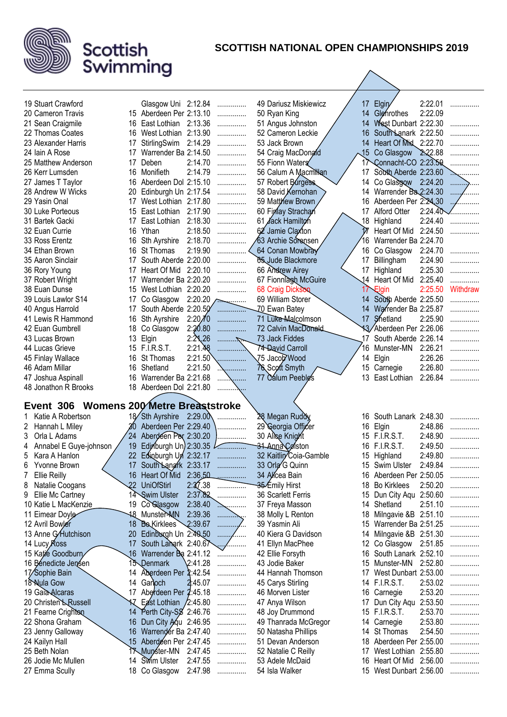

| 19 Stuart Crawford                      |                 | Glasgow Uni 2:12.84             |                    | .      | 49 Dariusz Miskiewicz             | 17              | Elgin                                           | 2:22.01 |          |
|-----------------------------------------|-----------------|---------------------------------|--------------------|--------|-----------------------------------|-----------------|-------------------------------------------------|---------|----------|
| 20 Cameron Travis                       |                 | 15 Aberdeen Per 2:13.10         |                    | .      | 50 Ryan King                      | 14              | Glenrothes                                      | 2:22.09 |          |
| 21 Sean Craigmile                       |                 | 16 East Lothian 2:13.36         |                    | .      | 51 Angus Johnston                 | 14              | West Dunbart 2:22.30                            |         | .        |
| 22 Thomas Coates                        | 16              | West Lothian 2:13.90            |                    | .      | 52 Cameron Leckie                 | 16              | South Lanark 2:22.50                            |         |          |
| 23 Alexander Harris                     | 17              | StirlingSwim                    | 2:14.29            |        | 53 Jack Brown                     | 14              | Heart Of Mid. 2:22.70                           |         |          |
|                                         |                 |                                 |                    | .      |                                   |                 |                                                 |         | .        |
| 24 Iain A Rose                          | 17              | Warrender Ba 2:14.50            |                    | .      | 54 Craig MacDonald                | $\sqrt{5}$      | Co Glasgow                                      | 2.22.88 |          |
| 25 Matthew Anderson                     | 17              | Deben                           | 2:14.70            | .      | 55 Fionn Waters                   | 17              | Connacht-CO 2:23.59                             |         |          |
| 26 Kerr Lumsden                         |                 | 16 Monifieth                    | 2:14.79            | .      | 56 Calum A Macmillan              | 17              | South Aberde 2:23.60                            |         |          |
| 27 James T Taylor                       | 16.             | Aberdeen Dol 2:15.10            |                    | .      | 57 Robert Burgess                 | 14              | Co Glasgow                                      | 2:24.20 | .        |
| 28 Andrew W Wicks                       | 20              | Edinburgh Un 2:17.54            |                    | .      | 58 David Kernohan                 | 14              | Warrender Ba 2:24.30                            |         |          |
| 29 Yasin Onal                           | 17              | West Lothian 2:17.80            |                    | .      | 59 Matthew Brown                  | 16              | Aberdeen Per 2:24,30                            |         |          |
| 30 Luke Porteous                        | 15              | East Lothian                    | 2:17.90            | .      | 60 Finlay Strachan                | 17              | Alford Otter                                    | 2:24.40 |          |
| 31 Bartek Gacki                         | 17              | East Lothian                    | 2:18.30            | .      | 61 Jack Hamilton                  | 18              | Highland                                        | 2:24.40 |          |
| 32 Euan Currie                          | 16              | Ythan                           | 2:18.50            | .      | 62 Jamie Claxton                  |                 | Heart Of Mid                                    | 2:24.50 | .        |
| 33 Ross Erentz                          | 16              | Sth Ayrshire                    | 2:18.70            | .      | 63 Archie Sorensen                | 16              | Warrender Ba 2:24.70                            |         |          |
| 34 Ethan Brown                          | 16              | St Thomas                       | 2:19.90            |        | 64 Conan Mowbray                  | 16.             | Co Glasgow                                      | 2:24.70 |          |
| 35 Aaron Sinclair                       | 17              | South Aberde 2:20.00            |                    | .      | 05 Jude Blackmore                 | 17              | Billingham                                      | 2:24.90 | .        |
| 36 Rory Young                           | 17              | Heart Of Mid                    | 2:20.10            | .      | 66 Andrew Airey                   |                 | 17 Highland                                     | 2:25.30 | .        |
| 37 Robert Wright                        | 17              | Warrender Ba 2:20.20            |                    | .      | 67 Fionnlagh McGuire              |                 | 14 Heart Of Mid                                 | 2:25.40 | .        |
| 38 Euan Dunse                           | 15.             | West Lothian 2:20.20            |                    | .      | 68 Craig Dickson                  |                 | Elgin                                           | 2:25.50 | Withdraw |
| 39 Louis Lawlor S14                     | 17              | Co Glasgow                      | $2:20.20$ $\sim$   |        | 69 William Storer                 | 14              | South Aberde 2:25.50                            |         |          |
|                                         |                 | South Aberde 2:20.50            |                    |        |                                   | 14              | Warrender Ba 2:25.87                            |         |          |
| 40 Angus Harrold                        | 17              |                                 |                    |        | Z0 Ewan Batey                     |                 |                                                 |         |          |
| 41 Lewis R Hammond                      | 16              | Sth Ayrshire                    | 2:20/10            | .      | 71 Luke Malcolmson                | 17 <sup>2</sup> | Shetland                                        | 2:25.90 |          |
| 42 Euan Gumbrell                        | 18              | Co Glasgow                      | 2:20.80            |        | 72 Calvin MacDonald               |                 | 13 Aberdeen Per 2:26.06                         |         |          |
| 43 Lucas Brown                          | 13              | Elgin                           | 2:21,26            | .      | 73 Jack Fiddes                    | 17              | South Aberde 2:26.14                            |         | .        |
| 44 Lucas Grieve                         |                 | 15 F.I.R.S.T.                   | 2:21.48            | .      | 74-David Carroll                  | 16              | Munster-MN                                      | 2:26.21 | .        |
| 45 Finlay Wallace                       | 16              | St Thomas                       | 2:21.50            |        | 75 Jacob Wood                     | 14              | Elgin                                           | 2:26.26 | .        |
| 46 Adam Millar                          | 16              | Shetland                        | 2:21.50            | .      | 76 Scoft Smyth                    | 15              | Carnegie                                        | 2:26.80 | .        |
| 47 Joshua Aspinall                      | 16              | Warrender Ba 2:21.68            |                    | .<br>. | 77 Calum Peeble's                 |                 | 13 East Lothian                                 | 2:26.84 |          |
|                                         |                 |                                 |                    |        |                                   |                 |                                                 |         |          |
| 48 Jonathon R Brooks                    |                 | 18 Aberdeen Dol 2:21.80         |                    |        |                                   |                 |                                                 |         |          |
|                                         |                 |                                 |                    |        |                                   |                 |                                                 |         |          |
| Event 306 Womens 200 Metre Breaststroke |                 |                                 |                    |        |                                   |                 |                                                 |         |          |
| Katie A Robertson                       |                 | 18 Sth Ayrshire 2:29.00         |                    |        | 28 Megan Ruddy                    |                 | 16 South Lanark 2:48.30                         |         |          |
| 2<br>Hannah L Miley                     | 30              | Aberdeen Per 2:29.40            |                    |        | 29 Georgia Officer                |                 | 16 Elgin                                        | 2:48.86 |          |
| Orla L Adams<br>3                       | 24              | Aberdeen Per 2:30.20            |                    |        | 30 Alice Knight                   |                 | 15 F.I.R.S.T.                                   | 2:48.90 |          |
| 4                                       | 19              |                                 |                    |        |                                   | 16              | <b>F.I.R.S.T.</b>                               | 2:49.50 |          |
| Annabel E Guye-johnson                  |                 | Edinburgh Un) 2:30.35           |                    |        | 31 Anna Colston                   |                 |                                                 |         |          |
| 5<br>Kara A Hanlon                      | 22              | Edinburgh Un 2:32.17            |                    |        | 32 Kaitlin Coia-Gamble            | 15              | Highland                                        | 2:49.80 | .<br>.   |
| 6<br>Yvonne Brown                       | 17              | South Langrk 2:33.17            |                    |        | 33 Orla G Quinn                   |                 | 15 Swim Ulster                                  | 2:49.84 |          |
| <b>Ellie Reilly</b>                     |                 | 16 Heart Of Mid                 | 2:36,50            | .      | 34 Alicea Bain                    |                 | 16 Aberdeen Per 2:50.05                         |         | .        |
| 8<br>Natalie Coogans                    | $\overline{22}$ | <b>UniOfStirl</b>               | 2:37.38            |        | 35 Emily Hirst                    | 18              | <b>Bo Kirklees</b>                              | 2:50.20 | .        |
| Ellie Mc Cartney<br>9                   |                 | 14 Swim Ulster                  | 2:37.82            | .      | 36 Scarlett Ferris                | 15              | Dun City Aqu 2:50.60                            |         | .        |
| 10 Katie L MacKenzie                    |                 | 19 Co Glasgow                   | 2:38.40            | .      | 37 Freya Masson                   | 14              | Shetland                                        | 2:51.10 | .        |
| 11 Eimear Doyle                         |                 | <b>48 Munster-MN</b>            | 2:39.36            | .      | 38 Molly L Renton                 | 18              | Milngavie &B 2:51.10                            |         | .        |
| 12 Avril Bowler                         | 18              | <b>Be</b> Kirklees              | 2:39.67            | .      | 39 Yasmin Ali                     | 15              | Warrender Ba 2:51.25                            |         |          |
| 13 Anne G/Hutchison                     | 20              | Edinburgh Un 2:40.50            |                    |        | 40 Kiera G Davidson               | 14              | Milngavie &B 2:51.30                            |         |          |
| 14 Lucy Ross                            | 17              | South Langrk 2:40.67            |                    | .      | 41 Ellyn MacPhee                  | 12              | Co Glasgow                                      | 2:51.85 |          |
| 15 Katie Goodburn                       | .16             | Warrender Ba 2:41.12            |                    |        | 42 Ellie Forsyth                  | 16              | South Lanark 2:52.10                            |         |          |
| 16 Benedicte Jensen                     |                 | 15 Denmark                      | 2:41.28            | .      | 43 Jodie Baker                    | 15              | Munster-MN                                      | 2:52.80 | .        |
| 17/Sophie Bain                          |                 | 14 Aberdeen Per 2:42.54         |                    | .      | 44 Hannah Thomson                 | 17              | West Dunbart 2:53.00                            |         | .        |
| 18 Nula Gow                             |                 | 14 Garloch                      | 2:45.07            | .      | 45 Carys Stirling                 | 14              | <b>F.I.R.S.T.</b>                               | 2:53.02 | .        |
| 19 Gala Alcaras                         |                 | 17 Aberdeen Per 2:45.18         |                    | .      | 46 Morven Lister                  | 16              | Carnegie                                        | 2:53.20 | .        |
| 20 Christen Russell                     |                 | East Lothian / 2:45.80          |                    | .      | 47 Anya Wilson                    | 17              | Dun City Aqu 2:53.50                            |         | .        |
| 21 Fearne Crighton                      |                 | 14 Perth City-SS 2:46.76        |                    | .      | 48 Joy Drummond                   |                 | 15 F.I.R.S.T.                                   | 2:53.70 | .        |
| 22 Shona Graham                         | 16              |                                 |                    | .      | 49 Thanrada McGregor              |                 | 14 Carnegie                                     | 2:53.80 | .        |
|                                         | 16              | Dun City Agu 2:46.95            |                    | .      |                                   | 14              |                                                 | 2:54.50 | .        |
| 23 Jenny Galloway                       |                 | Warrender Ba 2:47.40            |                    |        | 50 Natasha Phillips               |                 | St Thomas                                       |         |          |
| 24 Kailyn Hall                          |                 | 15 Aberdeen Per 2:47.45         |                    | .      | 51 Devan Anderson                 | 17              | 18 Aberdeen Per 2:55.00                         |         | .        |
| 25 Beth Nolan                           |                 | 17 Munster-MN                   | 2:47.45            | .      | 52 Natalie C Reilly               |                 | West Lothian 2:55.80                            |         | .        |
| 26 Jodie Mc Mullen<br>27 Emma Scully    |                 | 14 Swim Ulster<br>18 Co Glasgow | 2:47.55<br>2:47.98 | .<br>. | 53 Adele McDaid<br>54 Isla Walker | 16              | Heart Of Mid 2:56.00<br>15 West Dunbart 2:56.00 |         | .<br>.   |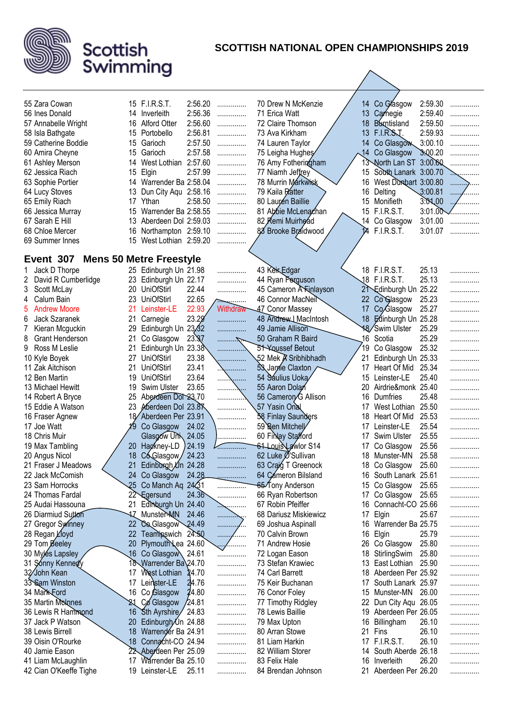

| 55 Zara Cowan               |                 | 15 F.I.R.S.T.                  | 2:56.20 | .              | 70 Drew N McKenzie               |             | 14 Co Glasgow                     | 2:59.30 | . |
|-----------------------------|-----------------|--------------------------------|---------|----------------|----------------------------------|-------------|-----------------------------------|---------|---|
| 56 Ines Donald              |                 | 14 Inverleith                  | 2:56.36 | .              | 71 Erica Watt                    |             | 13 Carnegie                       | 2:59.40 | . |
| 57 Annabelle Wright         | 16              | Alford Otter                   | 2:56.60 | .              | 72 Claire Thomson                | 18          | <b>Burntisland</b>                | 2:59.50 | . |
| 58 Isla Bathgate            | 15              | Portobello                     | 2:56.81 | .              | 73 Ava Kirkham                   | 13          | F.I.R.S.J.                        | 2:59.93 | . |
| 59 Catherine Boddie         | 15              | Garioch                        | 2:57.50 | .              | 74 Lauren Taylor                 | 14          | Co Glasgow                        | 3:00.10 | . |
| 60 Amira Cheyne             | 15              | Garioch                        | 2:57.58 | .              | 75 Leigha Hughes                 | $\sqrt{14}$ | Co Glasgow                        | 3.00.20 |   |
| 61 Ashley Merson            | 14              | West Lothian                   | 2:57.60 | .              | 76 Amy Fotheringham              |             | 13 North Lan ST 3:00.60           |         |   |
| 62 Jessica Riach            | 15              | Elgin                          | 2:57.99 | .              | 77 Niamh Jeffrey                 | 15          | South Lanark 3:00.70              |         |   |
| 63 Sophie Portier           | 14              | Warrender Ba 2:58.04           |         | .              | 78 Murrin Markwisk               | 16          | West Dunbart 3:00.80              |         | . |
| 64 Lucy Stoves              | 13              | Dun City Agu 2:58.16           |         | .              | 79 Kaila Ratter                  | 16          | Delting                           | 3:00.81 |   |
| 65 Emily Riach              | 17              | Ythan                          | 2:58.50 | .              | 80 Laurén Baillie                | 15          | Monifieth                         | 3.01,00 |   |
| 66 Jessica Murray           | 15              | Warrender Ba 2:58.55           |         | .              | 81 Abbie McLenachan              | 15          | <b>F.I.R.S.T.</b>                 | 3:01.00 |   |
| 67 Sarah E Hill             | 13              | Aberdeen Dol 2:59.03           |         | .              | 82 Remi Muirhead                 |             | 14 Co Glasgow                     | 3:01.00 | . |
| 68 Chloe Mercer             | 16              | Northampton 2:59.10            |         | .              | 88 Brooke Braidwood              | 14          | <b>F.I.R.S.T.</b>                 | 3:01.07 |   |
| 69 Summer Innes             | 15              | West Lothian 2:59.20           |         |                |                                  |             |                                   |         |   |
|                             |                 |                                |         |                |                                  |             |                                   |         |   |
| Event 307                   |                 | <b>Mens 50 Metre Freestyle</b> |         |                |                                  |             |                                   |         |   |
| Jack D Thorpe<br>1          |                 | 25 Edinburgh Un 21.98          |         | .              | 43 Kein Edgar                    |             | 18 F.I.R.S.T.                     | 25.13   | . |
| David R Cumberlidge<br>2    | 23              | Edinburgh Un 22.17             |         | .              | 44 Ryan Parguson                 |             | 18 F.I.R.S.T.                     | 25.13   | . |
| 3<br>Scott McLay            | 20              | <b>UniOfStirl</b>              | 22.44   | .              | 45 Cameron A Funlayson           |             | 2 <sup>1</sup> Edinburgh Un 25.22 |         | . |
| Calum Bain<br>4             | 23              | <b>UniOfStirl</b>              | 22.65   | . <u>. .</u>   | 46 Connor MacNeil                | 22          | Co Glasgow                        | 25.23   |   |
| <b>Andrew Moore</b><br>5    | 21              | Leinster-LE                    | 22.93   | Withdraw       | 47 Conor Massey                  | 17          | Co <sub>Glasgow</sub>             | 25.27   | . |
| Jack Szaranek<br>6          | 21              | Carnegie                       | 23.29   | .              | 48 Andrew LMacIntosh             |             | 18 Edinburgh Un 25.28             |         |   |
| Kieran Mcguckin<br>7        | 29              | Edinburgh Un 23.32             |         | .              | 49 Jamie Allison                 |             | 18/Swim Ulster                    | 25.29   |   |
| <b>Grant Henderson</b><br>8 | 21              | Co Glasgow                     | 23.87   |                | 50 Graham R Baird                | 16          | Scotia                            | 25.29   | . |
| 9<br>Ross M Leslie          | 21              | Edinburgh Un 23.38             |         | .              | <b>51 Youssef Betout</b>         | 19          | Co Glasgow                        | 25.32   | . |
| 10 Kyle Boyek               | 27              | UniOfStirl                     | 23.38   | .              | 52 Mek <i>R</i> Sribhibhadh      | 21          | Edinburgh Un 25.33                |         | . |
| 11 Zak Aitchison            | 21              | <b>UniOfStirl</b>              | 23.41   | \              | 53 Jame Claxton                  | 17          | Heart Of Mid                      | 25.34   | . |
| 12 Ben Martin               | 19              | <b>UniOfStirl</b>              | 23.64   |                | 54 Saulius Uoka                  | 15          | Leinster-LE                       | 25.40   |   |
| 13 Michael Hewitt           | 19              | <b>Swim Ulster</b>             | 23.65   |                | 55 Aaron Dolan                   | 20          | Airdrie&monk 25.40                |         | . |
| 14 Robert A Bryce           | 25              | Aberdeen Dol 23.70             |         | . <u>.</u>     | 56 Camerory <sup>G</sup> Allison | 16          | Dumfries                          | 25.48   | . |
|                             | 23              | Moerdeen Dol 23.87             |         | .              |                                  |             |                                   | 25.50   | . |
| 15 Eddie A Watson           |                 |                                |         |                | 57 Yasin Onal                    | 17<br>18    | West Lothian                      | 25.53   |   |
| 16 Fraser Agnew             |                 | Aberdeen Per 23.91             |         |                | 58 Finlay Saunders               |             | Heart Of Mid                      |         |   |
| 17 Joe Watt                 |                 | Co Glasgow                     | 24.02   |                | 59 Ren Mitchell                  | 17          | Leinster-LE                       | 25.54   | . |
| 18 Chris Muir               |                 | Glasgow Univ                   | 24.05   | .              | 60 Finlay Stafford               | 17          | Swim Ulster                       | 25.55   | . |
| 19 Max Tambling             | 20              | Hagkney-LD                     | 24.19   | .              | 61 Louis Lawlor S14              | 17          | Co Glasgow                        | 25.56   | . |
| 20 Angus Nicol              | 18              | Có Glasgow                     | 24.23   | .              | 62 Luke Ø'Sullivan               | 18          | Munster-MN                        | 25.58   | . |
| 21 Fraser J Meadows         | 21              | Edinburgh Un 24.28             |         | .              | 63 Craig T Greenock              | 18          | Co Glasgow                        | 25.60   | . |
| 22 Jack McComish            |                 | 24 Co Glasgow                  | 24.28   | .              | 64 Cameron Bilsland              |             | 16 South Lanark 25.61             |         | . |
| 23 Sam Horrocks             | $\overline{25}$ | Co Manch Aq 2421               |         | . <del>.</del> | 65 Tony Anderson                 | 15          | Co Glasgow                        | 25.65   | . |
| 24 Thomas Fardal            |                 | 22 Egersund                    | 24.36   | .              | 66 Ryan Robertson                | 17          | Co Glasgow                        | 25.65   | . |
| 25 Audai Hassouna           | 21              | Edinburgh Un 24.40             |         | <sub>.</sub>   | 67 Robin Pfeiffer                | 16          | Connacht-CO 25.66                 |         | . |
| 26 Diarmiud Sutton          | 17              | Munster-MN                     | 24.46   | .              | 68 Dariusz Miskiewicz            | 17          | Elgin                             | 25.67   | . |
| 27 Gregor Symney            | 22              | Co Glasgow 24.49               |         | .              | 69 Joshua Aspinall               |             | 16 Warrender Ba 25.75             |         | . |
| 28 Regan <i>L</i> loyd      | 22              | Teamipswich 24.50              |         | .<br>1.1.1.1.1 | 70 Calvin Brown                  | 16          | Elgin                             | 25.79   | . |
| 29 Tom Beeley               | 20              | Plymouth Lea 24.60             |         | .              | 71 Andrew Hosie                  |             | 26 Co Glasgow                     | 25.80   | . |
| 30 Myles Lapsley            | 16              | Co Glasgow 24.61               |         | .              | 72 Logan Eason                   | 18          | StirlingSwim                      | 25.80   | . |
| 31 Sonny Kennedy            |                 | 18 Warrender Ba 24.70          |         | .              | 73 Stefan Krawiec                |             | 13 East Lothian                   | 25.90   | . |
| 32/John Kean                | 17              | West Lothian                   | 24.70   | .              | 74 Carl Barrett                  |             | 18 Aberdeen Per 25.92             |         | . |
| 33 Sam Winston              | 17              | Leinster-LE                    | 24.76   | .              | 75 Keir Buchanan                 | 17          | South Lanark 25.97                |         | . |
| 34 Mark Ford                | 16              | Co Glasgow                     | 24.80   | .              | 76 Conor Foley                   | 15          | Munster-MN                        | 26.00   | . |
| 35 Martin Molnes            |                 | Co Glasgow                     | /24.81  | .              | 77 Timothy Ridgley               | 22          | Dun City Aqu 26.05                |         | . |
| 36 Lewis R Hammond          | 16              | Sth Ayrshire/ 24.83            |         | .              | 78 Lewis Baillie                 | 19          | Aberdeen Per 26.05                |         | . |
| 37 Jack P Watson            | 20              | Edinburgh/Un 24.88             |         | .              | 79 Max Upton                     |             | 16 Billingham                     | 26.10   | . |
| 38 Lewis Birrell            | 18              | Warrender Ba 24.91             |         | .              | 80 Arran Stowe                   | 21          | Fins                              | 26.10   | . |
| 39 Oisin O'Rourke           | 18              | Connacht-CO 24.94              |         | .              | 81 Liam Harkin                   |             | 17 F.I.R.S.T.                     | 26.10   | . |
| 40 Jamie Eason              |                 | 22 Aberdeen Per 25.09          |         | .              | 82 William Storer                | 14          | South Aberde 26.18                |         | . |
| 41 Liam McLaughlin          | 17              | Warrender Ba 25.10             |         | .              | 83 Felix Hale                    | 16          | Inverleith                        | 26.20   | . |
| 42 Cian O'Keeffe Tighe      |                 | 19 Leinster-LE                 | 25.11   | .              | 84 Brendan Johnson               |             | 21 Aberdeen Per 26.20             |         | . |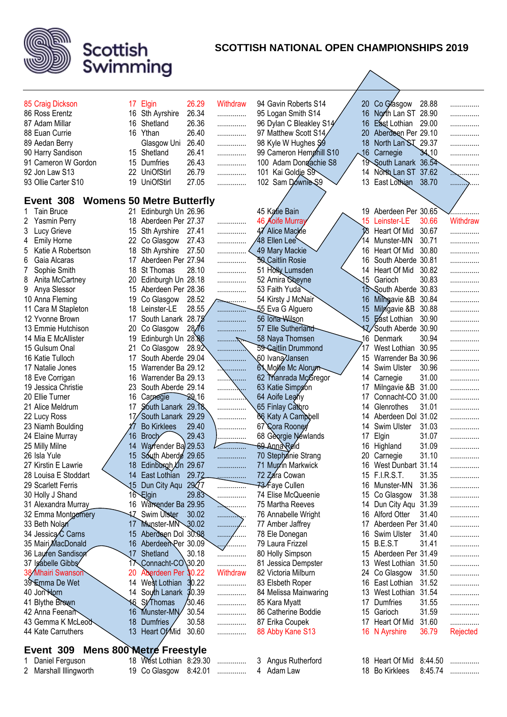

# **SCOTTISH NATIONAL OPEN CHAMPIONSHIPS 2019**

|                                          |    |                                  | 26.29  | Withdraw         |                                                  | 20       | Co Glasgow                               | 28.88 |            |
|------------------------------------------|----|----------------------------------|--------|------------------|--------------------------------------------------|----------|------------------------------------------|-------|------------|
| 85 Craig Dickson                         | 17 | Elgin                            | 26.34  |                  | 94 Gavin Roberts S14<br>95 Logan Smith S14       | 16       | North Lan ST 28.90                       |       | .          |
| 86 Ross Erentz                           |    | 16 Sth Ayrshire                  | 26.36  | .                |                                                  |          |                                          |       | .          |
| 87 Adam Millar<br>88 Euan Currie         | 16 | Shetland<br>16 Ythan             | 26.40  | .                | 96 Dylan C Bleakley S14<br>97 Matthew Scott S14/ | 16<br>20 | East Lothian 29.00<br>Aberdeen Per 29.10 |       | .          |
| 89 Aedan Berry                           |    | Glasgow Uni                      | 26.40  | .                | 98 Kyle W Hughes \$9                             | 18       | North Lan ST                             | 29.37 | .          |
|                                          |    | 15 Shetland                      | 26.41  | .                | 99 Cameron Hemphill S10                          | .16      | Carnegie                                 | 34,10 | .          |
| 90 Harry Sandison<br>91 Cameron W Gordon | 15 | Dumfries                         | 26.43  | .                | 100 Adam Dongachie S8                            |          | 19 South Lanark 36.54                    |       | .          |
| 92 Jon Law S13                           | 22 | <b>UniOfStirl</b>                | 26.79  | .                | 101 Kai Goldie S9                                | 14       | North Lan ST 37.62                       |       | .          |
| 93 Ollie Carter S10                      | 19 | <b>UniOfStirl</b>                | 27.05  | .                | 102 Sam Downles \$9                              | 13       | East Lothian                             | 38.70 | . <u>.</u> |
|                                          |    |                                  |        | .                |                                                  |          |                                          |       | .          |
| Event 308                                |    | <b>Womens 50 Metre Butterfly</b> |        |                  |                                                  |          |                                          |       |            |
| <b>Tain Bruce</b>                        | 21 | Edinburgh Un 26.96               |        |                  | 45 Katie Bain                                    |          | 19 Aberdeen Per 30.65                    |       |            |
| 2 Yasmin Perry                           | 18 | Aberdeen Per 27.37               |        | .                | 46 Aoife Murray                                  |          | 15 Leinster-LE                           | 30.66 | Withdraw   |
| 3<br>Lucy Grieve                         | 15 | Sth Ayrshire                     | 27.41  | .                | 47 Alice Mackie                                  |          | Heart Of Mid                             | 30.67 | .          |
| <b>Emily Horne</b><br>4                  | 22 | Co Glasgow                       | 27.43  | .                | 48 Ellen Lee                                     | 14       | Munster-MN                               | 30.71 | .          |
| Katie A Robertson<br>5                   | 18 | Sth Ayrshire                     | 27.50  | .                | 49 Mary Mackie                                   |          | 16 Heart Of Mid                          | 30.80 | .          |
| 6<br>Gaia Alcaras                        | 17 | Aberdeen Per 27.94               |        | .                | <b>50 Caitlin Rosie</b>                          | 16.      | South Aberde 30.81                       |       |            |
| Sophie Smith                             | 18 | St Thomas                        | 28.10  | .                | 51 Holly Lumsden                                 | 14       | Heart Of Mid                             | 30.82 | .          |
| 8<br>Anita McCartney                     | 20 | Edinburgh Un 28.18               |        | .                | 52 Amira Cheyne                                  | 15       | Garioch                                  | 30.83 | .          |
| 9<br>Anya Slessor                        | 15 | Aberdeen Per 28.36               |        | .                | 53 Faith Yuda                                    |          | 15 South Aberde 30.83                    |       | .          |
| 10 Anna Fleming                          | 19 | Co Glasgow                       | 28.52  | $\sum_{i=1}^{n}$ | 54 Kirsty J McNair                               | 16       | Milhgavie &B 30.84                       |       | .          |
| 11 Cara M Stapleton                      | 18 | Leinster-LE                      | 28.55  | . <del>. .</del> | 55 Eva G Alguero                                 | 15       | Milngavie &B 30.88                       |       | .          |
| 12 Yvonne Brown                          | 17 | South Lanark 28.75               |        | .                | 56 Iona Wilson                                   |          | 15 East Lothian                          | 30.90 | .          |
| 13 Emmie Hutchison                       | 20 | Co Glasgow                       | 28.76  | .                | 57 Elle Sutherland                               |          | 17 South Aberde 30.90                    |       | .          |
| 14 Mia E McAllister                      | 19 | Edinburgh Un 28.86               |        | . <del>. .</del> | 58 Naya Thomsen                                  |          | 16 Denmark                               | 30.94 | .          |
| 15 Gulsum Onal                           | 21 | Co Glasgow                       | 28.92  | .                | 59 Caitlin Drummond                              | 17       | West Lothian 30.95                       |       | .          |
| 16 Katie Tulloch                         | 17 | South Aberde 29.04               |        | .                | 60 Ivana Jansen                                  | 15       | Warrender Ba 30.96                       |       | .          |
| 17 Natalie Jones                         | 15 | Warrender Ba 29.12               |        | \                | 6 Mollie Mc Alorum                               |          | 14 Swim Ulster                           | 30.96 | .          |
| 18 Eve Corrigan                          | 16 | Warrender Ba 29.13               |        | . <u>. .</u>     | 62 Manrada McGregor                              | 14       | Carnegie                                 | 31.00 | .          |
| 19 Jessica Christie                      | 23 | South Aberde 29.14               |        | .                | 63 Katie Simpson                                 | 17       | Milngavie &B                             | 31.00 | .          |
| 20 Ellie Turner                          | 16 | Carnegie                         | 29.16  |                  | 64 Aoife Leany                                   | 17       | Connacht-CO 31.00                        |       | .          |
| 21 Alice Meldrum                         | 17 | South Lanark 29.18               |        | .                | ,65 Finlay Caั <del>N</del> αro                  | 14       | Glenrothes                               | 31.01 | .          |
| 22 Lucy Ross                             |    | 17/South Lanark 29.29            |        | .                | 66 Katy A Campbell                               | 14       | Aberdeen Dol 31.02                       |       | .          |
| 23 Niamh Boulding                        |    | <b>Bo Kirklees</b>               | 29.40  | .                | 67 Cora Rooney                                   | 14       | Swim Ulster                              | 31.03 | .          |
| 24 Elaine Murray                         | 16 | Broch                            | 29.43  | .                | 68 Georgie Newlands                              | 17       | Elgin                                    | 31.07 | .          |
| 25 Milly Milne                           | 14 | Warrender Ba 29.53               |        |                  | 69 Anna Reid                                     | 16       | Highland                                 | 31.09 | .          |
| 26 Isla Yule                             | 15 | South Aberde 29.65               |        | .                | 70 Stephanie Strang                              | 20       | Carnegie                                 | 31.10 | .          |
| 27 Kirstin E Lawrie                      |    | 18 Edinburgh Un 29.67            |        |                  | 71 Murrin Markwick                               |          | 16 West Dunbart 31.14                    |       |            |
| 28 Louisa E Stoddart                     |    | 14 East Lothian 29.72            |        | .                | 72 Zara Cowan                                    |          | 15 F.I.R.S.T.                            | 31.35 | .          |
| 29 Scarlett Ferris                       |    | 15 Dun City Aqu 29 27            |        | .                | <del>73</del> ∕Faye Cullen                       |          | 16 Munster-MN                            | 31.36 | .          |
| 30 Holly J Shand                         |    | 16 Elgin                         | 29.83  | .                | 74 Elise McQueenie                               |          | 15 Co Glasgow                            | 31.38 | .          |
| 31 Alexandra Murray                      |    | 16 Warrender Ba 29.95            |        | .                | 75 Martha Reeves                                 |          | 14 Dun City Aqu 31.39                    |       | .          |
| 32 Emma Montgomery                       |    | 17 Swim Utster 30.02             |        | .                | 76 Annabelle Wright                              |          | 16 Alford Otter                          | 31.40 | .          |
| 33 Beth Nolan                            |    | 17 Munster-MN 30.02              |        | .<br>٠.          | 77 Amber Jaffrey                                 |          | 17 Aberdeen Per 31.40                    |       | .          |
| 34 Jessica Carns                         |    | 15 Aberdeen Dol 30.08            |        | . <i>. .</i>     | 78 Ele Donegan                                   |          | 16 Swim Ulster                           | 31.40 | .          |
| 35 Mairi, MacDonald                      |    | 16 Aberdeen Per 30.09            |        | <u>.</u> /       | 79 Laura Frizzel                                 |          | 15 B.E.S.T                               | 31.41 | .          |
| 36 Lauren Sandison                       | 17 | Shetland                         | 30.18  | .                | 80 Holly Simpson                                 |          | 15 Aberdeen Per 31.49                    |       | .          |
| 37 Isabelle Gibbs                        |    | Connacht-CO\30.20                |        | .                | 81 Jessica Dempster                              |          | 13 West Lothian 31.50                    |       | .          |
| 38 Mhairi Swanson                        | 20 | Aberdeen Per 30.22               |        | Withdraw         | 82 Victoria Milburn                              |          | 24 Co Glasgow                            | 31.50 | .          |
| 39 Emma De Wet                           |    | 14 West Lothian                  | 30.22  | .                | 83 Elsbeth Roper                                 |          | 16 East Lothian                          | 31.52 | .          |
| 40 Jori Horn                             |    | 14 South Lanark 30.39            |        | .                | 84 Melissa Mainwaring                            |          | 13 West Lothian                          | 31.54 | .          |
| 41 Blythe Brown                          |    | <b>16 St/Thomas</b>              | /30.46 | .                | 85 Kara Myatt                                    |          | 17 Dumfries                              | 31.55 | .          |
| 42 Anna Feenan                           |    | 16 Munster-MN                    | 30.54  | .                | 86 Catherine Boddie                              |          | 15 Garioch                               | 31.59 | .          |
| 43 Gemma K McLeod                        | 18 | <b>Dumfries</b>                  | 30.58  | .                | 87 Erika Coupek                                  |          | 17 Heart Of Mid                          | 31.60 | .          |
| 44 Kate Carruthers                       |    | 13 Heart Of Mid                  | 30.60  | .                | 88 Abby Kane S13                                 |          | 16 N Ayrshire                            | 36.79 | Rejected   |
|                                          |    |                                  |        |                  |                                                  |          |                                          |       |            |
| Event 309 Mens 800 Metre Freestyle       |    |                                  |        |                  |                                                  |          |                                          |       |            |
| 1 Daniel Ferguson                        |    | 18 West Lothian $8.2930$         |        |                  | 3 Angus Rutherford                               |          | 18 Heart Of Mid $8.44\,50$               |       |            |

| 1 Daniel Ferguson      | 18 West Lothian 8:29.30 |   |  |
|------------------------|-------------------------|---|--|
| 2 Marshall Illingworth | 19 Co Glasgow 8:42.01   | . |  |

Angus Rutr<br>Adam Law

18 Bo Kirklees 8:45.74 ...............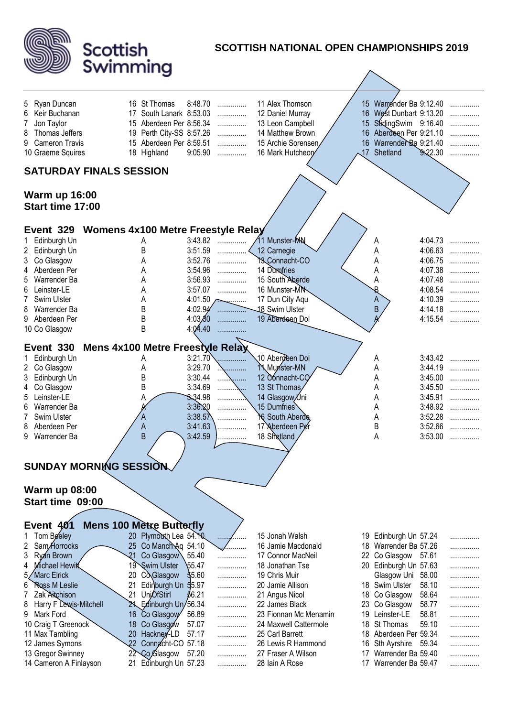

| <u>((@)  @   </u>                                                                                                                                                                                                                                                                       | Scottish                                                                                                                                                                                                                                                                                                                                     |                                                                                                                                                    | <b>SCOTTISH NATIONAL OPEN CHAMPIONSHIPS 2019</b>                                                                                                                                                                                                                                         |                |                                                                                                                                                                                                                                                                                          |                                                                                                 |                                                     |
|-----------------------------------------------------------------------------------------------------------------------------------------------------------------------------------------------------------------------------------------------------------------------------------------|----------------------------------------------------------------------------------------------------------------------------------------------------------------------------------------------------------------------------------------------------------------------------------------------------------------------------------------------|----------------------------------------------------------------------------------------------------------------------------------------------------|------------------------------------------------------------------------------------------------------------------------------------------------------------------------------------------------------------------------------------------------------------------------------------------|----------------|------------------------------------------------------------------------------------------------------------------------------------------------------------------------------------------------------------------------------------------------------------------------------------------|-------------------------------------------------------------------------------------------------|-----------------------------------------------------|
|                                                                                                                                                                                                                                                                                         | Swimming                                                                                                                                                                                                                                                                                                                                     |                                                                                                                                                    |                                                                                                                                                                                                                                                                                          |                |                                                                                                                                                                                                                                                                                          |                                                                                                 |                                                     |
| Ryan Duncan<br>5<br>Keir Buchanan<br>6<br>Jon Taylor<br>Thomas Jeffers<br>8<br><b>Cameron Travis</b><br>9<br>10 Graeme Squires                                                                                                                                                          | 16 St Thomas<br>17 South Lanark 8:53.03<br>15 Aberdeen Per 8:56.34<br>15 Aberdeen Per 8:59.51<br>18 Highland                                                                                                                                                                                                                                 | 8:48.70<br>.<br>.<br>.<br>19 Perth City-SS 8:57.26<br>.<br>9:05.90<br>.                                                                            | 11 Alex Thomson<br>12 Daniel Murray<br>13 Leon Campbell<br>14 Matthew Brown<br>15 Archie Sorensen<br>16 Mark Hutcheory                                                                                                                                                                   |                | 15 Warrender Ba 9:12.40<br>16 West Dunbart 9:13.20<br>15 StidingSwim 9:16.40<br>16 Aberdeen Per 9:21.10<br>16 Warrender Ba 9:21.40<br>17 Shetland                                                                                                                                        | 9.22.30                                                                                         | .<br>.<br>.                                         |
|                                                                                                                                                                                                                                                                                         | <b>SATURDAY FINALS SESSION</b>                                                                                                                                                                                                                                                                                                               |                                                                                                                                                    |                                                                                                                                                                                                                                                                                          |                |                                                                                                                                                                                                                                                                                          |                                                                                                 |                                                     |
| <b>Warm up 16:00</b><br>Start time 17:00                                                                                                                                                                                                                                                |                                                                                                                                                                                                                                                                                                                                              |                                                                                                                                                    |                                                                                                                                                                                                                                                                                          |                |                                                                                                                                                                                                                                                                                          |                                                                                                 |                                                     |
| Event 329                                                                                                                                                                                                                                                                               | <b>Womens 4x100 Metre Freestyle Relay</b>                                                                                                                                                                                                                                                                                                    |                                                                                                                                                    |                                                                                                                                                                                                                                                                                          |                |                                                                                                                                                                                                                                                                                          |                                                                                                 |                                                     |
| Edinburgh Un<br>1.<br>2 Edinburgh Un<br>Co Glasgow<br>3<br>Aberdeen Per<br>Warrender Ba<br>Leinster-LE<br>6<br>Swim Ulster<br>Warrender Ba<br>Aberdeen Per<br>9<br>10 Co Glasgow                                                                                                        | Α<br>B<br>А<br>А<br>А<br>А<br>Α<br>B<br>B<br>B                                                                                                                                                                                                                                                                                               | 3:43.82<br>.<br>3:51.59<br>.<br>3:52.76<br>.<br>3:54.96<br>.<br>3:56.93<br>.<br>3:57.07<br>.<br>$4:02.94$<br>4:03,80<br>.<br>4:04.40               | 11 Munster-MN<br>12 Carnegie<br>YS_Connacht-CO<br>14 Dumpfries<br>15 South Aberde<br>16 Munster-MN<br>17 Dun City Aqu<br>18 Swim Ulster<br>19 Aberdeen Dol                                                                                                                               |                | A<br>Α<br>Α<br>А<br>А<br>B<br>A<br>B                                                                                                                                                                                                                                                     | 4:04.73<br>4:06.63<br>4:06.75<br>4:07.38<br>4:07.48<br>4:08.54<br>4:10.39<br>4:14.18<br>4:15.54 | .<br>.<br>.<br>.<br>.<br>.<br>.<br>.                |
|                                                                                                                                                                                                                                                                                         |                                                                                                                                                                                                                                                                                                                                              |                                                                                                                                                    |                                                                                                                                                                                                                                                                                          |                |                                                                                                                                                                                                                                                                                          |                                                                                                 |                                                     |
| Event 330<br>Edinburgh Un<br>1.<br>Co Glasgow<br>$2^{\circ}$<br>Edinburgh Un<br>3<br>Co Glasgow<br>4<br>Leinster-LE<br>5<br>Warrender Ba<br>Swim Ulster<br>Aberdeen Per<br>8<br>Warrender Ba<br>9                                                                                       | Mens 4x100 Metre Freestyle Relay<br>А<br>Α<br>B<br>B<br>A<br>B                                                                                                                                                                                                                                                                               | 3:21.70<br>3:29.70<br>3:30.44<br>.<br>.<br>3:34.69<br>3.34.98<br>3:36.20<br>3:38.57<br>3:41.63<br>3:42.59<br>.                                     | 10 Aberdeen Dol<br>1 Munster-MN<br>12 Connacht-CO<br>13 St Thomas<br>14 Glasgow Uni<br>15 Dumfries<br><b>NG South Aberde</b><br>17 Aberdeen Per<br>18 Shetland                                                                                                                           |                | Α<br>Α<br>А<br>А<br>Α<br>A<br>Α<br>B<br>A                                                                                                                                                                                                                                                | 3:43.42<br>3:44.19<br>3:45.00<br>3:45.50<br>3:45.91<br>3:48.92<br>3:52.28<br>3:52.66<br>3:53.00 | .<br>.<br>.<br>.                                    |
|                                                                                                                                                                                                                                                                                         |                                                                                                                                                                                                                                                                                                                                              |                                                                                                                                                    |                                                                                                                                                                                                                                                                                          |                |                                                                                                                                                                                                                                                                                          |                                                                                                 |                                                     |
|                                                                                                                                                                                                                                                                                         | <b>SUNDAY MORNING SESSION</b>                                                                                                                                                                                                                                                                                                                |                                                                                                                                                    |                                                                                                                                                                                                                                                                                          |                |                                                                                                                                                                                                                                                                                          |                                                                                                 |                                                     |
| <b>Warm up 08:00</b><br>Start time 09:00                                                                                                                                                                                                                                                |                                                                                                                                                                                                                                                                                                                                              |                                                                                                                                                    |                                                                                                                                                                                                                                                                                          |                |                                                                                                                                                                                                                                                                                          |                                                                                                 |                                                     |
| <b>Event 401</b>                                                                                                                                                                                                                                                                        | <b>Mens 100 Metre Butterfly</b>                                                                                                                                                                                                                                                                                                              |                                                                                                                                                    |                                                                                                                                                                                                                                                                                          |                |                                                                                                                                                                                                                                                                                          |                                                                                                 |                                                     |
| Tom Beeley<br>Sam/Horrocks<br>Ryan Brown<br>3<br>Michael Hewitt<br>4<br>Marc Elrick<br>Ross M Leslie<br>6<br>Zak Aitchison<br>Harry F Lewis-Mitchell<br>8<br>Mark Ford<br>9<br>10 Craig T Greenock<br>11 Max Tambling<br>12 James Symons<br>13 Gregor Swinney<br>14 Cameron A Finlayson | 20 Plymouth Lea 54.10<br>25 Co Manch Aq 54.10<br>Co Glasgow<br>21<br><b>Swim Ulster</b><br>19<br>Co Glasgow<br>20<br>Edinburgh Un 55.97<br>21<br><b>UnjOfStirl</b><br>21<br>24 Edinburgh Un/56.34<br>16 Co Glasgow<br>18 Co Glasgow<br>20<br>Hackney-LD<br>22 <sub>2</sub><br>Connacht-CO 57.18<br>22 Co Glasgow<br>Edinburgh Un 57.23<br>21 | $\cdots$<br>.<br>55.40<br>.<br>\$5.47<br>.<br>55.60<br>.<br>.<br>56.21<br>.<br>.<br>56.89<br>.<br>57.07<br>.<br>57.17<br>.<br>.<br>57.20<br>.<br>. | 15 Jonah Walsh<br>16 Jamie Macdonald<br>17 Connor MacNeil<br>18 Jonathan Tse<br>19 Chris Muir<br>20 Jamie Allison<br>21 Angus Nicol<br>22 James Black<br>23 Fionnan Mc Menamin<br>24 Maxwell Cattermole<br>25 Carl Barrett<br>26 Lewis R Hammond<br>27 Fraser A Wilson<br>28 Iain A Rose | 19<br>18<br>17 | 19 Edinburgh Un 57.24<br>18 Warrender Ba 57.26<br>22 Co Glasgow 57.61<br>20 Edinburgh Un 57.63<br>Glasgow Uni<br>18 Swim Ulster<br>18 Co Glasgow<br>23 Co Glasgow<br>Leinster-LE<br>St Thomas<br>18 Aberdeen Per 59.34<br>16 Sth Ayrshire<br>Warrender Ba 59.40<br>17 Warrender Ba 59.47 | 58.00<br>58.10<br>58.64<br>58.77<br>58.81<br>59.10<br>59.34                                     | .<br>.<br>.<br>.<br>.<br>.<br>.<br>.<br>.<br>.<br>. |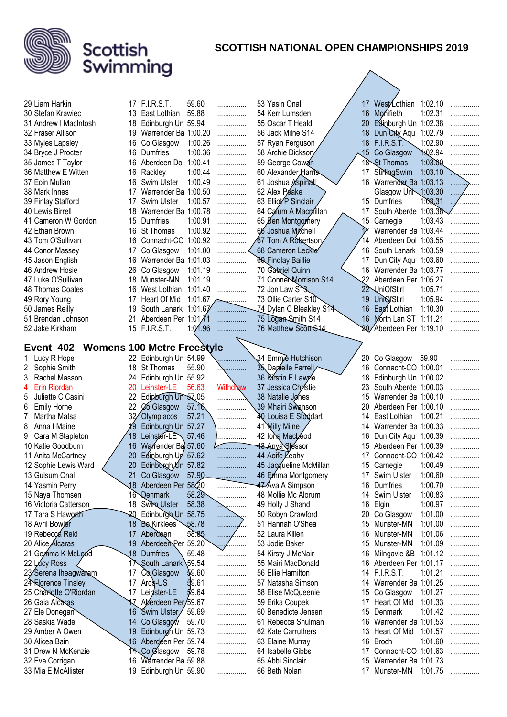

| 29 Liam Harkin                           |          | 17 F.I.R.S.T.                             | 59.60   |                  | 53 Yasin Onal                            |            | 17 West Lothian 1:02.10                         |                |          |
|------------------------------------------|----------|-------------------------------------------|---------|------------------|------------------------------------------|------------|-------------------------------------------------|----------------|----------|
| 30 Stefan Krawiec                        |          | 13 East Lothian                           | 59.88   | .                | 54 Kerr Lumsden                          | 16         | Monifieth                                       | 1:02.31        | .        |
| 31 Andrew I MacIntosh                    | 18       | Edinburgh Un 59.94                        |         | .                | 55 Oscar T Heald                         | 20         | Edinburgh Un 1:02.38                            |                | .        |
| 32 Fraser Allison                        | 19.      | Warrender Ba 1:00.20                      |         | .                | 56 Jack Milne S14                        | 18         | Dun City Aqu 1:02.79                            |                |          |
| 33 Myles Lapsley                         | 16.      | Co Glasgow                                | 1:00.26 | .                | 57 Ryan Ferguson                         | 18         | <b>F.I.R.S.T.</b>                               | 1:02.90        | .        |
| 34 Bryce J Procter                       | 16       | Dumfries                                  | 1:00.36 | .                | 58 Archie Dicksory                       | $\sqrt{5}$ | Co Glasgow                                      | <b>1:02.94</b> | .        |
|                                          |          | 16 Aberdeen Dol 1:00.41                   |         | .                |                                          |            | 18 St Thomas                                    | 1:03.00        |          |
| 35 James T Taylor<br>36 Matthew E Witten |          | Rackley                                   | 1:00.44 | .                | 59 George Cowan                          | 17         |                                                 | 1:03.10        | .        |
| 37 Eoin Mullan                           | 16<br>16 | Swim Ulster                               | 1:00.49 | .                | 60 Alexander Harris<br>61 Joshua Aspinal |            | StirlingSwim                                    |                | .        |
|                                          |          | Warrender Ba 1:00.50                      |         | .                |                                          |            | 16 Warrender Ba 1:03.13                         |                | .        |
| 38 Mark Innes                            | 17       |                                           |         | .                | 62 Alex Peake                            |            | Glasgow Uni 1:03.30                             |                | $\cdots$ |
| 39 Finlay Stafford                       | 17       | Swim Ulster                               | 1:00.57 | .                | 63 Elliot <sup>/</sup> P Sinclair        |            | 15 Dumfries                                     | 1.03,31        | ,        |
| 40 Lewis Birrell                         | 18       | Warrender Ba 1:00.78                      |         | .                | 64 Calum A Macmillan                     |            | 17 South Aberde 1:03.38                         |                |          |
| 41 Cameron W Gordon                      | 15.      | Dumfries                                  | 1:00.91 | .                | 65 Ben Montgomery                        |            | 15 Carnegie                                     | 1:03.43        | .        |
| 42 Ethan Brown                           | 16.      | <b>St Thomas</b>                          | 1:00.92 | .                | 66 Joshua Mitchell                       |            | Warrender Ba 1:03.44                            |                |          |
| 43 Tom O'Sullivan                        | 16       | Connacht-CO 1:00.92                       |         |                  | 67 Tom A Robertson                       |            | Aberdeen Dol 1:03.55                            |                |          |
| 44 Conor Massey                          | 17       | Co Glasgow                                | 1:01.00 |                  | 68 Cameron Leckie                        |            | 16 South Lanark 1:03.59                         |                |          |
| 45 Jason English                         | 16       | Warrender Ba 1:01.03                      |         |                  | <b>89</b> Findlay Baillie                | 17         | Dun City Aqu 1:03.60                            |                |          |
| 46 Andrew Hosie                          | 26       | Co Glasgow                                | 1:01.19 | .                | 70 Gabriel Quinn                         | 16         | Warrender Ba 1:03.77                            |                |          |
| 47 Luke O'Sullivan                       | 18       | Munster-MN                                | 1:01.19 | .                | 71 Conner Morrison S14                   |            | 22 Aberdeen Per 1:05.27                         |                | .        |
| 48 Thomas Coates                         | 16       | West Lothian                              | 1:01.40 | .                | 72 Jon Law STS                           |            | 22 UniOfStirl                                   | 1:05.71        |          |
| 49 Rory Young                            | 17       | Heart Of Mid                              |         | 1:01.67 $\sim$   | 73 Ollie Carter S10                      | 19         | <b>UniofStirl</b>                               | 1:05.94        | .        |
| 50 James Reilly                          | 19       | South Lanark 1:01.67                      |         |                  | 74 Dylan C Bleakley S14                  | 16         | Eagt Lothian                                    | 1:10.30        | .        |
| 51 Brendan Johnson                       | 21       | Aberdeen Per 1:01/1                       |         | .                | 75 Logan Smith S14                       |            | 16 Morth Lan ST 1:11.21                         |                |          |
| 52 Jake Kirkham                          |          | 15 F.I.R.S.T.                             | 1:01.96 | .                | 76 Matthew Scott S14                     |            | Aberdeen Per 1:19.10                            |                | .        |
| Event 402                                |          | <b>Womens 100 Metre Freestyle</b>         |         |                  |                                          |            |                                                 |                |          |
|                                          |          |                                           |         |                  | 34 Emmie Hutchison                       |            |                                                 |                |          |
| Lucy R Hope<br>Sophie Smith<br>2         | 18       | 22 Edinburgh Un 54.99<br><b>St Thomas</b> | 55.90   |                  | 35 Dapielle Farrell                      | 16         | 20 Co Glasgow 59.90<br>Connacht-CO 1:00.01      |                |          |
| Rachel Masson<br>3                       | 24       | Edinburgh Un 55.92                        |         |                  | 36 Krstin E Lawre                        | 18         | Edinburgh Un 1:00.02                            |                | .        |
| Erin Riordan<br>4                        | 20       | Leinster-LE                               | 56.63   | .<br>Withdraw    | 37 Jessica Christie                      | 23         | South Aberde 1:00.03                            |                |          |
| Juliette C Casini<br>5                   | 22       | Edinburgh Un 57.05                        |         |                  | 38 Natalie Jønes                         | 15         | Warrender Ba 1:00.10                            |                | .        |
| 6                                        |          | 22 <i>C</i> o Glasgow                     | 57.16   |                  | 39 Mhairi Swanson                        | 20         | Aberdeen Per 1:00.10                            |                | .        |
| <b>Emily Horne</b><br>7<br>Martha Matsa  | 32/      | Olympiacos                                | 57.21   |                  | 40 Louisa E Stoddart                     | 14         | East Lothian 1:00.21                            |                |          |
| 8<br>Anna I Maine                        |          | Edinburgh Un 57.27                        |         | .                | 41 Milly Milne                           | 14         | Warrender Ba 1:00.33                            |                | .        |
| Cara M Stapleton<br>9                    | 18       | Leinster-LE 57.46                         |         | .                | 42 long MacLeod                          | 16         | Dun City Aqu 1:00.39                            |                | .        |
| 10 Katie Goodburn                        | 16       | Warrender Ba 57.60                        |         | .                | 43 Anya Slessor                          | 15         | Aberdeen Per 1:00.39                            |                | .        |
| 11 Anita McCartney                       | 20       | Edinburgh Un 57.62                        |         | .                | 44 Aoife <i>Leahy</i>                    | 17         | Connacht-CO 1:00.42                             |                | .        |
|                                          | 20       |                                           |         | .                | 45 Jacqueline McMillan                   | 15         | Carnegie                                        | 1:00.49        | .        |
| 12 Sophie Lewis Ward<br>13 Gulsum Onal   |          | Edinburgh Un 57.82                        | 57.90   |                  | 46 Emma Montgomery                       |            | 17 Swim Ulster                                  | 1:00.60        |          |
| 14 Yasmin Perry                          |          | Co Glasgow<br>18 Aberdeen Per 5820        |         | .                | 47 Ava A Simpson                         | 16         | <b>Dumfries</b>                                 | 1:00.70        | .        |
| 15 Naya Thomsen                          |          | 16 Qenmark                                | 58.29   | .                | 48 Mollie Mc Alorum                      | 14         | Swim Ulster                                     | 1:00.83        | .        |
| 16 Victoria Catterson                    |          | 18 Swim Ulster                            | 58.38   | .                | 49 Holly J Shand                         | 16         | Elgin                                           | 1:00.97        | .        |
| 17 Tara S Haworth                        |          | 20 Edinburgh Un 58.75                     |         | .                | 50 Robyn Crawford                        |            | 20 Co Glasgow                                   | 1:01.00        | .        |
| 18 Avril Bowler                          |          | 18 <b>Bo</b> Kirklees                     | \$8.78  | . <del>. .</del> | 51 Hannah O'Shea                         | 15         | Munster-MN                                      | 1:01.00        | .        |
| 19 Rebecca Reid                          |          |                                           | 58.85   | .                | 52 Laura Killen                          | 16         |                                                 | 1:01.06        | .        |
| 20 Alice Alcaras                         | 19       | 17 Aberdeen<br>Aberdeen Per 59.20         |         | .<br>.           | 53 Jodie Baker                           | 15         | Munster-MN                                      | 1:01.09        | .        |
|                                          |          | 18 Dumfries                               | 59.48   | <u>/</u>         | 54 Kirsty J McNair                       | 16         | Munster-MN                                      |                | .        |
| 21 Gemma K McLeod<br>22 Lucy Ross        |          | 17 South Lanark \59.54                    |         | .                |                                          |            | Milngavie &B 1:01.12<br>16 Aberdeen Per 1:01.17 |                | .        |
|                                          |          |                                           | 59.60   | .                | 55 Mairi MacDonald                       |            | 14 F.I.R.S.T.                                   |                | .        |
| 23⁄Serena Iheagwaram                     | 17       | Co Glasgow                                |         | .                | 56 Ellie Hamilton                        |            |                                                 | 1:01.21        |          |
| 24 Rorence Tinsley                       |          | 17 Ards-US                                | 59.61   | .                | 57 Natasha Simson                        |            | 14 Warrender Ba 1:01.25                         |                | .        |
| 25 Charlotte O'Riordan                   | 17       | Leinster-LE                               | 59.64   | .                | 58 Elise McQueenie                       | 15         | Co Glasgow                                      | 1:01.27        | .        |
| 26 Gaia Alcaras                          |          | Aberdeen Per/59.67                        |         | .                | 59 Erika Coupek                          | 17         | Heart Of Mid                                    | 1:01.33        |          |
| 27 Ele Donegan                           |          | 16 Swim Ulster                            | 59.69   | .                | 60 Benedicte Jensen                      | 15         | Denmark                                         | 1:01.42        | .        |
| 28 Saskia Wade                           | 14       | Co Glasgow                                | 59.70   | .                | 61 Rebecca Shulman                       | 16         | Warrender Ba 1:01.53                            |                |          |
| 29 Amber A Owen                          |          | 19 Edinburgh Un 59.73                     |         | .                | 62 Kate Carruthers                       | 13         | Heart Of Mid                                    | 1:01.57        |          |
| 30 Alicea Bain                           |          | 16 Aberdeen Per 59.74                     |         | .                | 63 Elaine Murray                         | 16         | <b>Broch</b>                                    | 1:01.60        | .        |
| 31 Drew N McKenzie                       |          | 14 Co Clasgow 59.78                       |         | .                | 64 Isabelle Gibbs                        |            | 17 Connacht-CO 1:01.63                          |                | .        |
| 32 Eve Corrigan                          | 16       | Warrender Ba 59.88                        |         | .                | 65 Abbi Sinclair                         |            | 15 Warrender Ba 1:01.73                         |                |          |
| 33 Mia E McAllister                      |          | 19 Edinburgh Un 59.90                     |         | .                | 66 Beth Nolan                            |            | 17 Munster-MN 1:01.75                           |                | .        |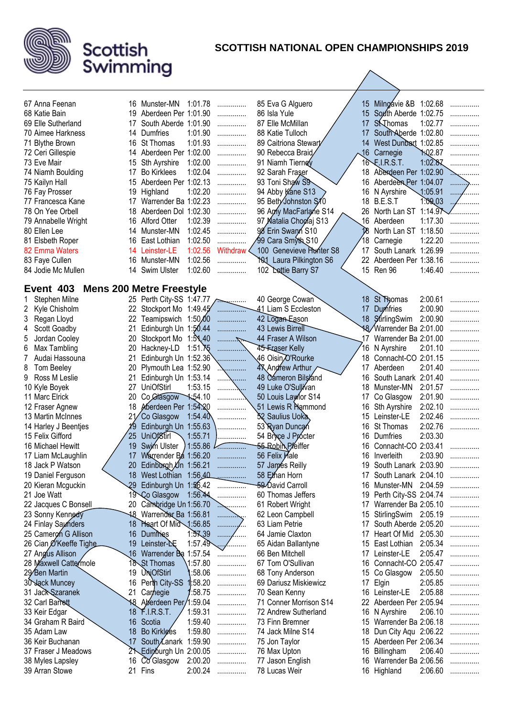

# **Scottish** Swimming

30 Jack Muncey 16 Perth City-SS 1:58.20 ................ Jack Szaranek 21 Carnegie 1:58.75 ...............

 Keir Edgar 18 F.I.R.S.T. 1:59.31 ............... Graham R Baird 16 Scotia 1:59.40 ...............

37 Fraser J Meadows 21 Edinburgh Un 2:00.05 ................ 38 Myles Lapsley 16 Co Glasgow 2:00.20 ................<br>39 Arran Stowe 21 Fins 2:00.24 ............... Arran Stowe 21 Fins 2:00.24 ...............

35 Adam Law 18 Bo Kirklees<br>36 Keir Buchanan 17 South Lanarl

18 Aberdeen Per 1:59.04 ................<br>18 F.I.R.S.T. 1:59.31 .................

17 South Lanark 1:59.90 ...............

### **SCOTTISH NATIONAL OPEN CHAMPIONSHIPS 2019**

 Dariusz Miskiewicz 17 Elgin 2:05.85 ............... 70 Sean Kenny 16 Leinster-LE 2:05.88 ..............<br>71 Conner Morrison S14 22 Aberdeen Per 2:05.94 ..............

 Andrew Sutherland 16 N Ayrshire 2:06.10 ............... Finn Bremner 15 Warrender Ba 2:06.18 ............... 74 Jack Milne S14 18 Dun City Aqu 2:06.22 ...............<br>75 Jon Taylor 15 Aberdeen Per 2:06.34 ...............

76 Max Upton 16 Billingham 2:06.40 ............... 77 Jason English 16 Warrender Ba 2:06.56 ...............<br>16 Highland 2:06.60 ................

22 Aberdeen Per 2:05.94 ..........<br>16 N Ayrshire 2:06.10 ..........

15 Aberdeen Per 2:06.34 ...............

16 Highland 2:06.60 ...............

| 67 Anna Feenan                         |                 | 16 Munster-MN                   | 1:01.78                |                 | 85 Eva G Alguero               |    | 15 Milngávie & B 1:02.68       |                |   |
|----------------------------------------|-----------------|---------------------------------|------------------------|-----------------|--------------------------------|----|--------------------------------|----------------|---|
| 68 Katie Bain                          |                 | 19 Aberdeen Per 1:01.90         |                        | .               | 86 Isla Yule                   |    | 15 South Aberde 1:02.75        |                |   |
|                                        | 17              | South Aberde 1:01.90            |                        | .               | 87 Elle McMillan               | 17 | <b>S</b><br>S<br>M<br><b>C</b> | 1:02.77        |   |
| 69 Elle Sutherland                     |                 | 14 Dumfries                     |                        | .               |                                |    |                                |                |   |
| 70 Aimee Harkness                      |                 |                                 | 1:01.90                | .               | 88 Katie Tulloch               | 17 | South Aberde 1:02.80           |                | . |
| 71 Blythe Brown                        |                 | 16 St Thomas                    | 1:01.93                | .               | 89 Caitriona Stewart           |    | 14 West Dunbart 1:02.85        |                |   |
| 72 Ceri Gillespie                      |                 | 14 Aberdeen Per 1:02.00         |                        | .               | 90 Rebecca Braid               |    | 16 Carnegie                    | <b>1:02.87</b> |   |
| 73 Eve Mair                            |                 | 15 Sth Ayrshire                 | 1:02.00                | .               | 91 Niamh Tierney               |    | $16$ F.I.R.S.T.                | 1:02.87        |   |
| 74 Niamh Boulding                      | 17              | <b>Bo Kirklees</b>              | 1:02.04                | .               | 92 Sarah Fraser                |    | 18 Aberdeen Per 1:02.90        |                |   |
| 75 Kailyn Hall                         |                 | 15 Aberdeen Per 1:02.13         |                        | .               | 93 Toni Shaw S9                |    | 16 Aberdeen Per 1:04.07        |                |   |
| 76 Fay Prosser                         | 19              | Highland                        | 1:02.20                | .               | 94 Abby Kane S13               |    | 16 N Ayrshire                  | 1:05.91        | . |
| 77 Francesca Kane                      |                 | 17 Warrender Ba 1:02.23         |                        | .               | 95 Beth/Johnston S10           |    | 18 B.E.S.T                     | 1:09.03        |   |
| 78 On Yee Orbell                       |                 | 18 Aberdeen Dol 1:02.30         |                        | .               | 96 Apriy MacFarlane S14        |    | 26 North Lan ST 1:14.9         |                |   |
| 79 Annabelle Wright                    |                 | 16 Alford Otter                 | 1:02.39                | .               | 97 Natalia Choglaj S13         |    | 16 Aberdeen                    | 1:17.30        |   |
| 80 Ellen Lee                           |                 | 14 Munster-MN                   | 1:02.45                | .               | 98 Erin Swann S10              |    | North Lan ST                   | 1:18.50        | . |
| 81 Elsbeth Roper                       |                 | 16 East Lothian                 | 1:02.50                | .               | ⁄99 Cara Smyth S10             |    | 18 Carnegie                    | 1:22.20        | . |
| 82 Emma Waters                         |                 | 14 Leinster-LE                  | 1:02.56                | <b>Withdraw</b> | 100 Genevieve Hunter S8        |    | 17 South Lanark 1:26.99        |                | . |
| 83 Faye Cullen                         |                 | 16 Munster-MN                   | 1:02.56                | .               | <b>101 Laura Pilkington S6</b> |    | 22 Aberdeen Per 1:38.16        |                | . |
| 84 Jodie Mc Mullen                     |                 | 14 Swim Ulster                  | 1:02.60                | .               | 102 Dottie Barry S7            |    | 15 Ren 96                      | 1:46.40        | . |
|                                        |                 |                                 |                        |                 |                                |    |                                |                |   |
| Event 403                              |                 | <b>Mens 200 Metre Freestyle</b> |                        |                 |                                |    |                                |                |   |
| Stephen Milne                          |                 | 25 Perth City-SS 1:47.77        |                        |                 | 40 George Cowan                | 18 | St Thomas                      | 2:00.61        | . |
| Kyle Chisholm                          |                 | 22 Stockport Mo 1:49.45         |                        |                 | 41 Liam S Eccleston            |    | 17 Dumfries                    | 2:00.90        |   |
| Regan Lloyd<br>3                       | 22              | Teamipswich 1:50,00             |                        | .               | 42 Logan Eason                 |    | 18 StirlingSwim                | 2:00.90        |   |
| Scott Goadby<br>4                      | 21              | Edinburgh Un 1:50.44            |                        | .               | 43 Lewis Birrell               |    | 18 Warrender Ba 2:01.00        |                |   |
| Jordan Cooley<br>5                     | 20              | Stockport Mo 1:51,40            |                        |                 | 44 Fraser A Wilson             | 17 | Warrender Ba 2:01.00           |                |   |
| Max Tambling<br>6                      | 20              | Hackney-LD                      | $1:51.\overline{X5}$   |                 | 45-Fraser Kelly                |    | 16 N Ayrshire                  | 2:01.10        |   |
| Audai Hassouna                         | 21              | Edinburgh Un 1:52.36            |                        |                 | 46 Oisin <sub>O'Rourke</sub>   |    | 18 Connacht-CO 2:01.15         |                | . |
| 8<br>Tom Beeley                        | 20              | Plymouth Lea 1:52.90            |                        |                 | 47 Andrew Arthur               | 17 | Aberdeen                       | 2:01.40        | . |
| Ross M Leslie<br>9                     | 21              | Edinburgh Un 1:53.14            |                        | $\cdots$        | 48 Cameron Bilsland            |    | 16 South Lanark 2:01.40        |                |   |
| 10 Kyle Boyek                          | 27              | <b>UniOfStirl</b>               | 1:53.15                | .               | 49 Luke O'Sullivan             | 18 | Munster-MN                     | 2:01.57        | . |
| 11 Marc Elrick                         | 20              | Co Glasgow                      | $\frac{1.54.10}{5.56}$ |                 | 50 Louis Lawlor S14            |    | 17 Co Glasgow                  | 2:01.90        | . |
| 12 Fraser Agnew                        | 18              | Aberdeen Per 1:54.20            |                        |                 | 51 Lewis R Hammond             |    | 16 Sth Ayrshire                | 2:02.10        | . |
| 13 Martin McInnes                      |                 | Co Glasgow                      | 1:54.40                | .               | 52 Saulius Uoka                |    | 15 Leinster-LE                 | 2:02.46        | . |
| 14 Harley J Beentjes                   | 19              | Edinburgh Un 1:55.63            |                        |                 | 53 Ryan Duncan                 |    | 16 St Thomas                   | 2:02.76        | . |
| 15 Felix Gifford                       | 25              | <b>UniOf8tirl</b>               | 1:55.71                |                 | 54 Bryce J Procter             |    | 16 Dumfries                    | 2:03.30        |   |
| 16 Michael Hewitt                      | 19 <sup>°</sup> | Swim Ulster                     | 1:55.86                |                 | 55 Robin Preiffer              | 16 | Connacht-CO 2:03.41            |                |   |
|                                        | 17              | Warrender Ba 1:56.20            |                        |                 | 56 Felix Male                  |    | 16 Inverleith                  | 2:03.90        |   |
| 17 Liam McLaughlin<br>18 Jack P Watson |                 |                                 |                        |                 | 57 James Reilly                |    | 19 South Lanark 2:03.90        |                |   |
|                                        |                 | 20 Edinburgh Un 1:56.21         |                        |                 |                                |    |                                |                | . |
| 19 Daniel Ferguson                     |                 | 18 West Lothian 1:56,40         |                        | <u>.</u>        | 58 Ethan Horn                  |    | 17 South Lanark 2:04.10        |                | . |
| 20 Kieran Mcguckin                     |                 | 29 Edinburgh Un 1:56.42         |                        | $\cdots$        | 59 David Carroll               |    | 16 Munster-MN 2:04.59          |                |   |
| 21 Joe Watt                            |                 | 19 Co Glasgow                   | 1:56.44                | .               | 60 Thomas Jeffers              | 19 | Perth City-SS 2:04.74          |                | . |
| 22 Jacques C Bonsell                   |                 | 20 Cambridge Un 1:56.70         |                        |                 | 61 Robert Wright               |    | 17 Warrender Ba 2:05.10        |                | . |
| 23 Sonny Kennedy                       |                 | 18 Warrender Ba 1:56.81         |                        | .               | 62 Leon Campbell               |    | 15 StirlingSwim 2:05.19        |                | . |
| 24 Finlay Saunders                     |                 | 18 Heart Of Mid 1:56.85         |                        | .               | 63 Liam Petrie                 |    | 17 South Aberde 2:05.20        |                | . |
| 25 Cameron G Allison                   |                 | 16 Dumines                      | 1.5739                 | $\ldots$<br>.   | 64 Jamie Claxton               |    | 17 Heart Of Mid 2:05.30        |                | . |
| 26 Cian Ø'Keeffe Tighe                 |                 | 19 Leinster-NE                  | 1:57.49                | .               | 65 Aidan Ballantyne            |    | 15 East Lothian 2:05.34        |                | . |
| 27 Angus Allison                       |                 | 16 Warrender Ba 1:57.54         |                        | .               | 66 Ben Mitchell                |    | 17 Leinster-LE                 | 2:05.47        | . |
| 28 Maxwell Cattermole                  |                 | 18 St Thomas                    | 1:57.80                | .               | 67 Tom O'Sullivan              |    | 16 Connacht-CO 2:05.47         |                | . |
| 29 Ben Martin                          |                 | 19 UniOfStirl                   | :58.06                 |                 | 68 Tony Anderson               |    | 15 Co Glasgow 2:05.50          |                |   |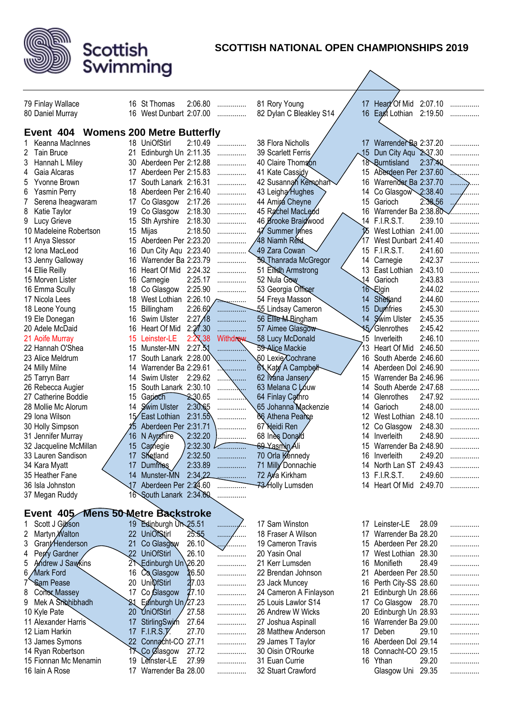

**Scottish** 

Swimming

#### **SCOTTISH NATIONAL OPEN CHAMPIONSHIPS 2019**

32 Stuart Crawford Glasgow Uni 29.35 ...............

79 Finlay Wallace 16 St Thomas 2:06.80 ............... 80 Daniel Murray 16 West Dunbart 2:07.00 ............... 81 Rory Young 17 Heart Of Mid 2:07.10 ............... 82 Dylan C Bleakley S14 / 16 East Lothian 2:19.50 ............... **Event 404 Womens 200 Metre Butterfly** 1 Keanna MacInnes 18 UniOfStirl 2:10.49 ............... 2 Tain Bruce 21 Edinburgh Un 2:11.35 ............... 3 Hannah L Miley 30 Aberdeen Per 2:12.88 ............... 4 Gaia Alcaras 17 Aberdeen Per 2:15.83 ............... 5 Yvonne Brown 17 South Lanark 2:16.31 ............... 6 Yasmin Perry 18 Aberdeen Per 2:16.40 ............... 7 Serena Iheagwaram 17 Co Glasgow 2:17.26 ............... 8 Katie Taylor 19 Co Glasgow 2:18.30 ...............<br>9 Lucy Grieve 15 Sth Ayrshire 2:18.30 ............... 15 Sth Ayrshire 2:18.30 ............... 10 Madeleine Robertson 15 Mijas 2:18.50 ............... 11 Anya Slessor 15 Aberdeen Per 2:23.20 ............... 12 Iona MacLeod 16 Dun City Aqu 2:23.40 ............... 13 Jenny Galloway 16 Warrender Ba 2:23.79 ............... 14 Ellie Reilly 16 Heart Of Mid 2:24.32 ................ 15 Morven Lister 16 Carnegie 2:25.17 ............... 16 Emma Scully 18 Co Glasgow 2:25.90 ............... 17 Nicola Lees 18 West Lothian 2:26.10 18 Leone Young 15 Billingham 2:26.60 ............... 19 Ele Donegan 16 Swim Ulster 2:27/8 ............... 20 Adele McDaid 16 Heart Of Mid 2:27.30 ................ 21 Aoife Murray 15 Leinster-LE 2:27.38 Withdraw 22 Hannah O'Shea 15 Munster-MN 2:27.51 ............... 23 Alice Meldrum 17 South Lanark 2:28.00 24 Milly Milne 14 Warrender Ba 2:29.61 25 Tarryn Barr 14 Swim Ulster 2:29.62 26 Rebecca Augier 15 South Lanark 2:30.10 ....... 27 Catherine Boddie 15 Garioch 2:30.65<br>28 Mollie Mc Alorum 14 Swim Ulster 2:30.65 14 Swim Ulster 2:30.65 ............... 29 Iona Wilson  $15$  East Lothian  $2:31.55$ 30 Holly Simpson 15 15 Aberdeen Per 2:31.71 31 Jennifer Murray  $\begin{array}{|l|} 31 \text{ Jennifer Murray} \end{array}$  16 N Ayrshire 2:32.20  $\begin{array}{|l|} 2:32.20 \end{array}$ 32 Jacqueline McMillan  $\begin{array}{|l|l|} \hline 32 & \text{Laurin } 2:32.30 \\ 33 & \text{Laurin Sandison} \hline \end{array}$  17 Shetland  $\begin{array}{|l|} \hline 2:32.50 & \text{Laurin } 2:32.50 \\ 2:32.50 & \text{Luarin } 2:32.50 \\ \hline \end{array}$ 33 Lauren Sandison 17 Shetland 2:32.50<br>34 Kara Myatt 17 Dumfries 2:33.89 34 Kara Myatt  $\sqrt{17}$ 35 Heather Fane 14 Munster-MN 2:34.22 ............... 36 Isla Johnston 17 Aberdeen Per 2:34.60 ............... 37 Megan Ruddy 16 South Lanark 2:34.60 ............... 38 Flora Nicholls  $/$  17 Warrender Ba 2:37.20 39 Scarlett Ferris  $\bigwedge$  15 Dun City Aqu 2:37.30 40 Claire Thomson 18 Burntisland 2:37.40<br>41 Kate Cassidy 15 Aberdeen Per 2:37.60 41 Kate Cassidy 15 Aberdeen Per 2:37.60<br>42 Susannah Kemphan 16 Warrender Ba 2:37.70 42 Susannah Kernohan 16 Warrender Ba 2:37.70<br>43 Leigha Hughes 2.38.40 14 Co Glasgow 2:38.40 44 Amira Cheyne 15 Garioch 2:38.56<br>45 Rachel MacLeod 45 Marrender Ba 2:38.80 16 Warrender Ba 2:38.80 ...<br>14 F.I.R.S.T. 2:39.10 46 Brooke Braidwood<br>47 Summer Innes 15 West Lothian 2:41.00 48 Niamh Reid (17 West Dunbart 2:41.40 ............... 49 Zara Cowan  $\vee$  15 F.I.R.S.T. 2:41.60 ................ 50 Thanrada McGregor 14 Carnegie 2:42.37 ............... 51 Eilidh Armstrong (13 East Lothian 2:43.10 ............... 52 Nula Gow 14 Garioch 2:43.83 ............... 53 Georgia Officer 16 Elgin 2:44.02 ............... 54 Freya Masson 14 Shetland 2:44.60 ............... 55 Lindsay Cameron 15 Dumfries 2:45.30 ............... 56 Ellie M Bingham 14 Swim Ulster 2:45.35 ............... 57 Aimee Glasgow 15 Glenrothes 2:45.42 ............... 58 Lucy McDonald 15 Inverleith 2:46.10 ............... 13 Heart Of Mid 2:46.50 ............... 60 Lexie Cochrane 16 South Aberde 2:46.60 ............... 61 Katy A Campbell 14 Aberdeen Dol 2:46.90 ............... 62 Ivana Jansen 15 Warrender Ba 2:46.96 ............... 14 South Aberde 2:47.68 ............... 64 Finlay Cathro **14 Glenrothes** 2:47.92 ...............<br>65 Johanna Mackenzie 14 Garioch 2:48.00 65 Johanna Mackenzie 14 Garioch 2:48.00 ............... 12 West Lothian 2:48.10 ............... 67 Heidi Ren / 12 Co Glasgow 2:48.30 68 Ines Donald 2:48.90 69 Yasmin Ali 15 Warrender Ba 2:48.90 70 Orla Kennedy 16 Inverleith 2:49.20<br>71 Milly Donnachie 14 North Lan ST 2:49.43 14 North Lan ST 2:49.43 ............... 72 Ava Kirkham 13 F.I.R.S.T. 2:49.60 ............... <del>73/ H</del>olly Lumsden 14 Heart Of Mid 2:49.70 ............... **Event 405 Mens 50 Metre Backstroke** 1 Scott J Gibson 19 Edinburgh Un 25.51<br>2 Martyn Walton 22 UniOfStirl 25.55 2 Martyn Walton 22 UniOfStirl 25.55 ............... 3 Grant Henderson 21 Co Glasgow 26.10 4 Perry Gardner 22 UniOfStirl 26.10 ............... 5 Andrew J Sawkins 21 Edinburgh Un 26.20 ............... 6 Mark Ford 16 Co Glasgow 26.50 ............... 7 Sam Pease 20 UniOfStirl 27.03 ............... 8 Conor Massey 17 Co Glasgow 27.10 ............... 9 Mek A Sribhibhadh 21 Edinburgh Un 27.23 ............... 10 Kyle Pate 20 UniOfStirl 27.58 ............... 11 Alexander Harris 17 StirlingSwim 27.64 ............... 12 Liam Harkin  $\sim$  17 F.I.R.S.T. 27.70 ............... 13 James Symons 22 Connacht-CO 27.71 ............... 14 Ryan Robertson 17 Co Glasgow 27.72 ............... 15 Fionnan Mc Menamin 19 Leinster-LE 27.99 ................<br>16 Jain A Rose 17 Warrender Ba 28.00 17 Sam Winston 17 Leinster-LE 28.09 18 Fraser A Wilson 17 Warrender Ba 28.20 ...............<br>19 Cameron Travis 15 Aberdeen Per 28.20 ............... 15 Aberdeen Per 28.20 ............... 20 Yasin Onal 17 West Lothian 28.30 ............... 21 Kerr Lumsden 16 Monifieth 28.49 ............... 22 Brendan Johnson 21 Aberdeen Per 28.50 ............... 23 Jack Muncey 16 Perth City-SS 28.60 ............... 24 Cameron A Finlayson 21 Edinburgh Un 28.66 ............... 25 Louis Lawlor S14 17 Co Glasgow 28.70 ............... 26 Andrew W Wicks 20 Edinburgh Un 28.93 ............... 27 Joshua Aspinall 16 Warrender Ba 29.00 28 Matthew Anderson 17 Deben 29.10<br>29 James T Taylor 16 Aberdeen Dol 29.14 29 James T Taylor 30 Oisin O'Rourke 18 Connacht-CO 29.15 31 Euan Currie **16 Ythan** 29.20 ................

17 Warrender Ba 28.00 ...............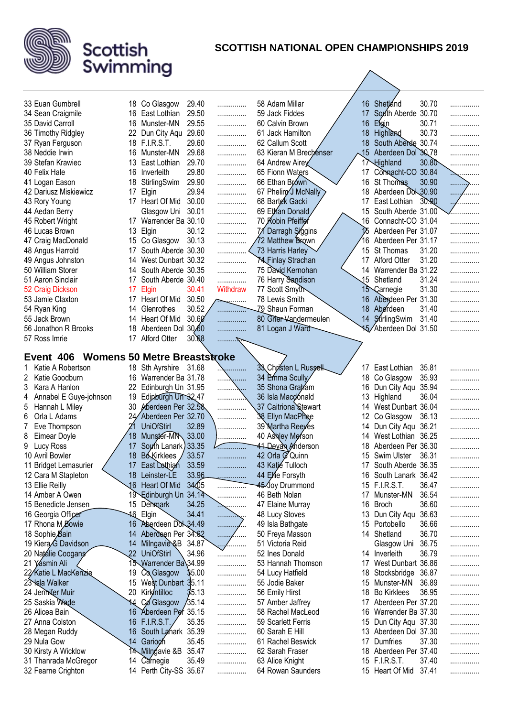

| 33 Euan Gumbrell            |                  | 18 Co Glasgow                       | 29.40            | .                | 58 Adam Millar            |     | 16 Shetland           | 30.70 |            |
|-----------------------------|------------------|-------------------------------------|------------------|------------------|---------------------------|-----|-----------------------|-------|------------|
| 34 Sean Craigmile           |                  | 16 East Lothian                     | 29.50            | .                | 59 Jack Fiddes            | 17  | South Aberde          | 30.70 | .          |
| 35 David Carroll            |                  | 16 Munster-MN                       | 29.55            |                  | 60 Calvin Brown           | 16  | Efgin                 | 30.71 | .          |
| 36 Timothy Ridgley          | 22               | Dun City Aqu                        | 29.60            | .                | 61 Jack Hamilton          | 18  | <b>Highland</b>       | 30.73 | .          |
| 37 Ryan Ferguson            |                  | 18 F.I.R.S.T.                       | 29.60            | .                | 62 Callum Scott           | 18  | South Aberde          | 30.74 | .          |
|                             |                  |                                     |                  | .                |                           |     |                       |       | .          |
| 38 Neddie Irwin             |                  | 16 Munster-MN                       | 29.68            | .                | 63 Kieran M Brechenser    | ,15 | Aberdeen Dol 30.78    | 30.80 |            |
| 39 Stefan Krawiec           |                  | 13 East Lothian                     | 29.70            | .                | 64 Andrew Airey           | 17  | Highland              |       | .          |
| 40 Felix Hale               |                  | 16 Inverleith                       | 29.80            | .                | 65 Fionn Waters           |     | 17 Connacht-CO 30.84  |       | . <u>.</u> |
| 41 Logan Eason              |                  | 18 StirlingSwim                     | 29.90            | .                | 66 Ethan Brown            |     | 16 St Thomas          | 30.90 | .          |
| 42 Dariusz Miskiewicz       | 17               | Elgin                               | 29.94            | .                | 67 Pheliny J McNally      | 18  | Aberdeen Dol 30.90    |       | .          |
| 43 Rory Young               |                  | 17 Heart Of Mid                     | 30.00            | .                | 68 Bartek Gacki           | 17  | East Lothian          | 30.90 | /          |
| 44 Aedan Berry              |                  | Glasgow Uni                         | 30.01            | .                | 69 Ethan Donald           |     | 15 South Aberde 31.00 |       | .          |
| 45 Robert Wright            |                  | 17 Warrender Ba 30.10               |                  | .                | 70 Robin Pfeiffer         |     | 16 Connacht-CO 31.04  |       | .          |
| 46 Lucas Brown              | 13               | Elgin                               | 30.12            | .                | 71 Darragh Siggins        |     | Aberdeen Per 31.07    |       | .          |
| 47 Craig MacDonald          |                  | 15 Co Glasgow                       | 30.13            | .                | 72 Matthew Brown          | 16  | Aberdeen Per 31.17    |       | .          |
| 48 Angus Harrold            | 17               | South Aberde 30.30                  |                  | .                | 73 Harris Harley          |     | 15 St Thomas          | 31.20 | .          |
| 49 Angus Johnston           | 14               | West Dunbart 30.32                  |                  | .                | <b>XA</b> Finlay Strachan | 17  | <b>Alford Otter</b>   | 31.20 | .          |
| 50 William Storer           |                  | 14 South Aberde 30.35               |                  | .                | 75 David Kernohan         |     | 14 Warrender Ba 31.22 |       | .          |
| 51 Aaron Sinclair           | 17               | South Aberde 30.40                  |                  | .                | 76 Harry Sandison         |     | 15 Shetland           | 31.24 | .          |
| 52 Craig Dickson            | 17               | Elgin                               | 30.41            | Withdraw         | 77 Scott Smyth            |     | 15 Carnegie           | 31.30 | .          |
| 53 Jamie Claxton            | 17               | Heart Of Mid                        | 30.50            | $\sum_{i=1}^{n}$ | 78 Lewis Smith            |     | 16 Aberdeen Per 31.30 |       | .          |
| 54 Ryan King                | 14               | Glenrothes                          | 30.52            | . <del>.</del> . | 79 Shaun Forman           |     | 18 Aberdeen           | 31.40 | .          |
| 55 Jack Brown               | 14               | Heart Of Mid                        | 30.60            | .                | 80 Grier-Vandermeulen     |     | 14 StirlingSwim       | 31.40 | .          |
| 56 Jonathon R Brooks        | 18               | Aberdeen Dol                        | 30,60            | .                | 81 Logan J Ward           |     | Aberdeen Dol 31.50    |       | .          |
| 57 Ross Imrie               |                  | 17 Alford Otter                     | 30.68            | . 7              |                           |     |                       |       |            |
|                             |                  |                                     |                  |                  |                           |     |                       |       |            |
| Event 406                   |                  | <b>Womens 50 Metre Breaststroke</b> |                  |                  |                           |     |                       |       |            |
| Katie A Robertson           |                  | 18 Sth Ayrshire 31.68               |                  |                  | 33 Christen L Russell     |     | 17 East Lothian       | 35.81 | .          |
| Katie Goodburn<br>2         |                  | 16 Warrender Ba 31.78               |                  | .                | 34 Èmma Scully∕           | 18  | Co Glasgow            | 35.93 | .          |
| 3<br>Kara A Hanlon          |                  | 22 Edinburgh Un 31.95               |                  | .                | 35 Shona Graham           | 16  | Dun City Aqu          | 35.94 | .          |
| Annabel E Guye-johnson<br>4 |                  | 19 Edinburgh Un 32.47               |                  | .                | 36 Isla Macdonald         | 13  | Highland              | 36.04 | .          |
| Hannah L Miley<br>5         | 30               | Moerdeen Per 32.58                  |                  | .                | 37 Caitriona Stewart      | 14  | West Dunbart 36.04    |       | .          |
| Orla L Adams<br>6           |                  | Aberdeen Per 32.70                  |                  | .                | 38 Ellyn MacPhee          | 12  | Co Glasgow            | 36.13 | .          |
| Eve Thompson                |                  | <b>UniOfStirl</b>                   | 32.89            | .                | 39 Martha Reeyes          | 14  | Dun City Aqu 36.21    |       | .          |
| 8<br><b>Eimear Doyle</b>    | 18               | Munster-MN 33.00                    |                  | .                | 40 Ashley Merson          | 14  | West Lothian 36.25    |       | .          |
| Lucy Ross<br>9              | 17               | South Lanark) 33.35                 |                  | 7.               | 41 Devan Anderson         | 18  | Aberdeen Per 36.30    |       | .          |
| 10 Avril Bowler             | 18               | <b>Bó</b> Kirklees                  | 33.57            | .                | 42 Orla G Quinn           |     | 15 Swim Ulster        | 36.31 | .          |
| 11 Bridget Lemasurier       | 17               | East Dothian                        | 33.59            |                  | 43 Katié Tulloch          |     | 17 South Aberde 36.35 |       |            |
| 12 Cara M Stapleton         |                  | 18 Leinster-LE                      | 33.96            | .                | 44 Ellie Forsyth          |     | 16 South Lanark 36.42 |       | .          |
| 13 Ellie Reilly             |                  | 16 Heart Of Mid                     | 34 <sub>05</sub> | .                | 45 Joy Drummond           |     | 15 F.I.R.S.T.         | 36.47 | .          |
| 14 Amber A Owen             |                  | 19 Edinburgh Un                     | 34.14            | .                | 46 Beth Nolan             | 17  | Munster-MN            | 36.54 | .          |
| 15 Benedicte Jensen         |                  | 15 Demmark                          | 34.25            |                  | 47 Elaine Murray          | 16  | Broch                 | 36.60 | .          |
| 16 Georgia Officer          |                  | 46 Elgin                            | 34.41            | .                | 48 Lucy Stoves            |     | 13 Dun City Aqu       | 36.63 | .          |
| 17 Rhona M Bowie            |                  | 16 Aberdeen Dol 34.49               |                  | .                | 49 Isla Bathgate          | 15  | Portobello            | 36.66 | .          |
| 18 Sophie Bain              | 14               | Aberdeen Per 34.62                  |                  | .<br>.           | 50 Freya Masson           | 14  | Shetland              | 36.70 | .          |
| 19 Kiera G Davidson         | 14               | Milngavie &B                        | 34.87            | <u>/</u>         | 51 Victoria Reid          |     | Glasgow Uni           | 36.75 | .          |
| 20 Natálie Coogans          | $22\overline{ }$ | <b>UniOfStirl</b>                   | 34.96            | .                | 52 Ines Donald            |     | 14 Inverleith         | 36.79 | .          |
| 21 Yasmin Ali               |                  | 15 Warrender Ba\34.99               |                  | .                | 53 Hannah Thomson         |     | 17 West Dunbart 36.86 |       | .          |
| 22⁄Katie L MacKenzie        | 19               | Co Glasgow                          | 35.00            | .                | 54 Lucy Hatfield          | 18  | Stocksbridge          | 36.87 | .          |
| 23 <b>\s</b> la Walker      | 15               | West Dunbart 35.11                  |                  | .                | 55 Jodie Baker            | 15  | Munster-MN            | 36.89 | .          |
| 24 Jennifer Muir            | 20               | Kirkintilloc                        | 35.13            | .                | 56 Emily Hirst            | 18  | <b>Bo Kirklees</b>    | 36.95 | .          |
| 25 Saskia Wade              | 14               | Co Glasgow                          | /35.14           | .                | 57 Amber Jaffrey          | 17  | Aberdeen Per 37.20    |       | .          |
| 26 Alicea Bain              |                  | 16 Aberdeen Per 35.15               |                  | .                | 58 Rachel MacLeod         | 16  | Warrender Ba 37.30    |       | .          |
| 27 Anna Colston             |                  | 16 F.I.R.S.T.                       | 35.35            | .                | 59 Scarlett Ferris        | 15  | Dun City Aqu 37.30    |       | .          |
| 28 Megan Ruddy              |                  | 16 South Lanark 35.39               |                  | .                | 60 Sarah E Hill           | 13  | Aberdeen Dol 37.30    |       | .          |
| 29 Nula Gow                 |                  | 14 Garioch                          | 35.45            | .                | 61 Rachel Beswick         | 17  | Dumfries              | 37.30 | .          |
| 30 Kirsty A Wicklow         |                  | 14 Milngavie &B                     | 35.47            | .                | 62 Sarah Fraser           |     | 18 Aberdeen Per 37.40 |       | .          |
| 31 Thanrada McGregor        |                  | 14 Carnegie                         | 35.49            | .                | 63 Alice Knight           |     | 15 F.I.R.S.T.         | 37.40 | .          |
| 32 Fearne Crighton          |                  | 14 Perth City-SS 35.67              |                  | .                | 64 Rowan Saunders         |     | 15 Heart Of Mid       | 37.41 | .          |
|                             |                  |                                     |                  |                  |                           |     |                       |       |            |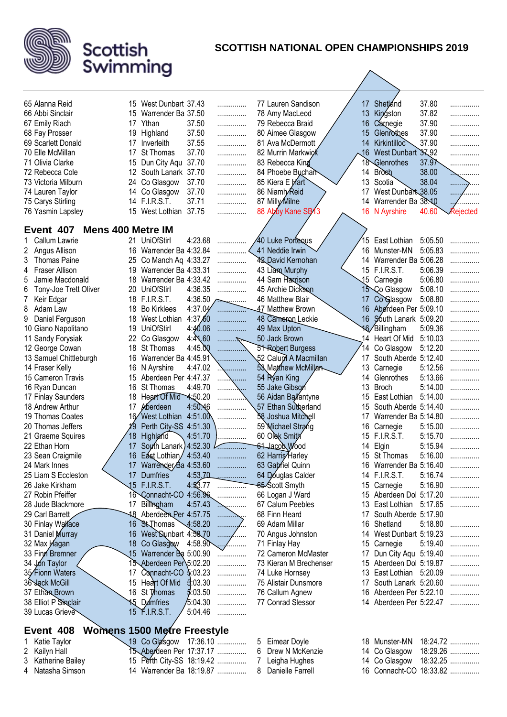

| 65 Alanna Reid                                  |     | 15 West Dunbart 37.43     |          |          |                | 77 Lauren Sandison       |  | 17          | Shetland                | 37.80   |          |
|-------------------------------------------------|-----|---------------------------|----------|----------|----------------|--------------------------|--|-------------|-------------------------|---------|----------|
| 66 Abbi Sinclair                                | 15  | Warrender Ba 37.50        |          | .<br>.   |                | 78 Amy MacLeod           |  | 13          | Kingston                | 37.82   | .        |
| 67 Emily Riach                                  |     | 17 Ythan                  | 37.50    | .        |                | 79 Rebecca Braid         |  | 16          | Carnegie                | 37.90   | .        |
| 68 Fay Prosser                                  | 19  | Highland                  | 37.50    | .        |                | 80 Aimee Glasgow         |  | 15          | Glenrothes              | 37.90   | .<br>.   |
| 69 Scarlett Donald                              |     | Inverleith                | 37.55    | .        |                | 81 Ava McDermott         |  | 14          | Kirkintilloc            | 37.90   | .        |
| 70 Elle McMillan                                | 17  | <b>St Thomas</b>          | 37.70    | .        |                | 82 Murrin Markwick       |  | $\sqrt{16}$ | <b>West Dunbart</b>     | 37.92   | .        |
| 71 Olivia Clarke                                | 15  | Dun City Agu              | 37.70    | .        |                | 83 Rebecca King          |  |             | 18 Glenrothes           | 37.97   |          |
| 72 Rebecca Cole                                 |     | 12 South Lanark 37.70     |          | .        |                | 84 Phoebe Buchan         |  | 14          | <b>Brook</b>            | 38.00   | .        |
| 73 Victoria Milburn                             |     | 24 Co Glasgow             | 37.70    | .        |                | 85 Kiera E Hart          |  | 13          | Scotia                  | 38.04   | .        |
| 74 Lauren Taylor                                |     | 14 Co Glasgow             | 37.70    | .        |                | 86 Niamh Reid            |  | 17          | West Dunbart 38.05      |         | .<br>.   |
| 75 Carys Stirling                               |     | 14 F.I.R.S.T.             | 37.71    | .        |                | 87 Milly Milne           |  | 14          | Warrender Ba 38.40      |         | .        |
| 76 Yasmin Lapsley                               | 15  | West Lothian              | 37.75    | .        |                | 88 Abby Kane SB13        |  |             | 16 N Ayrshire           | 40.60   | Rejected |
|                                                 |     |                           |          |          |                |                          |  |             |                         |         |          |
| <b>Mens 400 Metre IM</b><br>Event 407           |     |                           |          |          |                |                          |  |             |                         |         |          |
| Callum Lawrie                                   |     | 21 UniOfStirl             | 4:23.68  |          |                | 40 Luke Portequs         |  | 15          | East Lothian            | 5:05.50 |          |
| Angus Allison<br>2                              |     | 16 Warrender Ba 4:32.84   |          |          |                | 41 Neddie Irwin          |  | 16.         | Munster-MN              | 5:05.83 |          |
| Thomas Paine                                    | 25  | Co Manch Aq 4:33.27       |          |          |                | <b>42 David Kernohan</b> |  |             | 14 Warrender Ba 5:06.28 |         |          |
| Fraser Allison<br>4                             | 19  | Warrender Ba 4:33.31      |          |          |                | 43 Liam Murphy           |  |             | 15 F.I.R.S.T.           | 5:06.39 |          |
| Jamie Macdonald<br>5                            |     | 18 Warrender Ba 4:33.42   |          | .        |                | 44 Sam Harrison          |  |             | 15 Carnegie             | 5:06.80 | .        |
| Tony-Joe Trett Oliver<br>6                      | 20  | <b>UniOfStirl</b>         | 4:36.35  | .        |                | 45 Archie Dickson        |  |             | 15 Co Glasgow           | 5:08.10 | .        |
| Keir Edgar                                      |     | 18 F.I.R.S.T.             |          |          |                | 46 Matthew Blair         |  | 17          | Co Glasgow              | 5:08.80 |          |
| 8<br>Adam Law                                   | 18  | <b>Bo Kirklees</b>        | 4:37.04' |          |                | 47 Matthew Brown         |  |             | 16 Aberdeen Per 5:09.10 |         |          |
| Daniel Ferguson<br>9                            | 18  | West Lothian              | 4:37,60  | .        |                | 48 Cameron Leckie        |  |             | 16 South Lanark 5:09.20 |         | .        |
| 10 Giano Napolitano                             | 19  | <b>UniOfStirl</b>         | 4:40.06  | .        |                | 49 Max Upton             |  |             | 16/Billingham           | 5:09.36 |          |
| 11 Sandy Forysiak                               | 22  | Co Glasgow                | 4:41.60  |          |                | 50 Jack Brown            |  |             | 14 Heart Of Mid         | 5:10.03 | .        |
| 12 George Cowan                                 | 18  | <b>St Thomas</b>          | 4:45.00  |          |                | <b>51 Robert Burgess</b> |  | 14          | Co Glasgow              | 5:12.20 | .        |
| 13 Samuel Chittleburgh                          | 16. | Warrender Ba 4:45.91      |          |          |                | 52 Calum A Macmillan     |  | 17          | South Aberde 5:12.40    |         |          |
| 14 Fraser Kelly                                 | 16  | N Ayrshire                | 4:47.02  |          |                | 53 Matthew McMillan      |  | 13          | Carnegie                | 5:12.56 | .        |
| 15 Cameron Travis                               | 15  | Aberdeen Per 4:47.37      |          | .        |                | 54 Ryan King             |  | 14          | Glenrothes              | 5:13.66 | .        |
| 16 Ryan Duncan                                  | 16  | St Thomas                 | 4:49.70  |          |                | 55 Jake Gibson           |  | 13          | <b>Broch</b>            | 5:14.00 | .        |
| 17 Finlay Saunders                              | 18  | Heart Of Mid              | 4.50.20  | .        |                | 56 Aidan Ballantyne      |  | 15          | East Lothian            | 5:14.00 | .        |
| 18 Andrew Arthur                                | 17  | Aberdeen                  | 4:50.46  | .        |                | 57 Ethan Sutherland      |  | 15          | South Aberde 5:14.40    |         | .        |
| 19 Thomas Coates                                |     | 16 West Lothian 4:51.00   |          |          |                | 58 Joshua Mitchell       |  | 17          | Warrender Ba 5:14.80    |         | .        |
| 20 Thomas Jeffers                               |     | Perth City-SS 4:51.30     |          | .        |                | 59 Michael Strang        |  | 16          | Carnegie                | 5:15.00 | .        |
| 21 Graeme Squires                               | 18  | Highland                  | 4:51.70  | .        |                | 60 Olek Smith            |  | 15          | <b>F.I.R.S.T.</b>       | 5:15.70 | .        |
| 22 Ethan Horn                                   | 17  | South Lanark) 4:52.30     |          | .        |                | 61 Jacob Wood            |  | 14          | Elgin                   | 5:15.94 | .        |
| 23 Sean Craigmile                               | 16  | East Lothian $/$ 4:53.40  |          | .        |                | 62 Harris Harley         |  |             | 15 St Thomas            | 5:16.00 | .        |
| 24 Mark Innes                                   | 17  | Warrender/Ba 4:53.60      |          |          |                | 63 Gabriel Quinn         |  |             | 16 Warrender Ba 5:16.40 |         |          |
| 25 Liam S Eccleston                             |     | 17 Dumfries               | 4:53,70  | <u>.</u> |                | 64 Douglas Calder        |  |             | 14 F.I.R.S.T.           | 5:16.74 | .        |
| 26 Jake Kirkham                                 |     | 15 F.I.R.S.T.             | 4:53.77  | .        |                | 65-Scott Smyth           |  |             | 15 Carnegie             | 5:16.90 | .        |
| 27 Robin Pfeiffer                               |     | 16 Connacht-CO 4:56.96    |          | .        |                | 66 Logan J Ward          |  |             | 15 Aberdeen Dol 5:17.20 |         |          |
| 28 Jude Blackmore                               |     | 17 Billingham             | 4:57.43  | .        |                | 67 Calum Peebles         |  |             | 13 East Lothian 5:17.65 |         |          |
| 29 Carl Barrett                                 |     | 18 Aberdeen Per 4:57.75   |          | .        |                | 68 Finn Heard            |  | 17          | South Aberde 5:17.90    |         |          |
| 30 Finlay Wallace                               |     | 16 SKThomas               | 4:58.20  | .        |                | 69 Adam Millar           |  |             | 16 Shetland             | 5:18.80 | .        |
| 31 Daniel Murray                                |     | 16 West Dunbart 4:58,70   |          | $\cdots$ |                | 70 Angus Johnston        |  |             | 14 West Dunbart 5:19.23 |         |          |
| 32 Max Hagan                                    |     | 18 Co Glasgow 4:58.90     |          | . /.     |                | 71 Finlay Hay            |  |             | 15 Carnegie             | 5:19.40 | .        |
| 33 Finn Bremner                                 |     | 15 Warrender Ba 5:00.90   |          | .        |                | 72 Cameron McMaster      |  | 17          | Dun City Aqu 5:19.40    |         | .        |
| 34 Jon Taylor                                   |     | 15 Aberdeen Per 5:02.20   |          | .        |                | 73 Kieran M Brechenser   |  |             | 15 Aberdeen Dol 5:19.87 |         | .        |
| 35 Fionn Waters                                 | 17  | Connacht-CO 5:03.23       |          | .        |                | 74 Luke Hornsey          |  |             | 13 East Lothian 5:20.09 |         | .        |
| 36 Jack McGill                                  |     | 15 Heart Of Mid           | 5:03.30  | .        |                | 75 Alistair Dunsmore     |  | 17          | South Lanark 5:20.60    |         | .        |
| 37 Ethan Brown                                  | 16  | St Thomas                 | 5:03.50  | .        |                | 76 Callum Agnew          |  |             | 16 Aberdeen Per 5:22.10 |         | .        |
| 38 Elliot P Sinclair                            |     | 15 Dumfries               | /5:04.30 | .        |                | 77 Conrad Slessor        |  |             | 14 Aberdeen Per 5:22.47 |         |          |
| 39 Lucas Grieve                                 |     | 15 F.I.R.S.T.             | 5:04.46  |          |                |                          |  |             |                         |         |          |
| <b>Womens 1500 Metre Freestyle</b><br>Event 408 |     |                           |          |          |                |                          |  |             |                         |         |          |
| Katie Taylor                                    |     | 19 Co Glasgow 17:36.10    |          |          | 5              | <b>Eimear Doyle</b>      |  |             | 18 Munster-MN           |         | 18:24.72 |
| Kailyn Hall<br>2                                |     | 15 Aberdeen Per 17:37.17  |          |          | 6              | Drew N McKenzie          |  |             | 14 Co Glasgow           |         | 18:29.26 |
| Katherine Bailey<br>3                           |     | 15 Perth City-SS 18:19.42 |          |          | $\overline{7}$ | Leigha Hughes            |  |             | 14 Co Glasgow           |         | 18:32.25 |
| 4 Natasha Simson                                |     | 14 Warrender Ba 18:19.87  |          |          |                | 8 Danielle Farrell       |  |             | 16 Connacht-CO 18:33.82 |         |          |